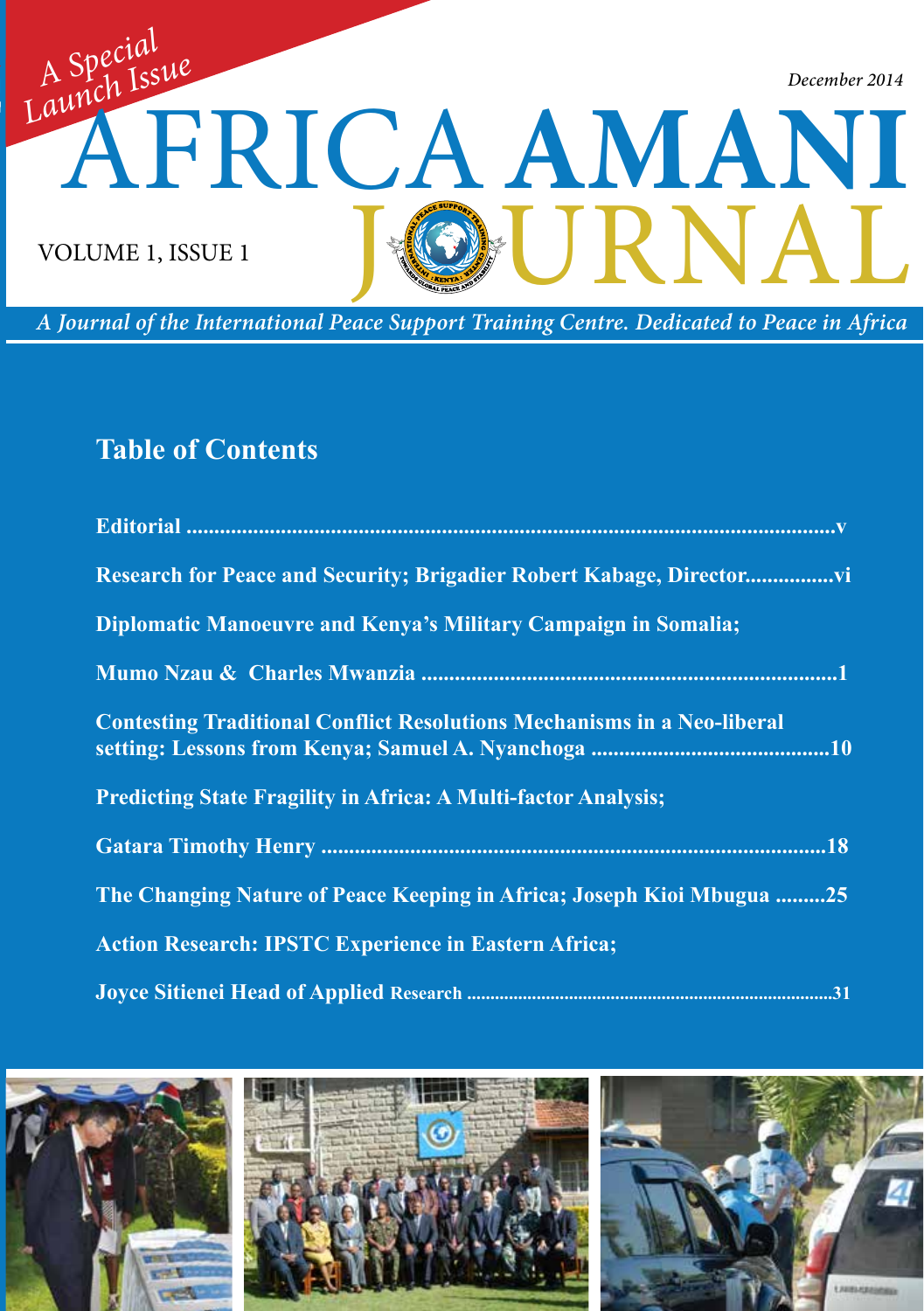

*A Journal of the International Peace Support Training Centre. Dedicated to Peace in Africa*

# **Table of Contents**

| Research for Peace and Security; Brigadier Robert Kabage, Director             |
|--------------------------------------------------------------------------------|
| Diplomatic Manoeuvre and Kenya's Military Campaign in Somalia;                 |
|                                                                                |
| <b>Contesting Traditional Conflict Resolutions Mechanisms in a Neo-liberal</b> |
| <b>Predicting State Fragility in Africa: A Multi-factor Analysis;</b>          |
|                                                                                |
| The Changing Nature of Peace Keeping in Africa; Joseph Kioi Mbugua 25          |
| <b>Action Research: IPSTC Experience in Eastern Africa;</b>                    |
|                                                                                |

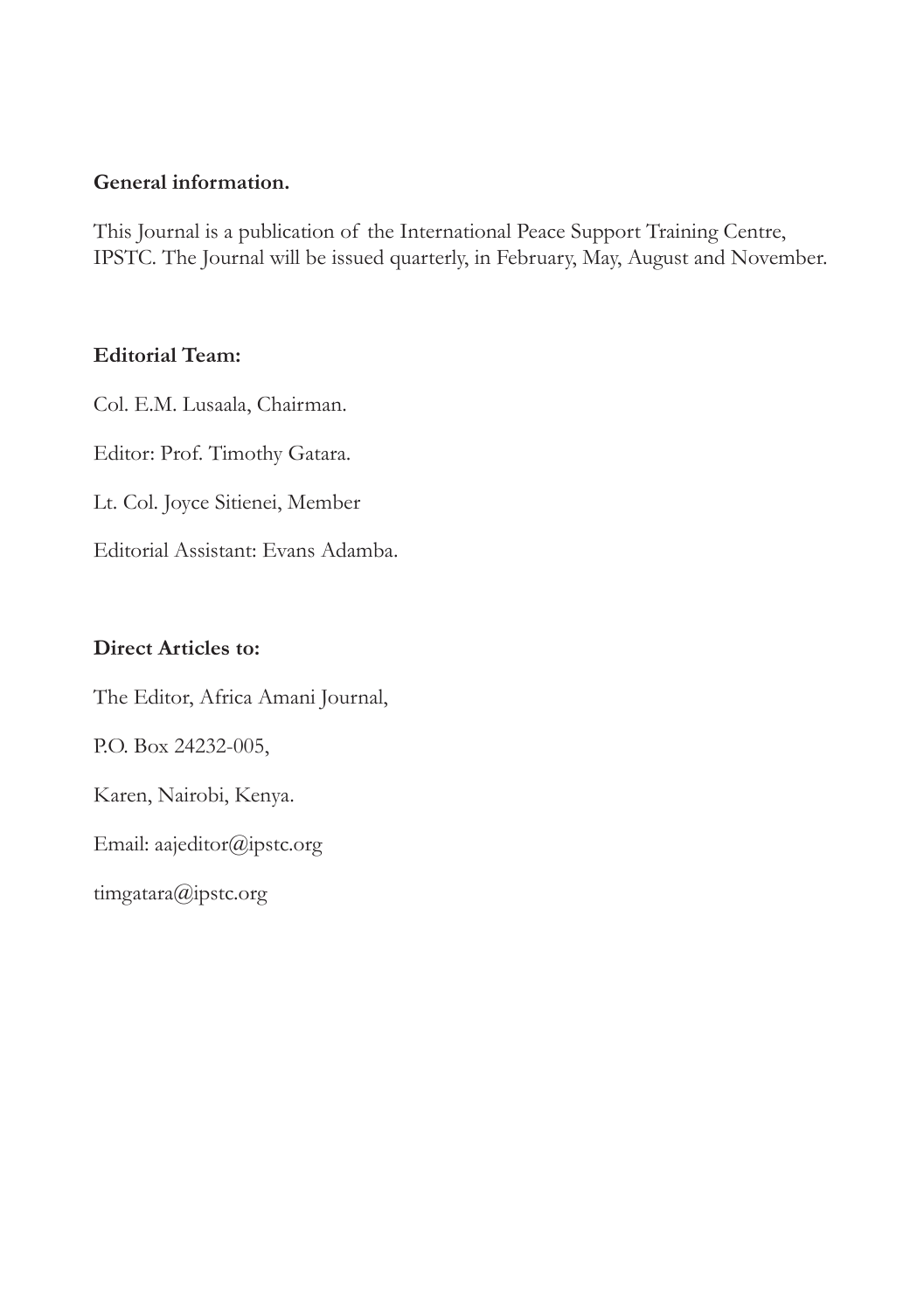#### **General information.**

This Journal is a publication of the International Peace Support Training Centre, IPSTC. The Journal will be issued quarterly, in February, May, August and November.

#### **Editorial Team:**

Col. E.M. Lusaala, Chairman. Editor: Prof. Timothy Gatara.

Lt. Col. Joyce Sitienei, Member

Editorial Assistant: Evans Adamba.

#### **Direct Articles to:**

The Editor, Africa Amani Journal,

P.O. Box 24232-005,

Karen, Nairobi, Kenya.

Email: aajeditor@ipstc.org

timgatara@ipstc.org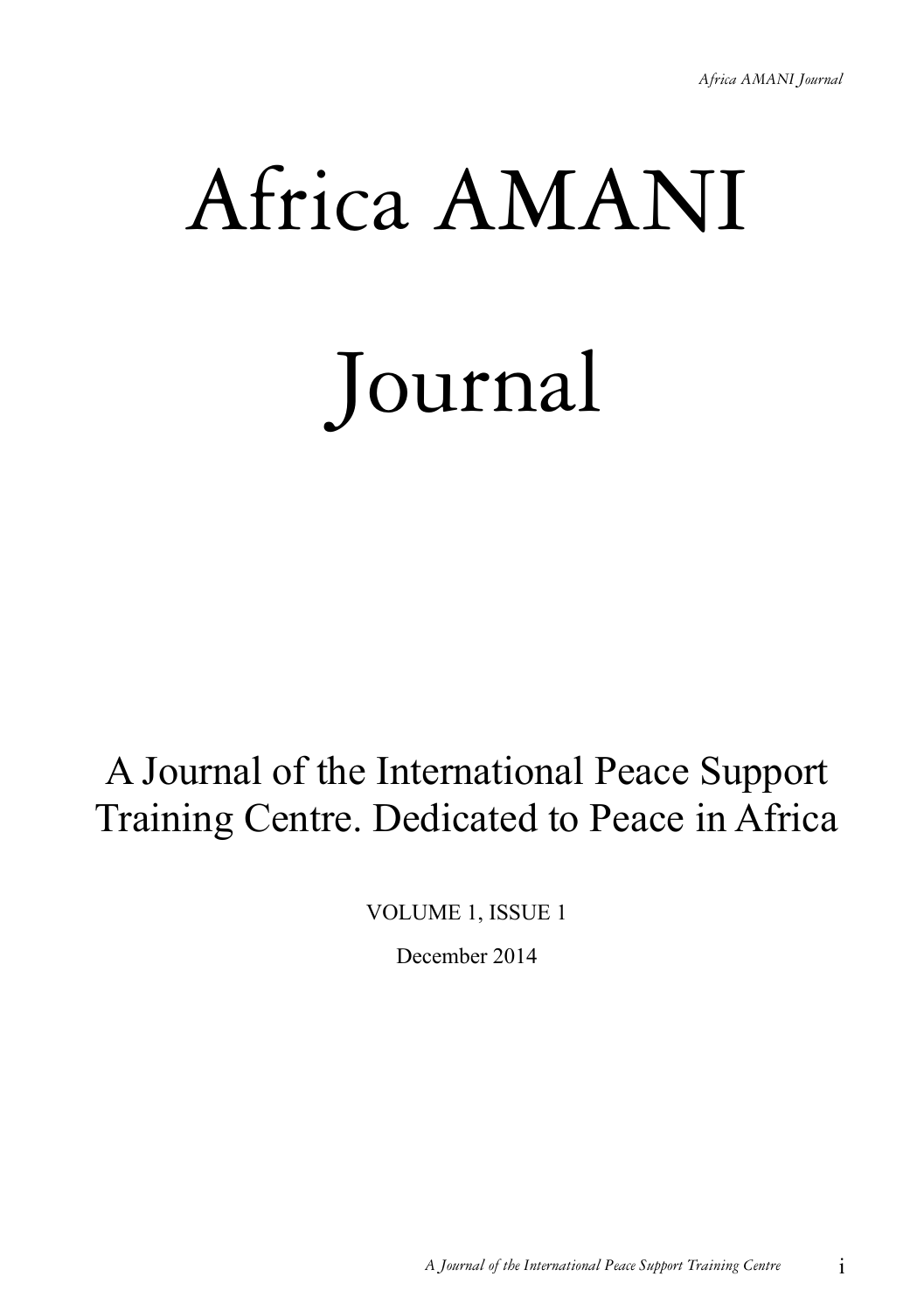# Africa AMANI Journal

# A Journal of the International Peace Support Training Centre. Dedicated to Peace in Africa

VOLUME 1, ISSUE 1

December 2014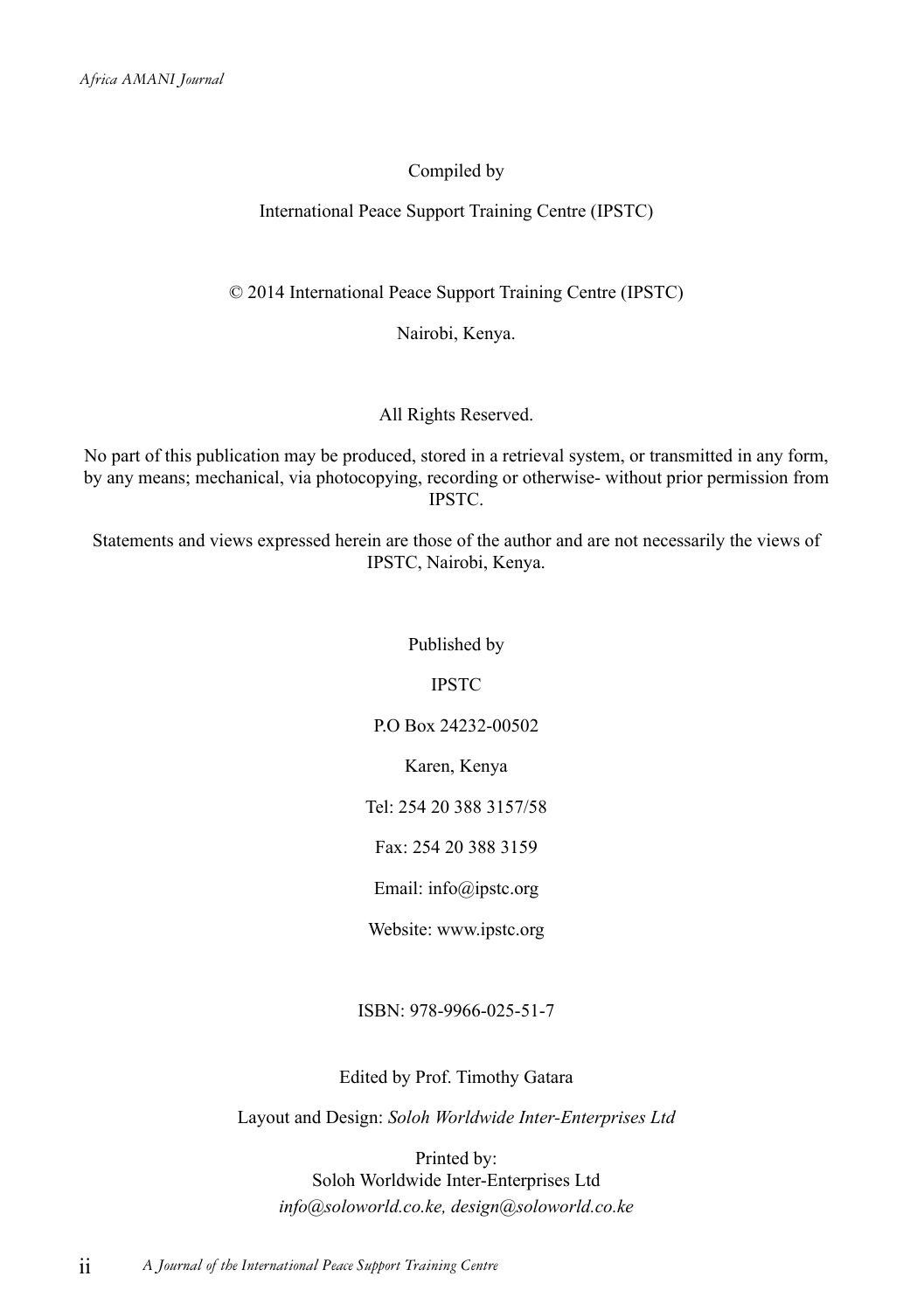#### Compiled by

#### International Peace Support Training Centre (IPSTC)

© 2014 International Peace Support Training Centre (IPSTC)

Nairobi, Kenya.

All Rights Reserved.

No part of this publication may be produced, stored in a retrieval system, or transmitted in any form, by any means; mechanical, via photocopying, recording or otherwise- without prior permission from IPSTC.

Statements and views expressed herein are those of the author and are not necessarily the views of IPSTC, Nairobi, Kenya.

#### Published by

IPSTC

P.O Box 24232-00502

Karen, Kenya

Tel: 254 20 388 3157/58

Fax: 254 20 388 3159

Email: info@ipstc.org

Website: www.ipstc.org

ISBN: 978-9966-025-51-7

Edited by Prof. Timothy Gatara

Layout and Design: *Soloh Worldwide Inter-Enterprises Ltd*

Printed by: Soloh Worldwide Inter-Enterprises Ltd *info@soloworld.co.ke, design@soloworld.co.ke*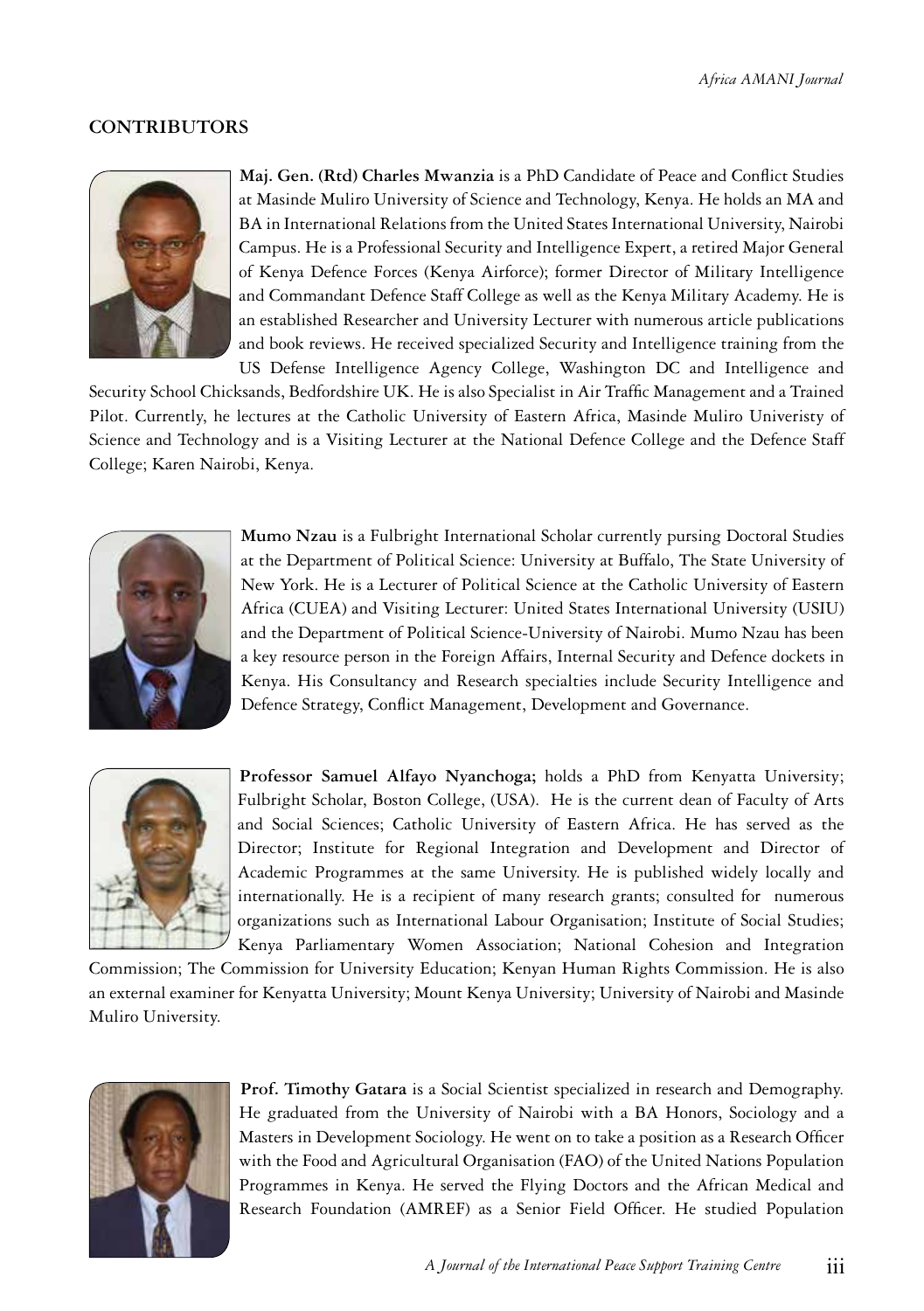#### **CONTRIBUTORS**



 **Maj. Gen. (Rtd) Charles Mwanzia** is a PhD Candidate of Peace and Conflict Studies at Masinde Muliro University of Science and Technology, Kenya. He holds an MA and BA in International Relations from the United States International University, Nairobi Campus. He is a Professional Security and Intelligence Expert, a retired Major General of Kenya Defence Forces (Kenya Airforce); former Director of Military Intelligence and Commandant Defence Staff College as well as the Kenya Military Academy. He is an established Researcher and University Lecturer with numerous article publications and book reviews. He received specialized Security and Intelligence training from the US Defense Intelligence Agency College, Washington DC and Intelligence and

Security School Chicksands, Bedfordshire UK. He is also Specialist in Air Traffic Management and a Trained Pilot. Currently, he lectures at the Catholic University of Eastern Africa, Masinde Muliro Univeristy of Science and Technology and is a Visiting Lecturer at the National Defence College and the Defence Staff College; Karen Nairobi, Kenya.



**Mumo Nzau** is a Fulbright International Scholar currently pursing Doctoral Studies at the Department of Political Science: University at Buffalo, The State University of New York. He is a Lecturer of Political Science at the Catholic University of Eastern Africa (CUEA) and Visiting Lecturer: United States International University (USIU) and the Department of Political Science-University of Nairobi. Mumo Nzau has been a key resource person in the Foreign Affairs, Internal Security and Defence dockets in Kenya. His Consultancy and Research specialties include Security Intelligence and Defence Strategy, Conflict Management, Development and Governance.



**Professor Samuel Alfayo Nyanchoga;** holds a PhD from Kenyatta University; Fulbright Scholar, Boston College, (USA). He is the current dean of Faculty of Arts and Social Sciences; Catholic University of Eastern Africa. He has served as the Director; Institute for Regional Integration and Development and Director of Academic Programmes at the same University. He is published widely locally and internationally. He is a recipient of many research grants; consulted for numerous organizations such as International Labour Organisation; Institute of Social Studies; Kenya Parliamentary Women Association; National Cohesion and Integration

Commission; The Commission for University Education; Kenyan Human Rights Commission. He is also an external examiner for Kenyatta University; Mount Kenya University; University of Nairobi and Masinde Muliro University.



 **Prof. Timothy Gatara** is a Social Scientist specialized in research and Demography. He graduated from the University of Nairobi with a BA Honors, Sociology and a Masters in Development Sociology. He went on to take a position as a Research Officer with the Food and Agricultural Organisation (FAO) of the United Nations Population Programmes in Kenya. He served the Flying Doctors and the African Medical and Research Foundation (AMREF) as a Senior Field Officer. He studied Population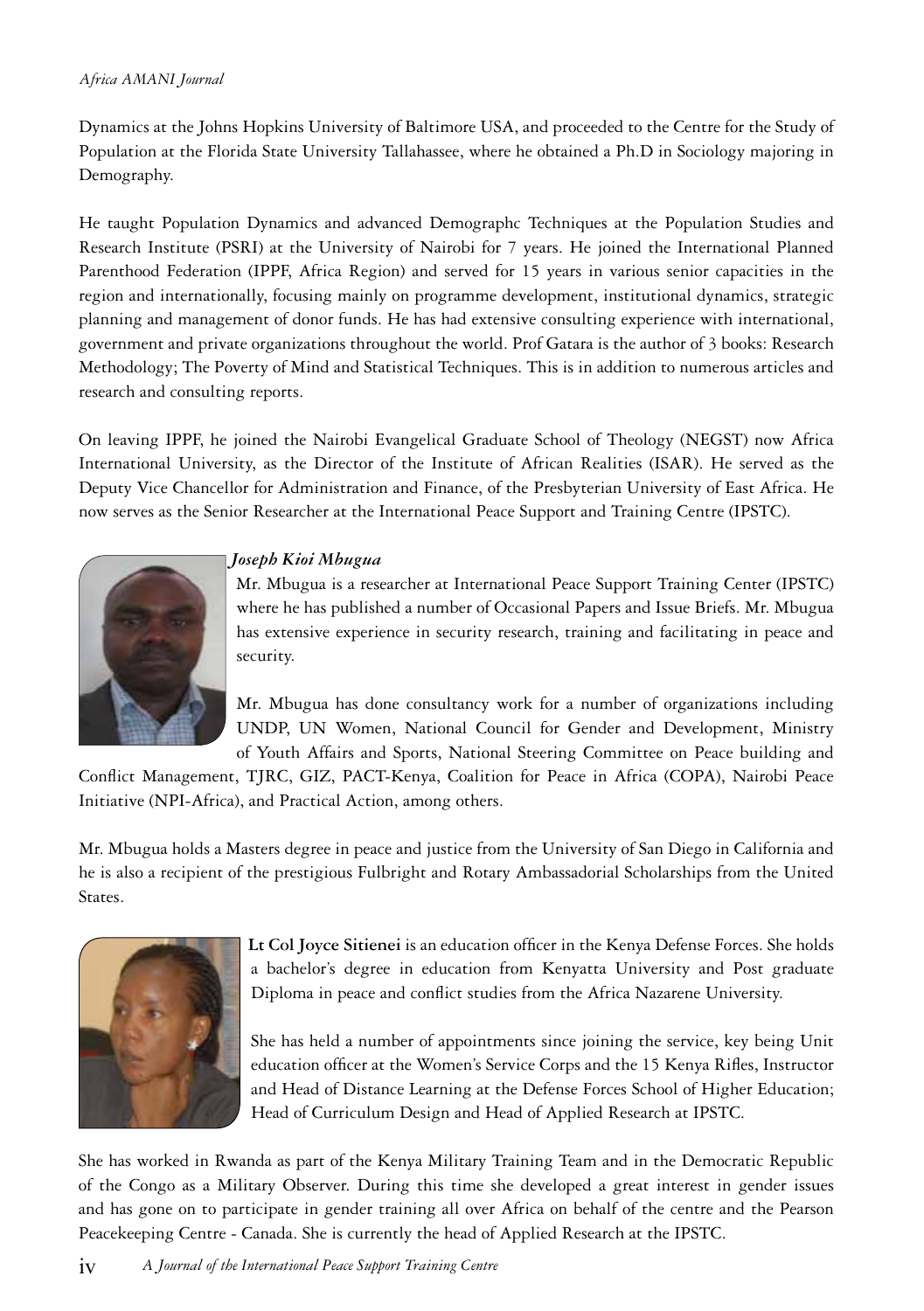#### *Africa AMANI Journal*

Dynamics at the Johns Hopkins University of Baltimore USA, and proceeded to the Centre for the Study of Population at the Florida State University Tallahassee, where he obtained a Ph.D in Sociology majoring in Demography.

He taught Population Dynamics and advanced Demographc Techniques at the Population Studies and Research Institute (PSRI) at the University of Nairobi for 7 years. He joined the International Planned Parenthood Federation (IPPF, Africa Region) and served for 15 years in various senior capacities in the region and internationally, focusing mainly on programme development, institutional dynamics, strategic planning and management of donor funds. He has had extensive consulting experience with international, government and private organizations throughout the world. Prof Gatara is the author of 3 books: Research Methodology; The Poverty of Mind and Statistical Techniques. This is in addition to numerous articles and research and consulting reports.

On leaving IPPF, he joined the Nairobi Evangelical Graduate School of Theology (NEGST) now Africa International University, as the Director of the Institute of African Realities (ISAR). He served as the Deputy Vice Chancellor for Administration and Finance, of the Presbyterian University of East Africa. He now serves as the Senior Researcher at the International Peace Support and Training Centre (IPSTC).



#### *Joseph Kioi Mbugua*

 Mr. Mbugua is a researcher at International Peace Support Training Center (IPSTC) where he has published a number of Occasional Papers and Issue Briefs. Mr. Mbugua has extensive experience in security research, training and facilitating in peace and security.

Mr. Mbugua has done consultancy work for a number of organizations including UNDP, UN Women, National Council for Gender and Development, Ministry of Youth Affairs and Sports, National Steering Committee on Peace building and

Conflict Management, TJRC, GIZ, PACT-Kenya, Coalition for Peace in Africa (COPA), Nairobi Peace Initiative (NPI-Africa), and Practical Action, among others.

Mr. Mbugua holds a Masters degree in peace and justice from the University of San Diego in California and he is also a recipient of the prestigious Fulbright and Rotary Ambassadorial Scholarships from the United States.



 **Lt Col Joyce Sitienei** is an education officer in the Kenya Defense Forces. She holds a bachelor's degree in education from Kenyatta University and Post graduate Diploma in peace and conflict studies from the Africa Nazarene University.

She has held a number of appointments since joining the service, key being Unit education officer at the Women's Service Corps and the 15 Kenya Rifles, Instructor and Head of Distance Learning at the Defense Forces School of Higher Education; Head of Curriculum Design and Head of Applied Research at IPSTC.

She has worked in Rwanda as part of the Kenya Military Training Team and in the Democratic Republic of the Congo as a Military Observer. During this time she developed a great interest in gender issues and has gone on to participate in gender training all over Africa on behalf of the centre and the Pearson Peacekeeping Centre - Canada. She is currently the head of Applied Research at the IPSTC.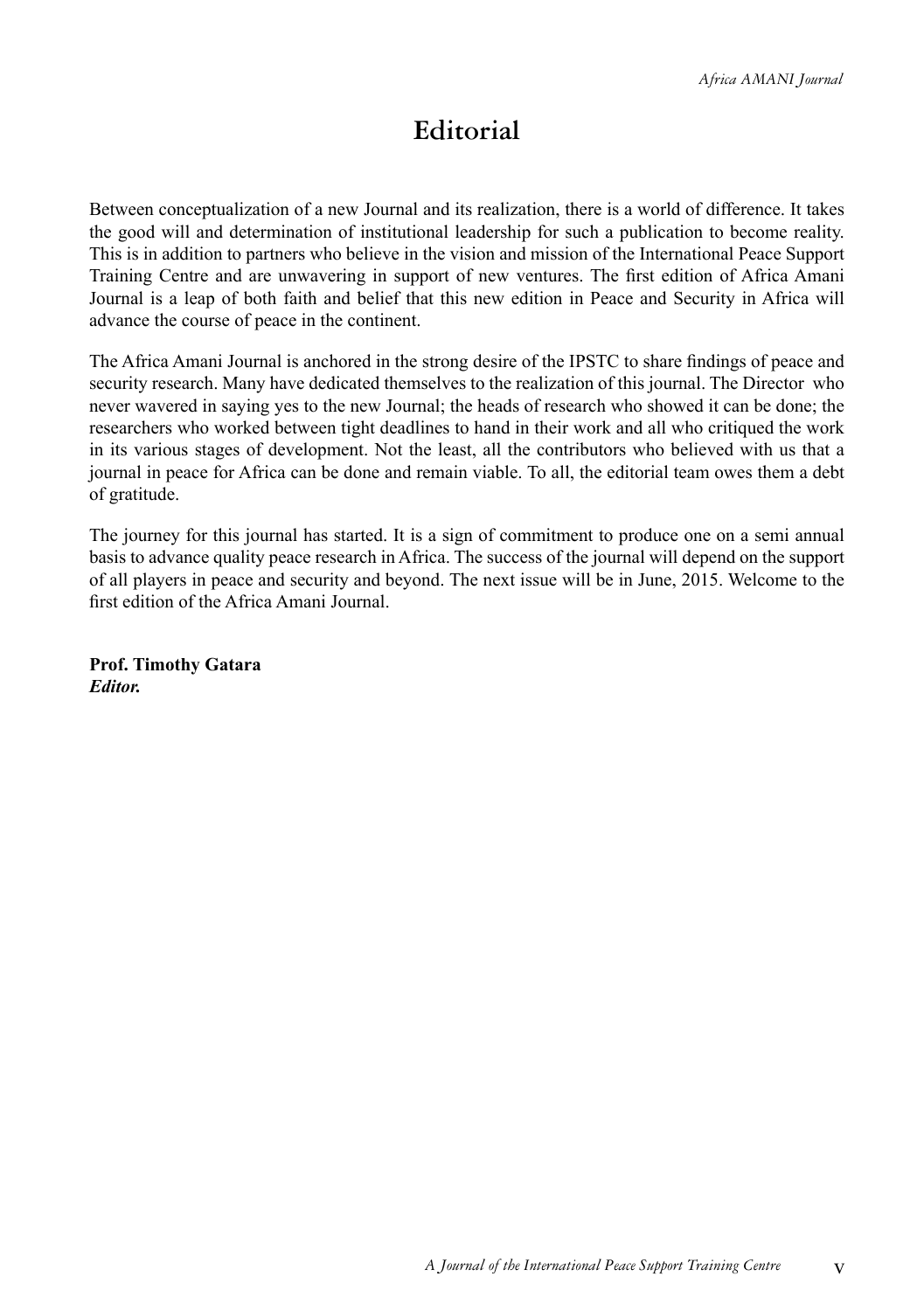## **Editorial**

Between conceptualization of a new Journal and its realization, there is a world of difference. It takes the good will and determination of institutional leadership for such a publication to become reality. This is in addition to partners who believe in the vision and mission of the International Peace Support Training Centre and are unwavering in support of new ventures. The first edition of Africa Amani Journal is a leap of both faith and belief that this new edition in Peace and Security in Africa will advance the course of peace in the continent.

The Africa Amani Journal is anchored in the strong desire of the IPSTC to share findings of peace and security research. Many have dedicated themselves to the realization of this journal. The Director who never wavered in saying yes to the new Journal; the heads of research who showed it can be done; the researchers who worked between tight deadlines to hand in their work and all who critiqued the work in its various stages of development. Not the least, all the contributors who believed with us that a journal in peace for Africa can be done and remain viable. To all, the editorial team owes them a debt of gratitude.

The journey for this journal has started. It is a sign of commitment to produce one on a semi annual basis to advance quality peace research in Africa. The success of the journal will depend on the support of all players in peace and security and beyond. The next issue will be in June, 2015. Welcome to the first edition of the Africa Amani Journal.

**Prof. Timothy Gatara** *Editor.*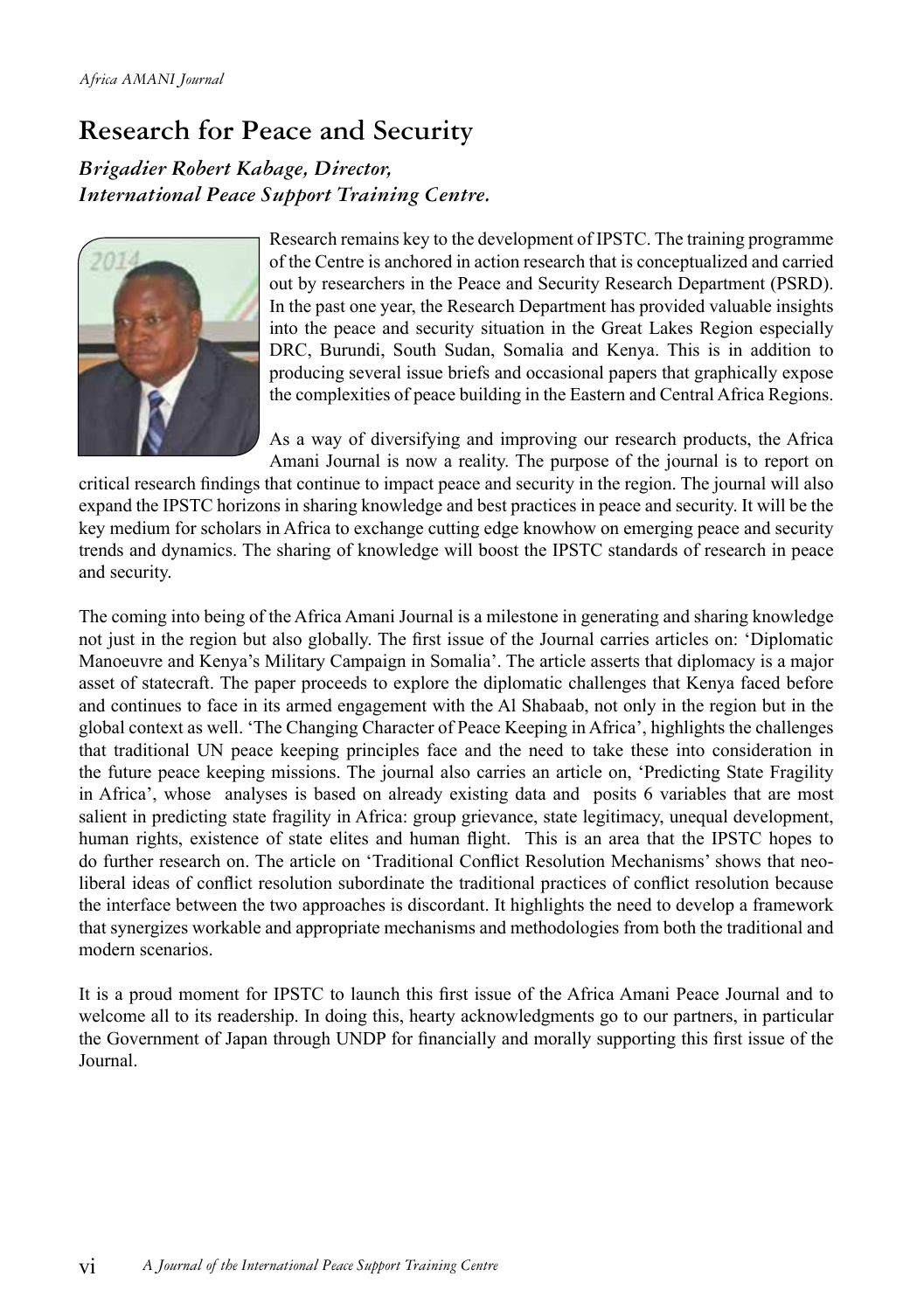# **Research for Peace and Security**

*Brigadier Robert Kabage, Director, International Peace Support Training Centre.*



Research remains key to the development of IPSTC. The training programme of the Centre is anchored in action research that is conceptualized and carried out by researchers in the Peace and Security Research Department (PSRD). In the past one year, the Research Department has provided valuable insights into the peace and security situation in the Great Lakes Region especially DRC, Burundi, South Sudan, Somalia and Kenya. This is in addition to producing several issue briefs and occasional papers that graphically expose the complexities of peace building in the Eastern and Central Africa Regions.

As a way of diversifying and improving our research products, the Africa Amani Journal is now a reality. The purpose of the journal is to report on

critical research findings that continue to impact peace and security in the region. The journal will also expand the IPSTC horizons in sharing knowledge and best practices in peace and security. It will be the key medium for scholars in Africa to exchange cutting edge knowhow on emerging peace and security trends and dynamics. The sharing of knowledge will boost the IPSTC standards of research in peace and security.

The coming into being of the Africa Amani Journal is a milestone in generating and sharing knowledge not just in the region but also globally. The first issue of the Journal carries articles on: 'Diplomatic Manoeuvre and Kenya's Military Campaign in Somalia'. The article asserts that diplomacy is a major asset of statecraft. The paper proceeds to explore the diplomatic challenges that Kenya faced before and continues to face in its armed engagement with the Al Shabaab, not only in the region but in the global context as well. 'The Changing Character of Peace Keeping in Africa', highlights the challenges that traditional UN peace keeping principles face and the need to take these into consideration in the future peace keeping missions. The journal also carries an article on, 'Predicting State Fragility in Africa', whose analyses is based on already existing data and posits 6 variables that are most salient in predicting state fragility in Africa: group grievance, state legitimacy, unequal development, human rights, existence of state elites and human flight. This is an area that the IPSTC hopes to do further research on. The article on 'Traditional Conflict Resolution Mechanisms' shows that neoliberal ideas of conflict resolution subordinate the traditional practices of conflict resolution because the interface between the two approaches is discordant. It highlights the need to develop a framework that synergizes workable and appropriate mechanisms and methodologies from both the traditional and modern scenarios.

It is a proud moment for IPSTC to launch this first issue of the Africa Amani Peace Journal and to welcome all to its readership. In doing this, hearty acknowledgments go to our partners, in particular the Government of Japan through UNDP for financially and morally supporting this first issue of the Journal.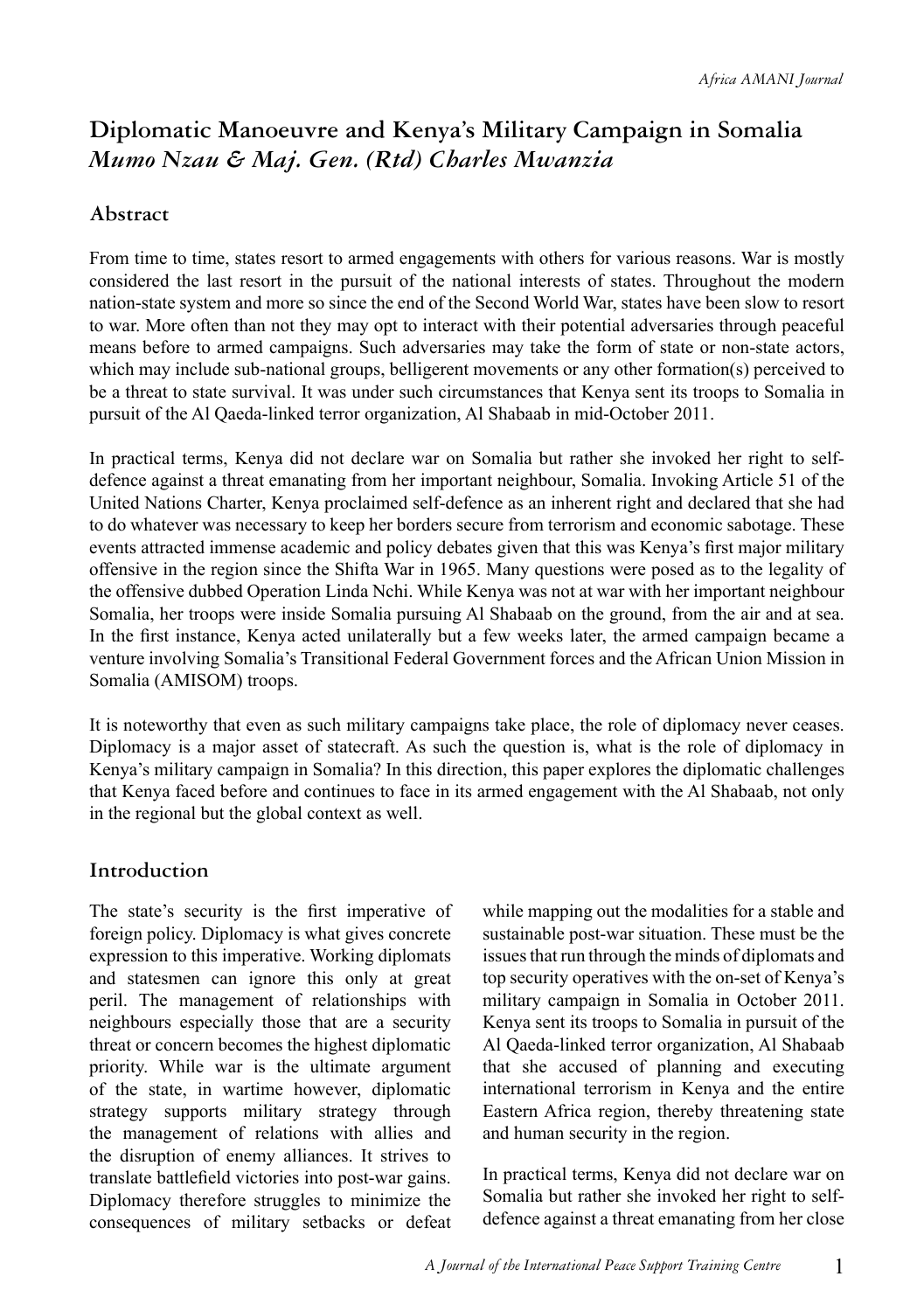## **Diplomatic Manoeuvre and Kenya's Military Campaign in Somalia**  *Mumo Nzau & Maj. Gen. (Rtd) Charles Mwanzia*

#### **Abstract**

From time to time, states resort to armed engagements with others for various reasons. War is mostly considered the last resort in the pursuit of the national interests of states. Throughout the modern nation-state system and more so since the end of the Second World War, states have been slow to resort to war. More often than not they may opt to interact with their potential adversaries through peaceful means before to armed campaigns. Such adversaries may take the form of state or non-state actors, which may include sub-national groups, belligerent movements or any other formation(s) perceived to be a threat to state survival. It was under such circumstances that Kenya sent its troops to Somalia in pursuit of the Al Qaeda-linked terror organization, Al Shabaab in mid-October 2011.

In practical terms, Kenya did not declare war on Somalia but rather she invoked her right to selfdefence against a threat emanating from her important neighbour, Somalia. Invoking Article 51 of the United Nations Charter, Kenya proclaimed self-defence as an inherent right and declared that she had to do whatever was necessary to keep her borders secure from terrorism and economic sabotage. These events attracted immense academic and policy debates given that this was Kenya's first major military offensive in the region since the Shifta War in 1965. Many questions were posed as to the legality of the offensive dubbed Operation Linda Nchi. While Kenya was not at war with her important neighbour Somalia, her troops were inside Somalia pursuing Al Shabaab on the ground, from the air and at sea. In the first instance, Kenya acted unilaterally but a few weeks later, the armed campaign became a venture involving Somalia's Transitional Federal Government forces and the African Union Mission in Somalia (AMISOM) troops.

It is noteworthy that even as such military campaigns take place, the role of diplomacy never ceases. Diplomacy is a major asset of statecraft. As such the question is, what is the role of diplomacy in Kenya's military campaign in Somalia? In this direction, this paper explores the diplomatic challenges that Kenya faced before and continues to face in its armed engagement with the Al Shabaab, not only in the regional but the global context as well.

#### **Introduction**

The state's security is the first imperative of foreign policy. Diplomacy is what gives concrete expression to this imperative. Working diplomats and statesmen can ignore this only at great peril. The management of relationships with neighbours especially those that are a security threat or concern becomes the highest diplomatic priority. While war is the ultimate argument of the state, in wartime however, diplomatic strategy supports military strategy through the management of relations with allies and the disruption of enemy alliances. It strives to translate battlefield victories into post-war gains. Diplomacy therefore struggles to minimize the consequences of military setbacks or defeat while mapping out the modalities for a stable and sustainable post-war situation. These must be the issues that run through the minds of diplomats and top security operatives with the on-set of Kenya's military campaign in Somalia in October 2011. Kenya sent its troops to Somalia in pursuit of the Al Qaeda-linked terror organization, Al Shabaab that she accused of planning and executing international terrorism in Kenya and the entire Eastern Africa region, thereby threatening state and human security in the region.

In practical terms, Kenya did not declare war on Somalia but rather she invoked her right to selfdefence against a threat emanating from her close

1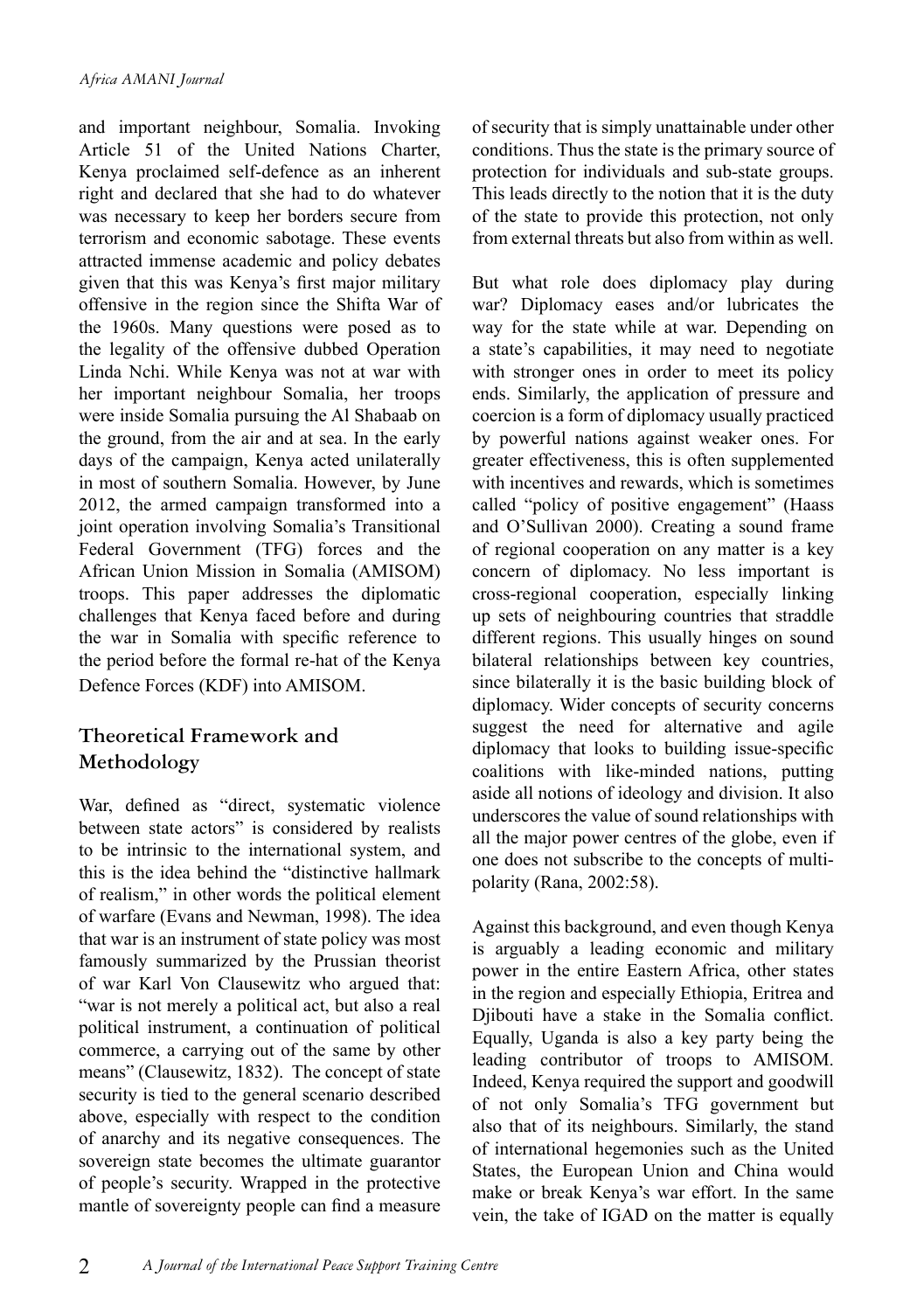and important neighbour, Somalia. Invoking Article 51 of the United Nations Charter, Kenya proclaimed self-defence as an inherent right and declared that she had to do whatever was necessary to keep her borders secure from terrorism and economic sabotage. These events attracted immense academic and policy debates given that this was Kenya's first major military offensive in the region since the Shifta War of the 1960s. Many questions were posed as to the legality of the offensive dubbed Operation Linda Nchi. While Kenya was not at war with her important neighbour Somalia, her troops were inside Somalia pursuing the Al Shabaab on the ground, from the air and at sea. In the early days of the campaign, Kenya acted unilaterally in most of southern Somalia. However, by June 2012, the armed campaign transformed into a joint operation involving Somalia's Transitional Federal Government (TFG) forces and the African Union Mission in Somalia (AMISOM) troops. This paper addresses the diplomatic challenges that Kenya faced before and during the war in Somalia with specific reference to the period before the formal re-hat of the Kenya Defence Forces (KDF) into AMISOM.

#### **Theoretical Framework and Methodology**

War, defined as "direct, systematic violence between state actors" is considered by realists to be intrinsic to the international system, and this is the idea behind the "distinctive hallmark of realism," in other words the political element of warfare (Evans and Newman, 1998). The idea that war is an instrument of state policy was most famously summarized by the Prussian theorist of war Karl Von Clausewitz who argued that: "war is not merely a political act, but also a real political instrument, a continuation of political commerce, a carrying out of the same by other means" (Clausewitz, 1832). The concept of state security is tied to the general scenario described above, especially with respect to the condition of anarchy and its negative consequences. The sovereign state becomes the ultimate guarantor of people's security. Wrapped in the protective mantle of sovereignty people can find a measure of security that is simply unattainable under other conditions. Thus the state is the primary source of protection for individuals and sub-state groups. This leads directly to the notion that it is the duty of the state to provide this protection, not only from external threats but also from within as well.

But what role does diplomacy play during war? Diplomacy eases and/or lubricates the way for the state while at war. Depending on a state's capabilities, it may need to negotiate with stronger ones in order to meet its policy ends. Similarly, the application of pressure and coercion is a form of diplomacy usually practiced by powerful nations against weaker ones. For greater effectiveness, this is often supplemented with incentives and rewards, which is sometimes called "policy of positive engagement" (Haass and O'Sullivan 2000). Creating a sound frame of regional cooperation on any matter is a key concern of diplomacy. No less important is cross-regional cooperation, especially linking up sets of neighbouring countries that straddle different regions. This usually hinges on sound bilateral relationships between key countries, since bilaterally it is the basic building block of diplomacy. Wider concepts of security concerns suggest the need for alternative and agile diplomacy that looks to building issue-specific coalitions with like-minded nations, putting aside all notions of ideology and division. It also underscores the value of sound relationships with all the major power centres of the globe, even if one does not subscribe to the concepts of multipolarity (Rana, 2002:58).

Against this background, and even though Kenya is arguably a leading economic and military power in the entire Eastern Africa, other states in the region and especially Ethiopia, Eritrea and Djibouti have a stake in the Somalia conflict. Equally, Uganda is also a key party being the leading contributor of troops to AMISOM. Indeed, Kenya required the support and goodwill of not only Somalia's TFG government but also that of its neighbours. Similarly, the stand of international hegemonies such as the United States, the European Union and China would make or break Kenya's war effort. In the same vein, the take of IGAD on the matter is equally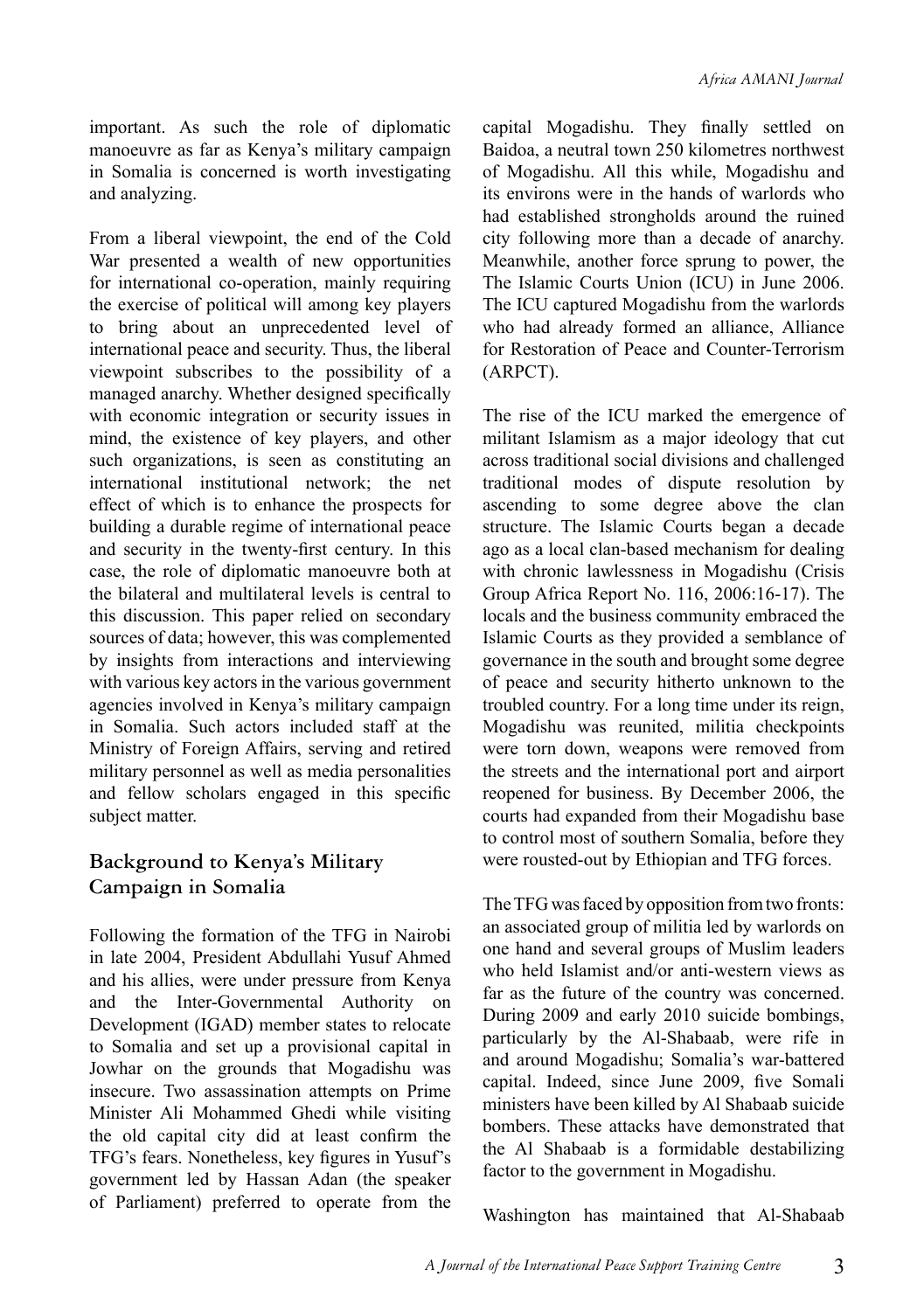important. As such the role of diplomatic manoeuvre as far as Kenya's military campaign in Somalia is concerned is worth investigating and analyzing.

From a liberal viewpoint, the end of the Cold War presented a wealth of new opportunities for international co-operation, mainly requiring the exercise of political will among key players to bring about an unprecedented level of international peace and security. Thus, the liberal viewpoint subscribes to the possibility of a managed anarchy. Whether designed specifically with economic integration or security issues in mind, the existence of key players, and other such organizations, is seen as constituting an international institutional network; the net effect of which is to enhance the prospects for building a durable regime of international peace and security in the twenty-first century. In this case, the role of diplomatic manoeuvre both at the bilateral and multilateral levels is central to this discussion. This paper relied on secondary sources of data; however, this was complemented by insights from interactions and interviewing with various key actors in the various government agencies involved in Kenya's military campaign in Somalia. Such actors included staff at the Ministry of Foreign Affairs, serving and retired military personnel as well as media personalities and fellow scholars engaged in this specific subject matter.

#### **Background to Kenya's Military Campaign in Somalia**

Following the formation of the TFG in Nairobi in late 2004, President Abdullahi Yusuf Ahmed and his allies, were under pressure from Kenya and the Inter-Governmental Authority on Development (IGAD) member states to relocate to Somalia and set up a provisional capital in Jowhar on the grounds that Mogadishu was insecure. Two assassination attempts on Prime Minister Ali Mohammed Ghedi while visiting the old capital city did at least confirm the TFG's fears. Nonetheless, key figures in Yusuf's government led by Hassan Adan (the speaker of Parliament) preferred to operate from the capital Mogadishu. They finally settled on Baidoa, a neutral town 250 kilometres northwest of Mogadishu. All this while, Mogadishu and its environs were in the hands of warlords who had established strongholds around the ruined city following more than a decade of anarchy. Meanwhile, another force sprung to power, the The Islamic Courts Union (ICU) in June 2006. The ICU captured Mogadishu from the warlords who had already formed an alliance, Alliance for Restoration of Peace and Counter-Terrorism (ARPCT).

The rise of the ICU marked the emergence of militant Islamism as a major ideology that cut across traditional social divisions and challenged traditional modes of dispute resolution by ascending to some degree above the clan structure. The Islamic Courts began a decade ago as a local clan-based mechanism for dealing with chronic lawlessness in Mogadishu (Crisis Group Africa Report No. 116, 2006:16-17). The locals and the business community embraced the Islamic Courts as they provided a semblance of governance in the south and brought some degree of peace and security hitherto unknown to the troubled country. For a long time under its reign, Mogadishu was reunited, militia checkpoints were torn down, weapons were removed from the streets and the international port and airport reopened for business. By December 2006, the courts had expanded from their Mogadishu base to control most of southern Somalia, before they were rousted-out by Ethiopian and TFG forces.

The TFG was faced by opposition from two fronts: an associated group of militia led by warlords on one hand and several groups of Muslim leaders who held Islamist and/or anti-western views as far as the future of the country was concerned. During 2009 and early 2010 suicide bombings, particularly by the Al-Shabaab, were rife in and around Mogadishu; Somalia's war-battered capital. Indeed, since June 2009, five Somali ministers have been killed by Al Shabaab suicide bombers. These attacks have demonstrated that the Al Shabaab is a formidable destabilizing factor to the government in Mogadishu.

Washington has maintained that Al-Shabaab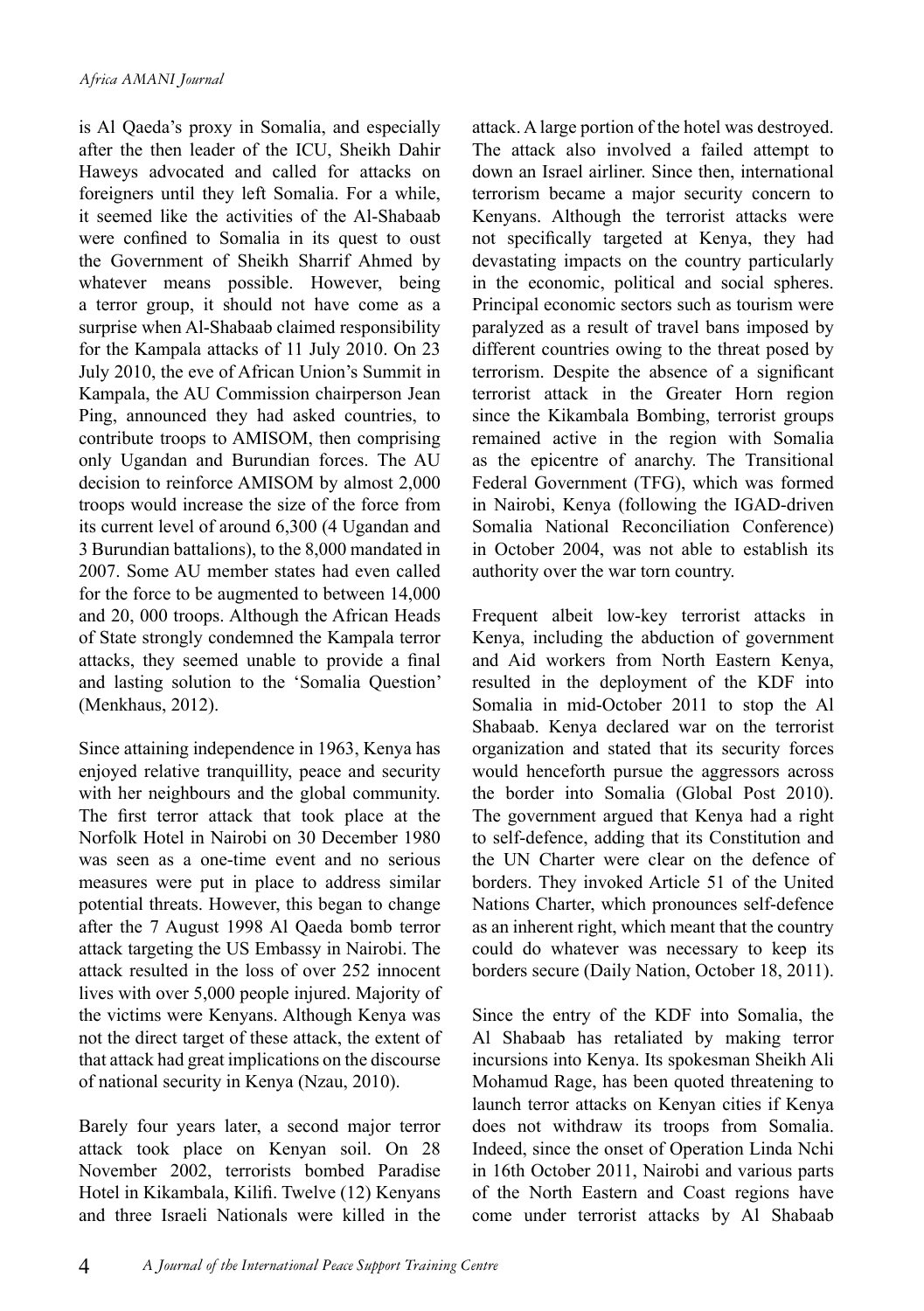is Al Qaeda's proxy in Somalia, and especially after the then leader of the ICU, Sheikh Dahir Haweys advocated and called for attacks on foreigners until they left Somalia. For a while, it seemed like the activities of the Al-Shabaab were confined to Somalia in its quest to oust the Government of Sheikh Sharrif Ahmed by whatever means possible. However, being a terror group, it should not have come as a surprise when Al-Shabaab claimed responsibility for the Kampala attacks of 11 July 2010. On 23 July 2010, the eve of African Union's Summit in Kampala, the AU Commission chairperson Jean Ping, announced they had asked countries, to contribute troops to AMISOM, then comprising only Ugandan and Burundian forces. The AU decision to reinforce AMISOM by almost 2,000 troops would increase the size of the force from its current level of around 6,300 (4 Ugandan and 3 Burundian battalions), to the 8,000 mandated in 2007. Some AU member states had even called for the force to be augmented to between 14,000 and 20, 000 troops. Although the African Heads of State strongly condemned the Kampala terror attacks, they seemed unable to provide a final and lasting solution to the 'Somalia Question' (Menkhaus, 2012).

Since attaining independence in 1963, Kenya has enjoyed relative tranquillity, peace and security with her neighbours and the global community. The first terror attack that took place at the Norfolk Hotel in Nairobi on 30 December 1980 was seen as a one-time event and no serious measures were put in place to address similar potential threats. However, this began to change after the 7 August 1998 Al Qaeda bomb terror attack targeting the US Embassy in Nairobi. The attack resulted in the loss of over 252 innocent lives with over 5,000 people injured. Majority of the victims were Kenyans. Although Kenya was not the direct target of these attack, the extent of that attack had great implications on the discourse of national security in Kenya (Nzau, 2010).

Barely four years later, a second major terror attack took place on Kenyan soil. On 28 November 2002, terrorists bombed Paradise Hotel in Kikambala, Kilifi. Twelve (12) Kenyans and three Israeli Nationals were killed in the attack. A large portion of the hotel was destroyed. The attack also involved a failed attempt to down an Israel airliner. Since then, international terrorism became a major security concern to Kenyans. Although the terrorist attacks were not specifically targeted at Kenya, they had devastating impacts on the country particularly in the economic, political and social spheres. Principal economic sectors such as tourism were paralyzed as a result of travel bans imposed by different countries owing to the threat posed by terrorism. Despite the absence of a significant terrorist attack in the Greater Horn region since the Kikambala Bombing, terrorist groups remained active in the region with Somalia as the epicentre of anarchy. The Transitional Federal Government (TFG), which was formed in Nairobi, Kenya (following the IGAD-driven Somalia National Reconciliation Conference) in October 2004, was not able to establish its authority over the war torn country.

Frequent albeit low-key terrorist attacks in Kenya, including the abduction of government and Aid workers from North Eastern Kenya, resulted in the deployment of the KDF into Somalia in mid-October 2011 to stop the Al Shabaab. Kenya declared war on the terrorist organization and stated that its security forces would henceforth pursue the aggressors across the border into Somalia (Global Post 2010). The government argued that Kenya had a right to self-defence, adding that its Constitution and the UN Charter were clear on the defence of borders. They invoked Article 51 of the United Nations Charter, which pronounces self-defence as an inherent right, which meant that the country could do whatever was necessary to keep its borders secure (Daily Nation, October 18, 2011).

Since the entry of the KDF into Somalia, the Al Shabaab has retaliated by making terror incursions into Kenya. Its spokesman Sheikh Ali Mohamud Rage, has been quoted threatening to launch terror attacks on Kenyan cities if Kenya does not withdraw its troops from Somalia. Indeed, since the onset of Operation Linda Nchi in 16th October 2011, Nairobi and various parts of the North Eastern and Coast regions have come under terrorist attacks by Al Shabaab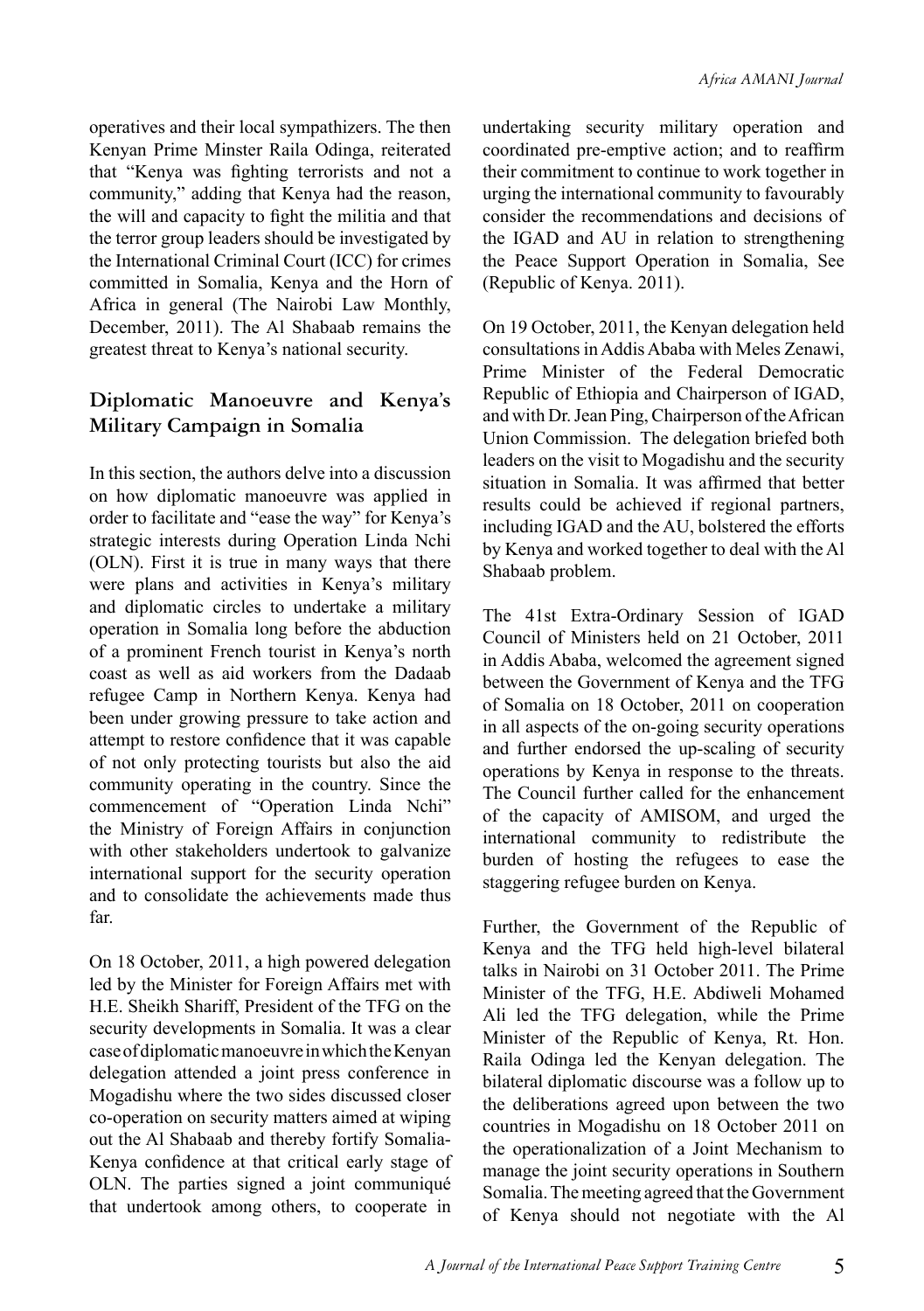operatives and their local sympathizers. The then Kenyan Prime Minster Raila Odinga, reiterated that "Kenya was fighting terrorists and not a community," adding that Kenya had the reason, the will and capacity to fight the militia and that the terror group leaders should be investigated by the International Criminal Court (ICC) for crimes committed in Somalia, Kenya and the Horn of Africa in general (The Nairobi Law Monthly, December, 2011). The Al Shabaab remains the greatest threat to Kenya's national security.

#### **Diplomatic Manoeuvre and Kenya's Military Campaign in Somalia**

In this section, the authors delve into a discussion on how diplomatic manoeuvre was applied in order to facilitate and "ease the way" for Kenya's strategic interests during Operation Linda Nchi (OLN). First it is true in many ways that there were plans and activities in Kenya's military and diplomatic circles to undertake a military operation in Somalia long before the abduction of a prominent French tourist in Kenya's north coast as well as aid workers from the Dadaab refugee Camp in Northern Kenya. Kenya had been under growing pressure to take action and attempt to restore confidence that it was capable of not only protecting tourists but also the aid community operating in the country. Since the commencement of "Operation Linda Nchi" the Ministry of Foreign Affairs in conjunction with other stakeholders undertook to galvanize international support for the security operation and to consolidate the achievements made thus far.

On 18 October, 2011, a high powered delegation led by the Minister for Foreign Affairs met with H.E. Sheikh Shariff, President of the TFG on the security developments in Somalia. It was a clear case of diplomatic manoeuvre in which the Kenyan delegation attended a joint press conference in Mogadishu where the two sides discussed closer co-operation on security matters aimed at wiping out the Al Shabaab and thereby fortify Somalia-Kenya confidence at that critical early stage of OLN. The parties signed a joint communiqué that undertook among others, to cooperate in undertaking security military operation and coordinated pre-emptive action; and to reaffirm their commitment to continue to work together in urging the international community to favourably consider the recommendations and decisions of the IGAD and AU in relation to strengthening the Peace Support Operation in Somalia, See (Republic of Kenya. 2011).

On 19 October, 2011, the Kenyan delegation held consultations in Addis Ababa with Meles Zenawi, Prime Minister of the Federal Democratic Republic of Ethiopia and Chairperson of IGAD, and with Dr. Jean Ping, Chairperson of the African Union Commission. The delegation briefed both leaders on the visit to Mogadishu and the security situation in Somalia. It was affirmed that better results could be achieved if regional partners, including IGAD and the AU, bolstered the efforts by Kenya and worked together to deal with the Al Shabaab problem.

The 41st Extra-Ordinary Session of IGAD Council of Ministers held on 21 October, 2011 in Addis Ababa, welcomed the agreement signed between the Government of Kenya and the TFG of Somalia on 18 October, 2011 on cooperation in all aspects of the on-going security operations and further endorsed the up-scaling of security operations by Kenya in response to the threats. The Council further called for the enhancement of the capacity of AMISOM, and urged the international community to redistribute the burden of hosting the refugees to ease the staggering refugee burden on Kenya.

Further, the Government of the Republic of Kenya and the TFG held high-level bilateral talks in Nairobi on 31 October 2011. The Prime Minister of the TFG, H.E. Abdiweli Mohamed Ali led the TFG delegation, while the Prime Minister of the Republic of Kenya, Rt. Hon. Raila Odinga led the Kenyan delegation. The bilateral diplomatic discourse was a follow up to the deliberations agreed upon between the two countries in Mogadishu on 18 October 2011 on the operationalization of a Joint Mechanism to manage the joint security operations in Southern Somalia. The meeting agreed that the Government of Kenya should not negotiate with the Al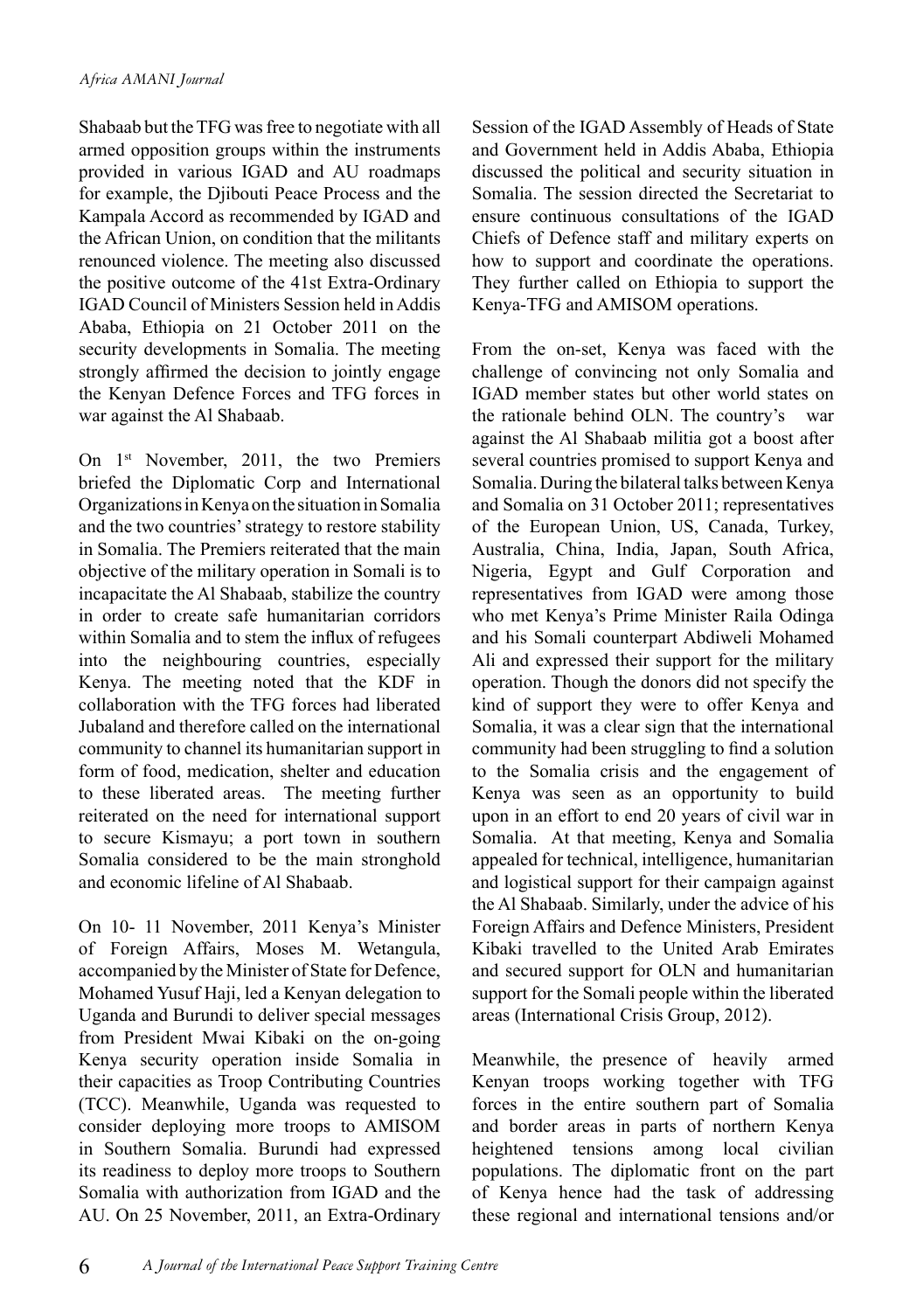Shabaab but the TFG was free to negotiate with all armed opposition groups within the instruments provided in various IGAD and AU roadmaps for example, the Djibouti Peace Process and the Kampala Accord as recommended by IGAD and the African Union, on condition that the militants renounced violence. The meeting also discussed the positive outcome of the 41st Extra-Ordinary IGAD Council of Ministers Session held in Addis Ababa, Ethiopia on 21 October 2011 on the security developments in Somalia. The meeting strongly affirmed the decision to jointly engage the Kenyan Defence Forces and TFG forces in war against the Al Shabaab.

On 1st November, 2011, the two Premiers briefed the Diplomatic Corp and International Organizations in Kenya on the situation in Somalia and the two countries' strategy to restore stability in Somalia. The Premiers reiterated that the main objective of the military operation in Somali is to incapacitate the Al Shabaab, stabilize the country in order to create safe humanitarian corridors within Somalia and to stem the influx of refugees into the neighbouring countries, especially Kenya. The meeting noted that the KDF in collaboration with the TFG forces had liberated Jubaland and therefore called on the international community to channel its humanitarian support in form of food, medication, shelter and education to these liberated areas. The meeting further reiterated on the need for international support to secure Kismayu; a port town in southern Somalia considered to be the main stronghold and economic lifeline of Al Shabaab.

On 10- 11 November, 2011 Kenya's Minister of Foreign Affairs, Moses M. Wetangula, accompanied by the Minister of State for Defence, Mohamed Yusuf Haji, led a Kenyan delegation to Uganda and Burundi to deliver special messages from President Mwai Kibaki on the on-going Kenya security operation inside Somalia in their capacities as Troop Contributing Countries (TCC). Meanwhile, Uganda was requested to consider deploying more troops to AMISOM in Southern Somalia. Burundi had expressed its readiness to deploy more troops to Southern Somalia with authorization from IGAD and the AU. On 25 November, 2011, an Extra-Ordinary Session of the IGAD Assembly of Heads of State and Government held in Addis Ababa, Ethiopia discussed the political and security situation in Somalia. The session directed the Secretariat to ensure continuous consultations of the IGAD Chiefs of Defence staff and military experts on how to support and coordinate the operations. They further called on Ethiopia to support the Kenya-TFG and AMISOM operations.

From the on-set, Kenya was faced with the challenge of convincing not only Somalia and IGAD member states but other world states on the rationale behind OLN. The country's war against the Al Shabaab militia got a boost after several countries promised to support Kenya and Somalia. During the bilateral talks between Kenya and Somalia on 31 October 2011; representatives of the European Union, US, Canada, Turkey, Australia, China, India, Japan, South Africa, Nigeria, Egypt and Gulf Corporation and representatives from IGAD were among those who met Kenya's Prime Minister Raila Odinga and his Somali counterpart Abdiweli Mohamed Ali and expressed their support for the military operation. Though the donors did not specify the kind of support they were to offer Kenya and Somalia, it was a clear sign that the international community had been struggling to find a solution to the Somalia crisis and the engagement of Kenya was seen as an opportunity to build upon in an effort to end 20 years of civil war in Somalia. At that meeting, Kenya and Somalia appealed for technical, intelligence, humanitarian and logistical support for their campaign against the Al Shabaab. Similarly, under the advice of his Foreign Affairs and Defence Ministers, President Kibaki travelled to the United Arab Emirates and secured support for OLN and humanitarian support for the Somali people within the liberated areas (International Crisis Group, 2012).

Meanwhile, the presence of heavily armed Kenyan troops working together with TFG forces in the entire southern part of Somalia and border areas in parts of northern Kenya heightened tensions among local civilian populations. The diplomatic front on the part of Kenya hence had the task of addressing these regional and international tensions and/or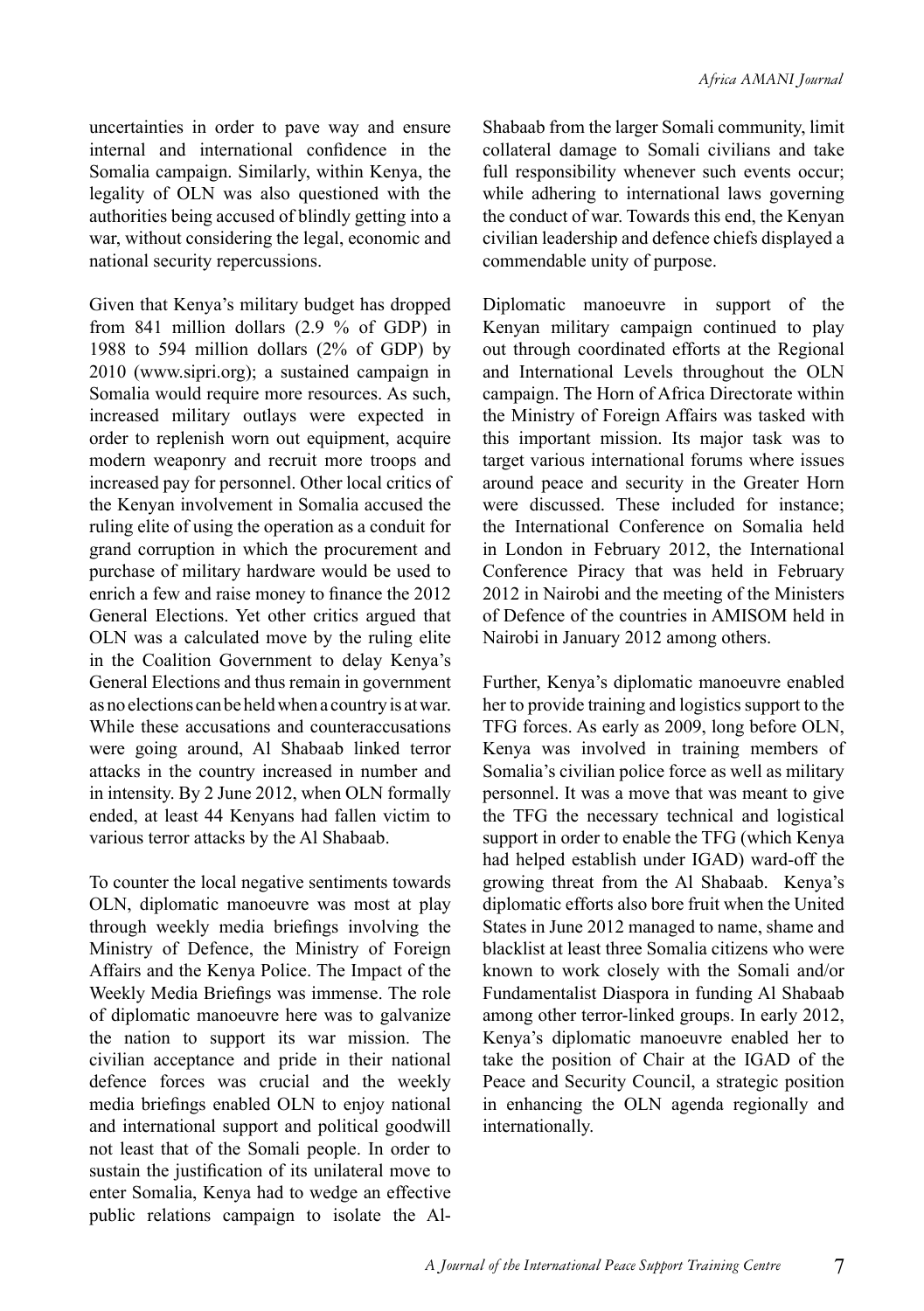uncertainties in order to pave way and ensure internal and international confidence in the Somalia campaign. Similarly, within Kenya, the legality of OLN was also questioned with the authorities being accused of blindly getting into a war, without considering the legal, economic and national security repercussions.

Given that Kenya's military budget has dropped from 841 million dollars (2.9 % of GDP) in 1988 to 594 million dollars (2% of GDP) by 2010 (www.sipri.org); a sustained campaign in Somalia would require more resources. As such, increased military outlays were expected in order to replenish worn out equipment, acquire modern weaponry and recruit more troops and increased pay for personnel. Other local critics of the Kenyan involvement in Somalia accused the ruling elite of using the operation as a conduit for grand corruption in which the procurement and purchase of military hardware would be used to enrich a few and raise money to finance the 2012 General Elections. Yet other critics argued that OLN was a calculated move by the ruling elite in the Coalition Government to delay Kenya's General Elections and thus remain in government as no elections can be held when a country is at war. While these accusations and counteraccusations were going around, Al Shabaab linked terror attacks in the country increased in number and in intensity. By 2 June 2012, when OLN formally ended, at least 44 Kenyans had fallen victim to various terror attacks by the Al Shabaab.

To counter the local negative sentiments towards OLN, diplomatic manoeuvre was most at play through weekly media briefings involving the Ministry of Defence, the Ministry of Foreign Affairs and the Kenya Police. The Impact of the Weekly Media Briefings was immense. The role of diplomatic manoeuvre here was to galvanize the nation to support its war mission. The civilian acceptance and pride in their national defence forces was crucial and the weekly media briefings enabled OLN to enjoy national and international support and political goodwill not least that of the Somali people. In order to sustain the justification of its unilateral move to enter Somalia, Kenya had to wedge an effective public relations campaign to isolate the AlShabaab from the larger Somali community, limit collateral damage to Somali civilians and take full responsibility whenever such events occur; while adhering to international laws governing the conduct of war. Towards this end, the Kenyan civilian leadership and defence chiefs displayed a commendable unity of purpose.

Diplomatic manoeuvre in support of the Kenyan military campaign continued to play out through coordinated efforts at the Regional and International Levels throughout the OLN campaign. The Horn of Africa Directorate within the Ministry of Foreign Affairs was tasked with this important mission. Its major task was to target various international forums where issues around peace and security in the Greater Horn were discussed. These included for instance; the International Conference on Somalia held in London in February 2012, the International Conference Piracy that was held in February 2012 in Nairobi and the meeting of the Ministers of Defence of the countries in AMISOM held in Nairobi in January 2012 among others.

Further, Kenya's diplomatic manoeuvre enabled her to provide training and logistics support to the TFG forces. As early as 2009, long before OLN, Kenya was involved in training members of Somalia's civilian police force as well as military personnel. It was a move that was meant to give the TFG the necessary technical and logistical support in order to enable the TFG (which Kenya had helped establish under IGAD) ward-off the growing threat from the Al Shabaab. Kenya's diplomatic efforts also bore fruit when the United States in June 2012 managed to name, shame and blacklist at least three Somalia citizens who were known to work closely with the Somali and/or Fundamentalist Diaspora in funding Al Shabaab among other terror-linked groups. In early 2012, Kenya's diplomatic manoeuvre enabled her to take the position of Chair at the IGAD of the Peace and Security Council, a strategic position in enhancing the OLN agenda regionally and internationally.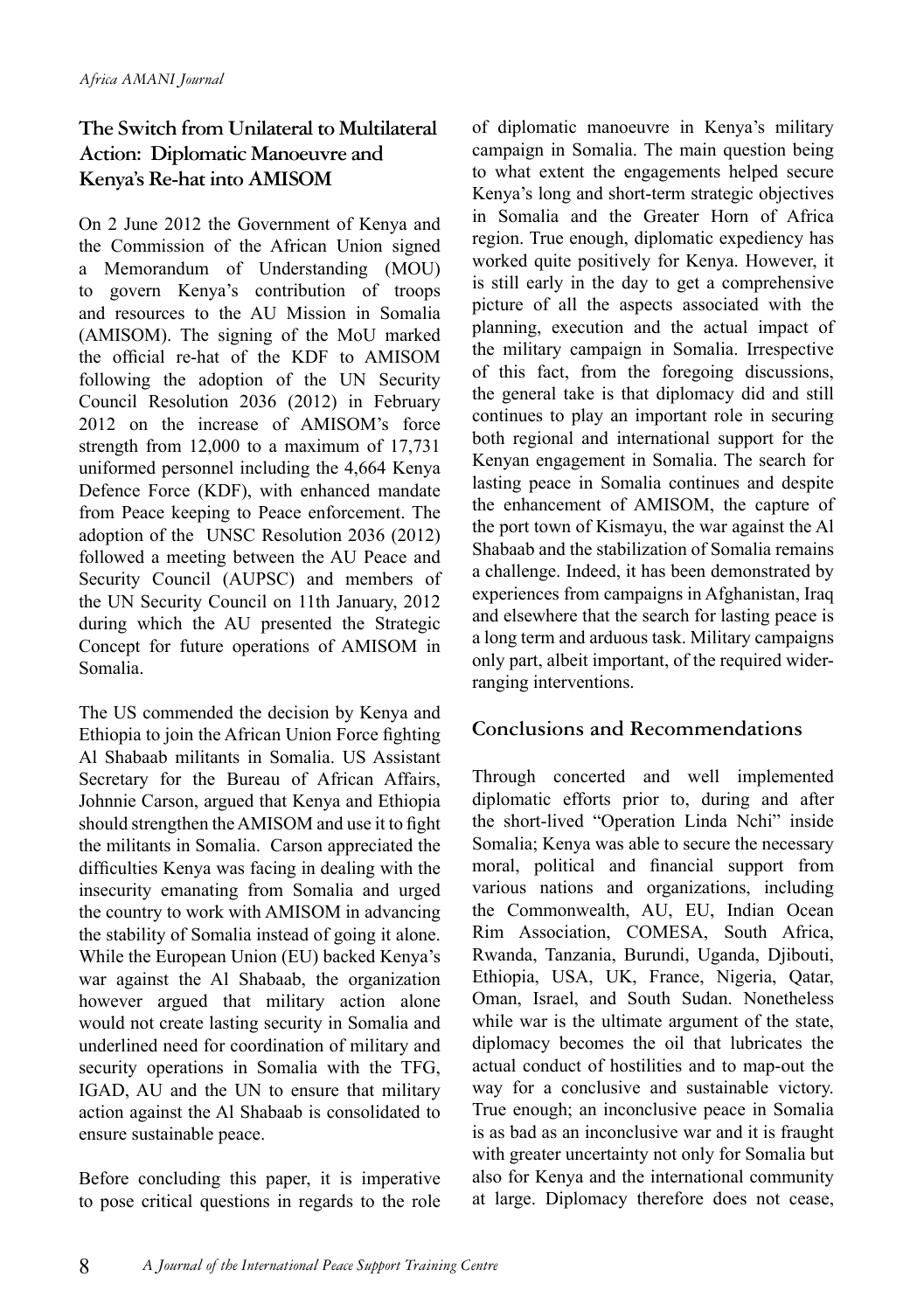#### **The Switch from Unilateral to Multilateral Action: Diplomatic Manoeuvre and Kenya's Re-hat into AMISOM**

On 2 June 2012 the Government of Kenya and the Commission of the African Union signed a Memorandum of Understanding (MOU) to govern Kenya's contribution of troops and resources to the AU Mission in Somalia (AMISOM). The signing of the MoU marked the official re-hat of the KDF to AMISOM following the adoption of the UN Security Council Resolution 2036 (2012) in February 2012 on the increase of AMISOM's force strength from 12,000 to a maximum of 17,731 uniformed personnel including the 4,664 Kenya Defence Force (KDF), with enhanced mandate from Peace keeping to Peace enforcement. The adoption of the UNSC Resolution 2036 (2012) followed a meeting between the AU Peace and Security Council (AUPSC) and members of the UN Security Council on 11th January, 2012 during which the AU presented the Strategic Concept for future operations of AMISOM in Somalia.

The US commended the decision by Kenya and Ethiopia to join the African Union Force fighting Al Shabaab militants in Somalia. US Assistant Secretary for the Bureau of African Affairs, Johnnie Carson, argued that Kenya and Ethiopia should strengthen the AMISOM and use it to fight the militants in Somalia. Carson appreciated the difficulties Kenya was facing in dealing with the insecurity emanating from Somalia and urged the country to work with AMISOM in advancing the stability of Somalia instead of going it alone. While the European Union (EU) backed Kenya's war against the Al Shabaab, the organization however argued that military action alone would not create lasting security in Somalia and underlined need for coordination of military and security operations in Somalia with the TFG, IGAD, AU and the UN to ensure that military action against the Al Shabaab is consolidated to ensure sustainable peace.

Before concluding this paper, it is imperative to pose critical questions in regards to the role of diplomatic manoeuvre in Kenya's military campaign in Somalia. The main question being to what extent the engagements helped secure Kenya's long and short-term strategic objectives in Somalia and the Greater Horn of Africa region. True enough, diplomatic expediency has worked quite positively for Kenya. However, it is still early in the day to get a comprehensive picture of all the aspects associated with the planning, execution and the actual impact of the military campaign in Somalia. Irrespective of this fact, from the foregoing discussions, the general take is that diplomacy did and still continues to play an important role in securing both regional and international support for the Kenyan engagement in Somalia. The search for lasting peace in Somalia continues and despite the enhancement of AMISOM, the capture of the port town of Kismayu, the war against the Al Shabaab and the stabilization of Somalia remains a challenge. Indeed, it has been demonstrated by experiences from campaigns in Afghanistan, Iraq and elsewhere that the search for lasting peace is a long term and arduous task. Military campaigns only part, albeit important, of the required widerranging interventions.

#### **Conclusions and Recommendations**

Through concerted and well implemented diplomatic efforts prior to, during and after the short-lived "Operation Linda Nchi" inside Somalia; Kenya was able to secure the necessary moral, political and financial support from various nations and organizations, including the Commonwealth, AU, EU, Indian Ocean Rim Association, COMESA, South Africa, Rwanda, Tanzania, Burundi, Uganda, Djibouti, Ethiopia, USA, UK, France, Nigeria, Qatar, Oman, Israel, and South Sudan. Nonetheless while war is the ultimate argument of the state, diplomacy becomes the oil that lubricates the actual conduct of hostilities and to map-out the way for a conclusive and sustainable victory. True enough; an inconclusive peace in Somalia is as bad as an inconclusive war and it is fraught with greater uncertainty not only for Somalia but also for Kenya and the international community at large. Diplomacy therefore does not cease,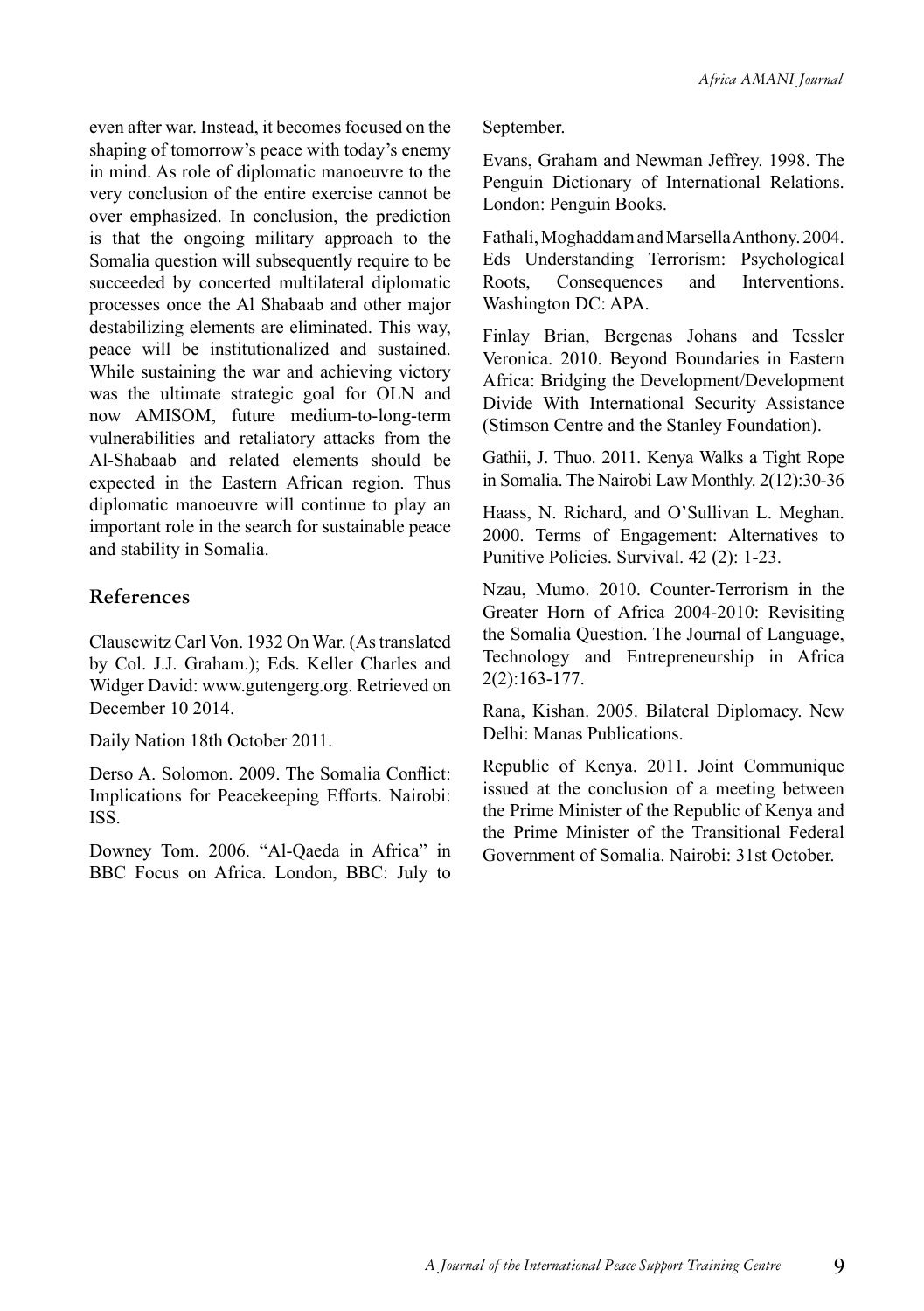even after war. Instead, it becomes focused on the shaping of tomorrow's peace with today's enemy in mind. As role of diplomatic manoeuvre to the very conclusion of the entire exercise cannot be over emphasized. In conclusion, the prediction is that the ongoing military approach to the Somalia question will subsequently require to be succeeded by concerted multilateral diplomatic processes once the Al Shabaab and other major destabilizing elements are eliminated. This way, peace will be institutionalized and sustained. While sustaining the war and achieving victory was the ultimate strategic goal for OLN and now AMISOM, future medium-to-long-term vulnerabilities and retaliatory attacks from the Al-Shabaab and related elements should be expected in the Eastern African region. Thus diplomatic manoeuvre will continue to play an important role in the search for sustainable peace and stability in Somalia.

#### **References**

Clausewitz Carl Von. 1932 On War. (As translated by Col. J.J. Graham.); Eds. Keller Charles and Widger David: www.gutengerg.org. Retrieved on December 10 2014.

Daily Nation 18th October 2011.

Derso A. Solomon. 2009. The Somalia Conflict: Implications for Peacekeeping Efforts. Nairobi: ISS.

Downey Tom. 2006. "Al-Qaeda in Africa" in BBC Focus on Africa. London, BBC: July to September.

Evans, Graham and Newman Jeffrey. 1998. The Penguin Dictionary of International Relations. London: Penguin Books.

Fathali, Moghaddam and Marsella Anthony. 2004. Eds Understanding Terrorism: Psychological Roots, Consequences and Interventions. Washington DC: APA.

Finlay Brian, Bergenas Johans and Tessler Veronica. 2010. Beyond Boundaries in Eastern Africa: Bridging the Development/Development Divide With International Security Assistance (Stimson Centre and the Stanley Foundation).

Gathii, J. Thuo. 2011. Kenya Walks a Tight Rope in Somalia. The Nairobi Law Monthly. 2(12):30-36

Haass, N. Richard, and O'Sullivan L. Meghan. 2000. Terms of Engagement: Alternatives to Punitive Policies. Survival. 42 (2): 1-23.

Nzau, Mumo. 2010. Counter-Terrorism in the Greater Horn of Africa 2004-2010: Revisiting the Somalia Question. The Journal of Language, Technology and Entrepreneurship in Africa 2(2):163-177.

Rana, Kishan. 2005. Bilateral Diplomacy. New Delhi: Manas Publications.

Republic of Kenya. 2011. Joint Communique issued at the conclusion of a meeting between the Prime Minister of the Republic of Kenya and the Prime Minister of the Transitional Federal Government of Somalia. Nairobi: 31st October.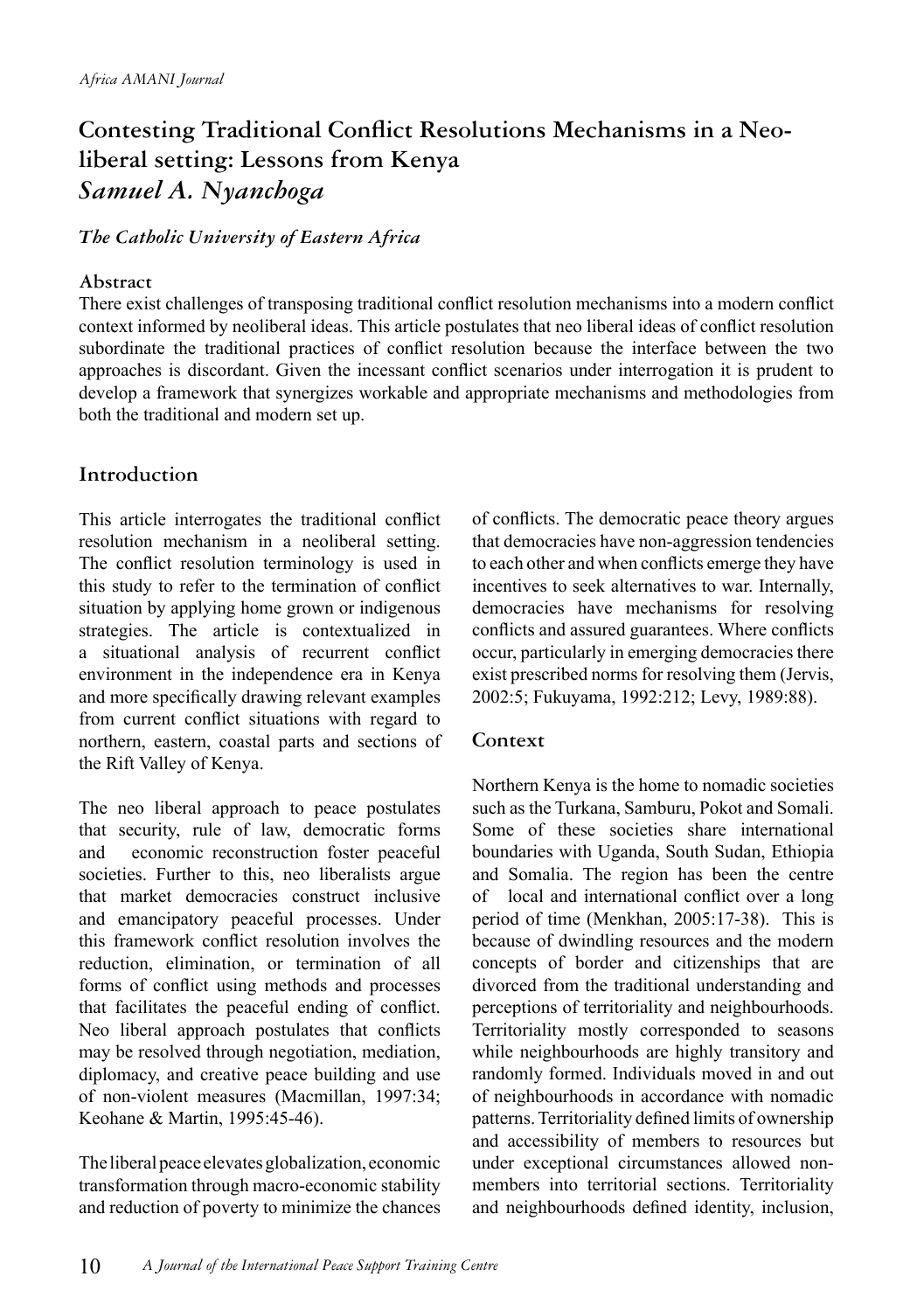## **Contesting Traditional Conflict Resolutions Mechanisms in a Neoliberal setting: Lessons from Kenya**  *Samuel A. Nyanchoga*

#### *The Catholic University of Eastern Africa*

#### **Abstract**

There exist challenges of transposing traditional conflict resolution mechanisms into a modern conflict context informed by neoliberal ideas. This article postulates that neo liberal ideas of conflict resolution subordinate the traditional practices of conflict resolution because the interface between the two approaches is discordant. Given the incessant conflict scenarios under interrogation it is prudent to develop a framework that synergizes workable and appropriate mechanisms and methodologies from both the traditional and modern set up.

#### **Introduction**

This article interrogates the traditional conflict resolution mechanism in a neoliberal setting. The conflict resolution terminology is used in this study to refer to the termination of conflict situation by applying home grown or indigenous strategies. The article is contextualized in a situational analysis of recurrent conflict environment in the independence era in Kenya and more specifically drawing relevant examples from current conflict situations with regard to northern, eastern, coastal parts and sections of the Rift Valley of Kenya.

The neo liberal approach to peace postulates that security, rule of law, democratic forms and economic reconstruction foster peaceful societies. Further to this, neo liberalists argue that market democracies construct inclusive and emancipatory peaceful processes. Under this framework conflict resolution involves the reduction, elimination, or termination of all forms of conflict using methods and processes that facilitates the peaceful ending of conflict. Neo liberal approach postulates that conflicts may be resolved through negotiation, mediation, diplomacy, and creative peace building and use of non-violent measures (Macmillan, 1997:34; Keohane & Martin, 1995:45-46).

The liberal peace elevates globalization, economic transformation through macro-economic stability and reduction of poverty to minimize the chances of conflicts. The democratic peace theory argues that democracies have non-aggression tendencies to each other and when conflicts emerge they have incentives to seek alternatives to war. Internally, democracies have mechanisms for resolving conflicts and assured guarantees. Where conflicts occur, particularly in emerging democracies there exist prescribed norms for resolving them (Jervis, 2002:5; Fukuyama, 1992:212; Levy, 1989:88).

#### **Context**

Northern Kenya is the home to nomadic societies such as the Turkana, Samburu, Pokot and Somali. Some of these societies share international boundaries with Uganda, South Sudan, Ethiopia and Somalia. The region has been the centre of local and international conflict over a long period of time (Menkhan, 2005:17-38). This is because of dwindling resources and the modern concepts of border and citizenships that are divorced from the traditional understanding and perceptions of territoriality and neighbourhoods. Territoriality mostly corresponded to seasons while neighbourhoods are highly transitory and randomly formed. Individuals moved in and out of neighbourhoods in accordance with nomadic patterns. Territoriality defined limits of ownership and accessibility of members to resources but under exceptional circumstances allowed nonmembers into territorial sections. Territoriality and neighbourhoods defined identity, inclusion,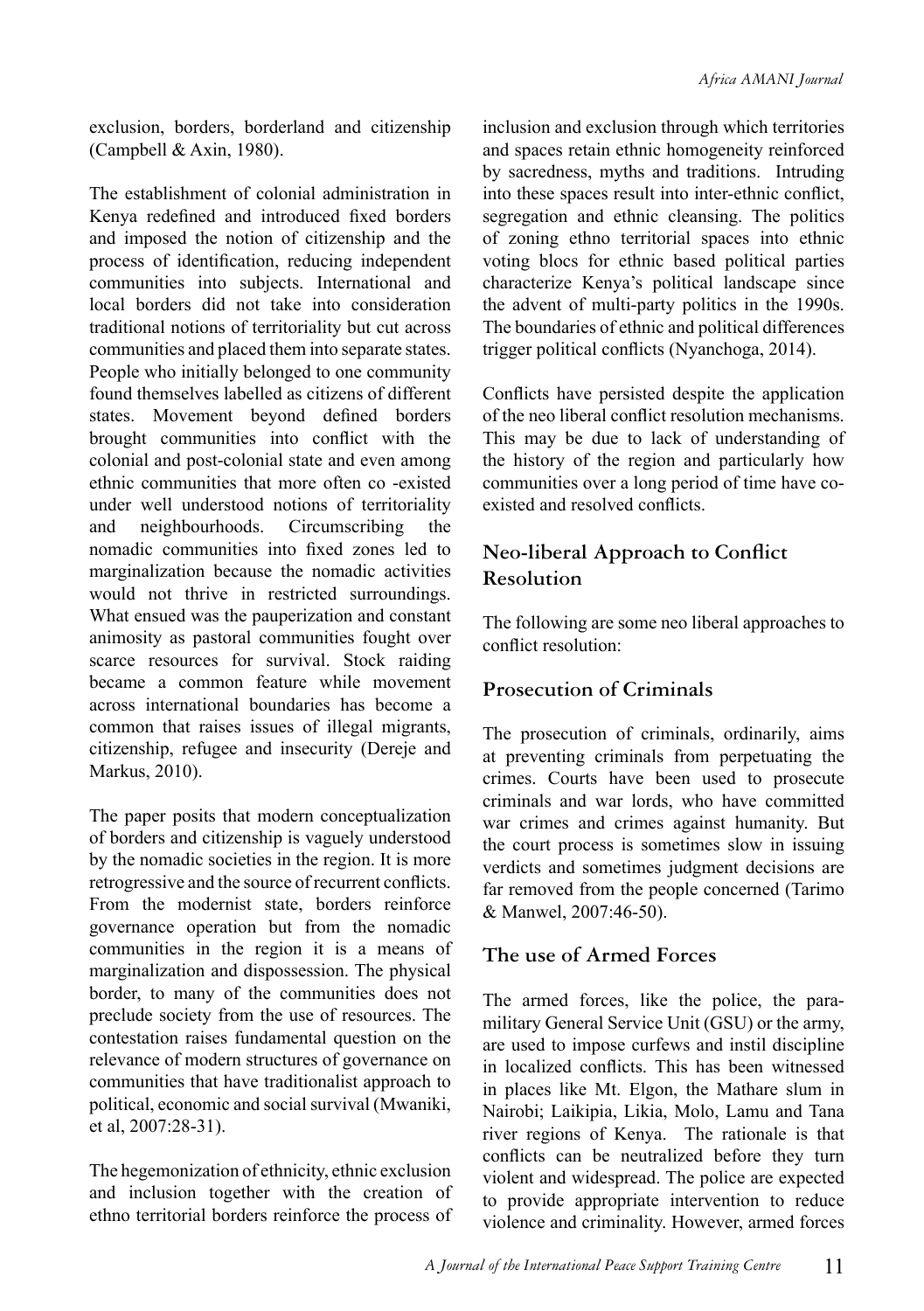exclusion, borders, borderland and citizenship (Campbell & Axin, 1980).

The establishment of colonial administration in Kenya redefined and introduced fixed borders and imposed the notion of citizenship and the process of identification, reducing independent communities into subjects. International and local borders did not take into consideration traditional notions of territoriality but cut across communities and placed them into separate states. People who initially belonged to one community found themselves labelled as citizens of different states. Movement beyond defined borders brought communities into conflict with the colonial and post-colonial state and even among ethnic communities that more often co -existed under well understood notions of territoriality and neighbourhoods. Circumscribing the nomadic communities into fixed zones led to marginalization because the nomadic activities would not thrive in restricted surroundings. What ensued was the pauperization and constant animosity as pastoral communities fought over scarce resources for survival. Stock raiding became a common feature while movement across international boundaries has become a common that raises issues of illegal migrants, citizenship, refugee and insecurity (Dereje and Markus, 2010).

The paper posits that modern conceptualization of borders and citizenship is vaguely understood by the nomadic societies in the region. It is more retrogressive and the source of recurrent conflicts. From the modernist state, borders reinforce governance operation but from the nomadic communities in the region it is a means of marginalization and dispossession. The physical border, to many of the communities does not preclude society from the use of resources. The contestation raises fundamental question on the relevance of modern structures of governance on communities that have traditionalist approach to political, economic and social survival (Mwaniki, et al, 2007:28-31).

The hegemonization of ethnicity, ethnic exclusion and inclusion together with the creation of ethno territorial borders reinforce the process of inclusion and exclusion through which territories and spaces retain ethnic homogeneity reinforced by sacredness, myths and traditions. Intruding into these spaces result into inter-ethnic conflict, segregation and ethnic cleansing. The politics of zoning ethno territorial spaces into ethnic voting blocs for ethnic based political parties characterize Kenya's political landscape since the advent of multi-party politics in the 1990s. The boundaries of ethnic and political differences trigger political conflicts (Nyanchoga, 2014).

Conflicts have persisted despite the application of the neo liberal conflict resolution mechanisms. This may be due to lack of understanding of the history of the region and particularly how communities over a long period of time have coexisted and resolved conflicts.

#### **Neo-liberal Approach to Conflict Resolution**

The following are some neo liberal approaches to conflict resolution:

#### **Prosecution of Criminals**

The prosecution of criminals, ordinarily, aims at preventing criminals from perpetuating the crimes. Courts have been used to prosecute criminals and war lords, who have committed war crimes and crimes against humanity. But the court process is sometimes slow in issuing verdicts and sometimes judgment decisions are far removed from the people concerned (Tarimo & Manwel, 2007:46-50).

#### **The use of Armed Forces**

The armed forces, like the police, the paramilitary General Service Unit (GSU) or the army, are used to impose curfews and instil discipline in localized conflicts. This has been witnessed in places like Mt. Elgon, the Mathare slum in Nairobi; Laikipia, Likia, Molo, Lamu and Tana river regions of Kenya. The rationale is that conflicts can be neutralized before they turn violent and widespread. The police are expected to provide appropriate intervention to reduce violence and criminality. However, armed forces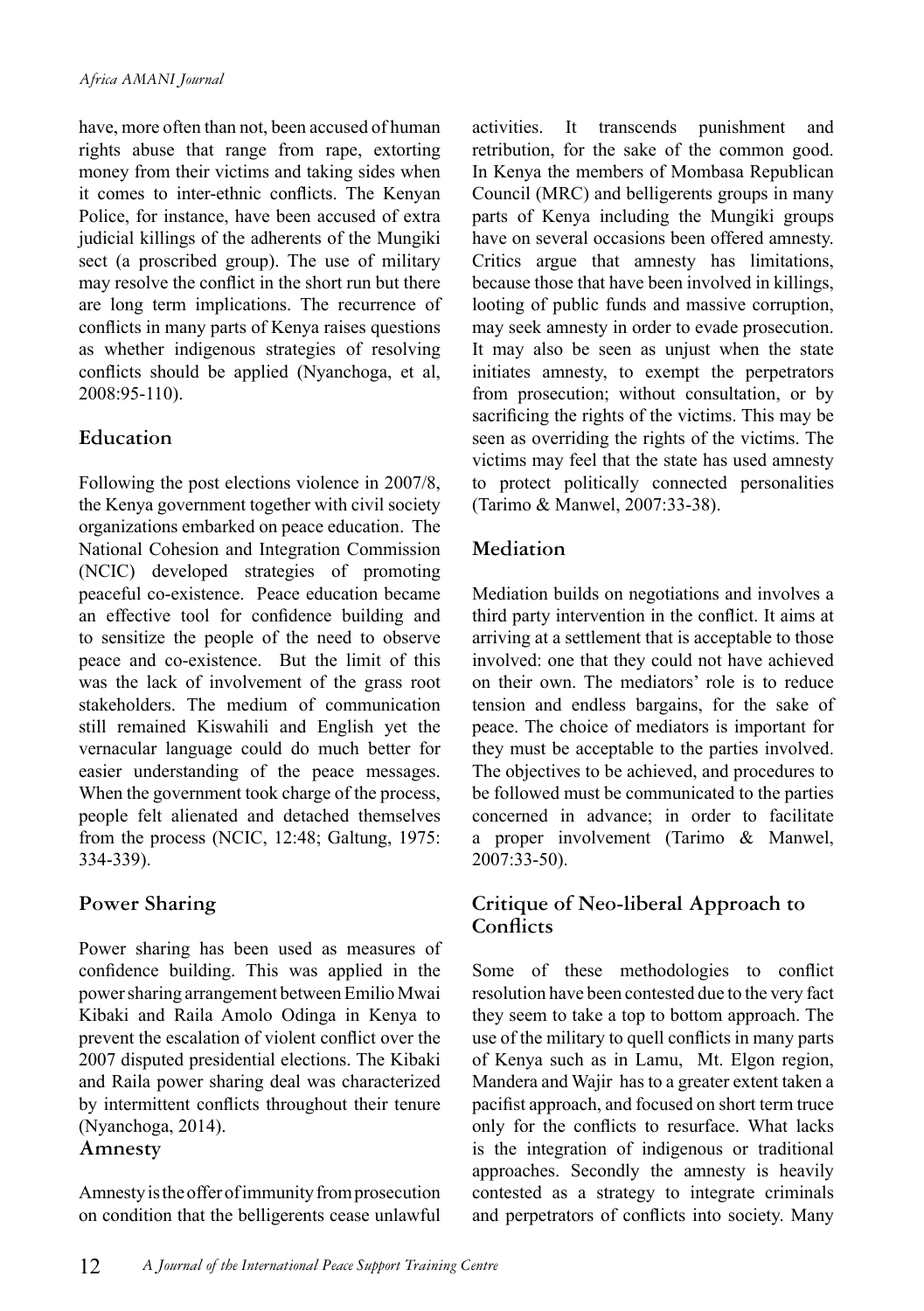have, more often than not, been accused of human rights abuse that range from rape, extorting money from their victims and taking sides when it comes to inter-ethnic conflicts. The Kenyan Police, for instance, have been accused of extra judicial killings of the adherents of the Mungiki sect (a proscribed group). The use of military may resolve the conflict in the short run but there are long term implications. The recurrence of conflicts in many parts of Kenya raises questions as whether indigenous strategies of resolving conflicts should be applied (Nyanchoga, et al, 2008:95-110).

#### **Education**

Following the post elections violence in 2007/8, the Kenya government together with civil society organizations embarked on peace education. The National Cohesion and Integration Commission (NCIC) developed strategies of promoting peaceful co-existence. Peace education became an effective tool for confidence building and to sensitize the people of the need to observe peace and co-existence. But the limit of this was the lack of involvement of the grass root stakeholders. The medium of communication still remained Kiswahili and English yet the vernacular language could do much better for easier understanding of the peace messages. When the government took charge of the process, people felt alienated and detached themselves from the process (NCIC, 12:48; Galtung, 1975: 334-339).

#### **Power Sharing**

Power sharing has been used as measures of confidence building. This was applied in the power sharing arrangement between Emilio Mwai Kibaki and Raila Amolo Odinga in Kenya to prevent the escalation of violent conflict over the 2007 disputed presidential elections. The Kibaki and Raila power sharing deal was characterized by intermittent conflicts throughout their tenure (Nyanchoga, 2014).

#### **Amnesty**

Amnesty is the offer of immunity from prosecution on condition that the belligerents cease unlawful activities. It transcends punishment and retribution, for the sake of the common good. In Kenya the members of Mombasa Republican Council (MRC) and belligerents groups in many parts of Kenya including the Mungiki groups have on several occasions been offered amnesty. Critics argue that amnesty has limitations, because those that have been involved in killings, looting of public funds and massive corruption, may seek amnesty in order to evade prosecution. It may also be seen as unjust when the state initiates amnesty, to exempt the perpetrators from prosecution; without consultation, or by sacrificing the rights of the victims. This may be seen as overriding the rights of the victims. The victims may feel that the state has used amnesty to protect politically connected personalities (Tarimo & Manwel, 2007:33-38).

#### **Mediation**

Mediation builds on negotiations and involves a third party intervention in the conflict. It aims at arriving at a settlement that is acceptable to those involved: one that they could not have achieved on their own. The mediators' role is to reduce tension and endless bargains, for the sake of peace. The choice of mediators is important for they must be acceptable to the parties involved. The objectives to be achieved, and procedures to be followed must be communicated to the parties concerned in advance; in order to facilitate a proper involvement (Tarimo & Manwel, 2007:33-50).

#### **Critique of Neo-liberal Approach to Conflicts**

Some of these methodologies to conflict resolution have been contested due to the very fact they seem to take a top to bottom approach. The use of the military to quell conflicts in many parts of Kenya such as in Lamu, Mt. Elgon region, Mandera and Wajir has to a greater extent taken a pacifist approach, and focused on short term truce only for the conflicts to resurface. What lacks is the integration of indigenous or traditional approaches. Secondly the amnesty is heavily contested as a strategy to integrate criminals and perpetrators of conflicts into society. Many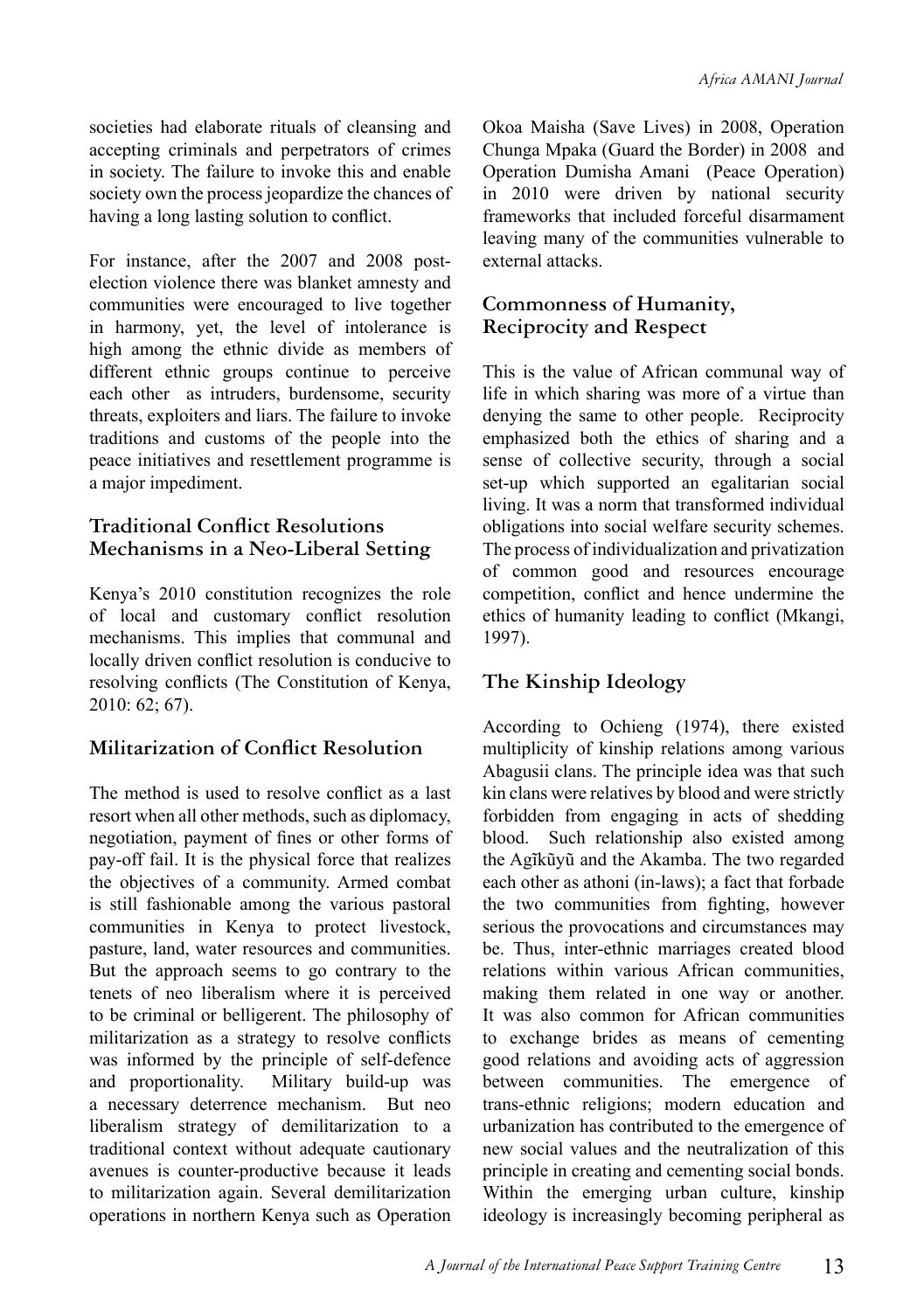societies had elaborate rituals of cleansing and accepting criminals and perpetrators of crimes in society. The failure to invoke this and enable society own the process jeopardize the chances of having a long lasting solution to conflict.

For instance, after the 2007 and 2008 postelection violence there was blanket amnesty and communities were encouraged to live together in harmony, yet, the level of intolerance is high among the ethnic divide as members of different ethnic groups continue to perceive each other as intruders, burdensome, security threats, exploiters and liars. The failure to invoke traditions and customs of the people into the peace initiatives and resettlement programme is a major impediment.

#### **Traditional Conflict Resolutions Mechanisms in a Neo-Liberal Setting**

Kenya's 2010 constitution recognizes the role of local and customary conflict resolution mechanisms. This implies that communal and locally driven conflict resolution is conducive to resolving conflicts (The Constitution of Kenya, 2010: 62; 67).

#### **Militarization of Conflict Resolution**

The method is used to resolve conflict as a last resort when all other methods, such as diplomacy, negotiation, payment of fines or other forms of pay-off fail. It is the physical force that realizes the objectives of a community. Armed combat is still fashionable among the various pastoral communities in Kenya to protect livestock, pasture, land, water resources and communities. But the approach seems to go contrary to the tenets of neo liberalism where it is perceived to be criminal or belligerent. The philosophy of militarization as a strategy to resolve conflicts was informed by the principle of self-defence and proportionality. Military build-up was a necessary deterrence mechanism. But neo liberalism strategy of demilitarization to a traditional context without adequate cautionary avenues is counter-productive because it leads to militarization again. Several demilitarization operations in northern Kenya such as Operation

Okoa Maisha (Save Lives) in 2008, Operation Chunga Mpaka (Guard the Border) in 2008 and Operation Dumisha Amani (Peace Operation) in 2010 were driven by national security frameworks that included forceful disarmament leaving many of the communities vulnerable to external attacks.

#### **Commonness of Humanity, Reciprocity and Respect**

This is the value of African communal way of life in which sharing was more of a virtue than denying the same to other people. Reciprocity emphasized both the ethics of sharing and a sense of collective security, through a social set-up which supported an egalitarian social living. It was a norm that transformed individual obligations into social welfare security schemes. The process of individualization and privatization of common good and resources encourage competition, conflict and hence undermine the ethics of humanity leading to conflict (Mkangi, 1997).

#### **The Kinship Ideology**

According to Ochieng (1974), there existed multiplicity of kinship relations among various Abagusii clans. The principle idea was that such kin clans were relatives by blood and were strictly forbidden from engaging in acts of shedding blood. Such relationship also existed among the Agĩkũyũ and the Akamba. The two regarded each other as athoni (in-laws); a fact that forbade the two communities from fighting, however serious the provocations and circumstances may be. Thus, inter-ethnic marriages created blood relations within various African communities, making them related in one way or another. It was also common for African communities to exchange brides as means of cementing good relations and avoiding acts of aggression between communities. The emergence of trans-ethnic religions; modern education and urbanization has contributed to the emergence of new social values and the neutralization of this principle in creating and cementing social bonds. Within the emerging urban culture, kinship ideology is increasingly becoming peripheral as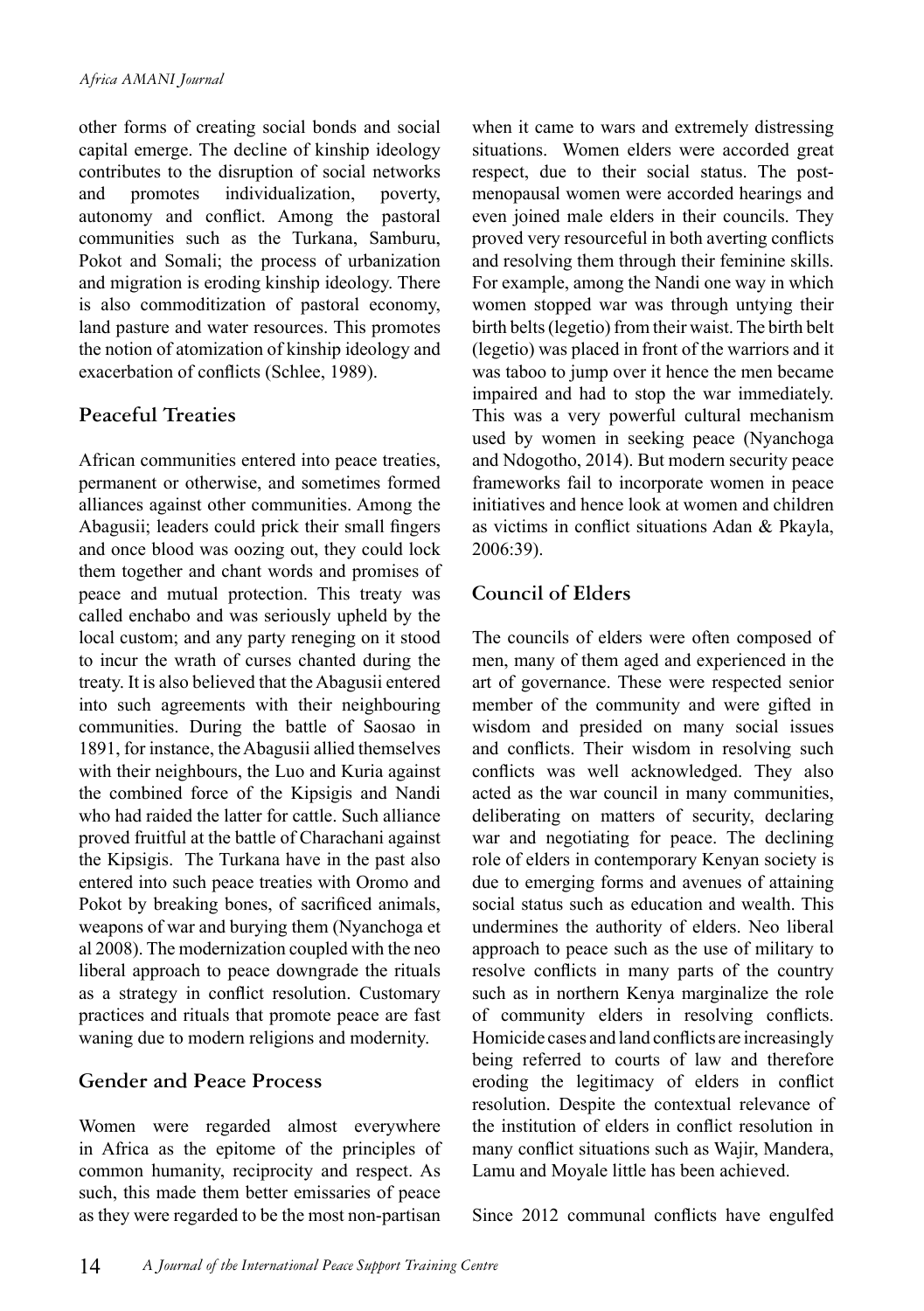other forms of creating social bonds and social capital emerge. The decline of kinship ideology contributes to the disruption of social networks and promotes individualization, poverty, autonomy and conflict. Among the pastoral communities such as the Turkana, Samburu, Pokot and Somali; the process of urbanization and migration is eroding kinship ideology. There is also commoditization of pastoral economy, land pasture and water resources. This promotes the notion of atomization of kinship ideology and exacerbation of conflicts (Schlee, 1989).

#### **Peaceful Treaties**

African communities entered into peace treaties, permanent or otherwise, and sometimes formed alliances against other communities. Among the Abagusii; leaders could prick their small fingers and once blood was oozing out, they could lock them together and chant words and promises of peace and mutual protection. This treaty was called enchabo and was seriously upheld by the local custom; and any party reneging on it stood to incur the wrath of curses chanted during the treaty. It is also believed that the Abagusii entered into such agreements with their neighbouring communities. During the battle of Saosao in 1891, for instance, the Abagusii allied themselves with their neighbours, the Luo and Kuria against the combined force of the Kipsigis and Nandi who had raided the latter for cattle. Such alliance proved fruitful at the battle of Charachani against the Kipsigis. The Turkana have in the past also entered into such peace treaties with Oromo and Pokot by breaking bones, of sacrificed animals, weapons of war and burying them (Nyanchoga et al 2008). The modernization coupled with the neo liberal approach to peace downgrade the rituals as a strategy in conflict resolution. Customary practices and rituals that promote peace are fast waning due to modern religions and modernity.

#### **Gender and Peace Process**

Women were regarded almost everywhere in Africa as the epitome of the principles of common humanity, reciprocity and respect. As such, this made them better emissaries of peace as they were regarded to be the most non-partisan when it came to wars and extremely distressing situations. Women elders were accorded great respect, due to their social status. The postmenopausal women were accorded hearings and even joined male elders in their councils. They proved very resourceful in both averting conflicts and resolving them through their feminine skills. For example, among the Nandi one way in which women stopped war was through untying their birth belts (legetio) from their waist. The birth belt (legetio) was placed in front of the warriors and it was taboo to jump over it hence the men became impaired and had to stop the war immediately. This was a very powerful cultural mechanism used by women in seeking peace (Nyanchoga and Ndogotho, 2014). But modern security peace frameworks fail to incorporate women in peace initiatives and hence look at women and children as victims in conflict situations Adan & Pkayla, 2006:39).

#### **Council of Elders**

The councils of elders were often composed of men, many of them aged and experienced in the art of governance. These were respected senior member of the community and were gifted in wisdom and presided on many social issues and conflicts. Their wisdom in resolving such conflicts was well acknowledged. They also acted as the war council in many communities, deliberating on matters of security, declaring war and negotiating for peace. The declining role of elders in contemporary Kenyan society is due to emerging forms and avenues of attaining social status such as education and wealth. This undermines the authority of elders. Neo liberal approach to peace such as the use of military to resolve conflicts in many parts of the country such as in northern Kenya marginalize the role of community elders in resolving conflicts. Homicide cases and land conflicts are increasingly being referred to courts of law and therefore eroding the legitimacy of elders in conflict resolution. Despite the contextual relevance of the institution of elders in conflict resolution in many conflict situations such as Wajir, Mandera, Lamu and Moyale little has been achieved.

Since 2012 communal conflicts have engulfed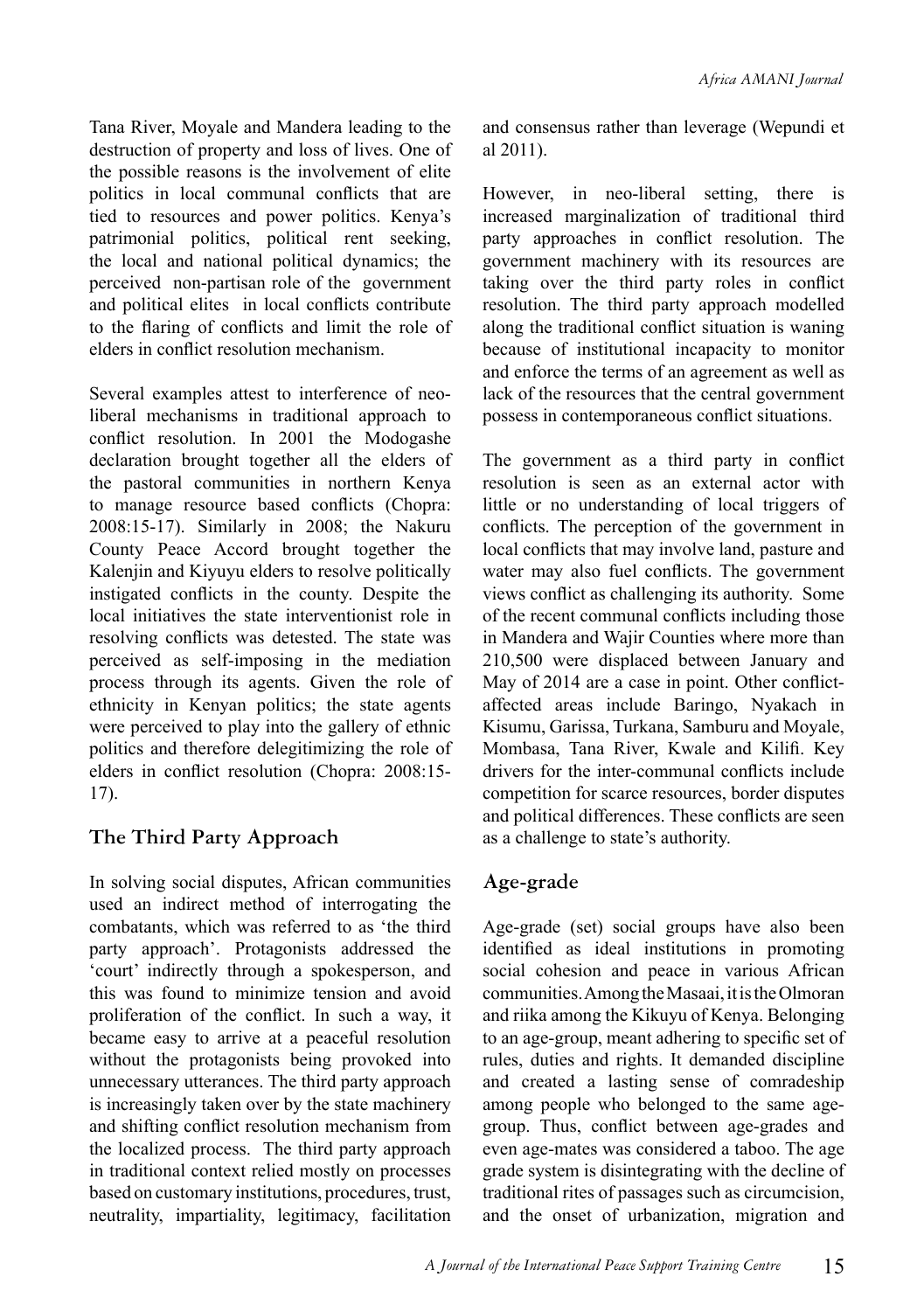Tana River, Moyale and Mandera leading to the destruction of property and loss of lives. One of the possible reasons is the involvement of elite politics in local communal conflicts that are tied to resources and power politics. Kenya's patrimonial politics, political rent seeking, the local and national political dynamics; the perceived non-partisan role of the government and political elites in local conflicts contribute to the flaring of conflicts and limit the role of elders in conflict resolution mechanism.

Several examples attest to interference of neoliberal mechanisms in traditional approach to conflict resolution. In 2001 the Modogashe declaration brought together all the elders of the pastoral communities in northern Kenya to manage resource based conflicts (Chopra: 2008:15-17). Similarly in 2008; the Nakuru County Peace Accord brought together the Kalenjin and Kiyuyu elders to resolve politically instigated conflicts in the county. Despite the local initiatives the state interventionist role in resolving conflicts was detested. The state was perceived as self-imposing in the mediation process through its agents. Given the role of ethnicity in Kenyan politics; the state agents were perceived to play into the gallery of ethnic politics and therefore delegitimizing the role of elders in conflict resolution (Chopra: 2008:15- 17).

#### **The Third Party Approach**

In solving social disputes, African communities used an indirect method of interrogating the combatants, which was referred to as 'the third party approach'. Protagonists addressed the 'court' indirectly through a spokesperson, and this was found to minimize tension and avoid proliferation of the conflict. In such a way, it became easy to arrive at a peaceful resolution without the protagonists being provoked into unnecessary utterances. The third party approach is increasingly taken over by the state machinery and shifting conflict resolution mechanism from the localized process. The third party approach in traditional context relied mostly on processes based on customary institutions, procedures, trust, neutrality, impartiality, legitimacy, facilitation

and consensus rather than leverage (Wepundi et al 2011).

However, in neo-liberal setting, there is increased marginalization of traditional third party approaches in conflict resolution. The government machinery with its resources are taking over the third party roles in conflict resolution. The third party approach modelled along the traditional conflict situation is waning because of institutional incapacity to monitor and enforce the terms of an agreement as well as lack of the resources that the central government possess in contemporaneous conflict situations.

The government as a third party in conflict resolution is seen as an external actor with little or no understanding of local triggers of conflicts. The perception of the government in local conflicts that may involve land, pasture and water may also fuel conflicts. The government views conflict as challenging its authority. Some of the recent communal conflicts including those in Mandera and Wajir Counties where more than 210,500 were displaced between January and May of 2014 are a case in point. Other conflictaffected areas include Baringo, Nyakach in Kisumu, Garissa, Turkana, Samburu and Moyale, Mombasa, Tana River, Kwale and Kilifi. Key drivers for the inter-communal conflicts include competition for scarce resources, border disputes and political differences. These conflicts are seen as a challenge to state's authority.

#### **Age-grade**

Age-grade (set) social groups have also been identified as ideal institutions in promoting social cohesion and peace in various African communities. Among the Masaai, it is the Olmoran and riika among the Kikuyu of Kenya. Belonging to an age-group, meant adhering to specific set of rules, duties and rights. It demanded discipline and created a lasting sense of comradeship among people who belonged to the same agegroup. Thus, conflict between age-grades and even age-mates was considered a taboo. The age grade system is disintegrating with the decline of traditional rites of passages such as circumcision, and the onset of urbanization, migration and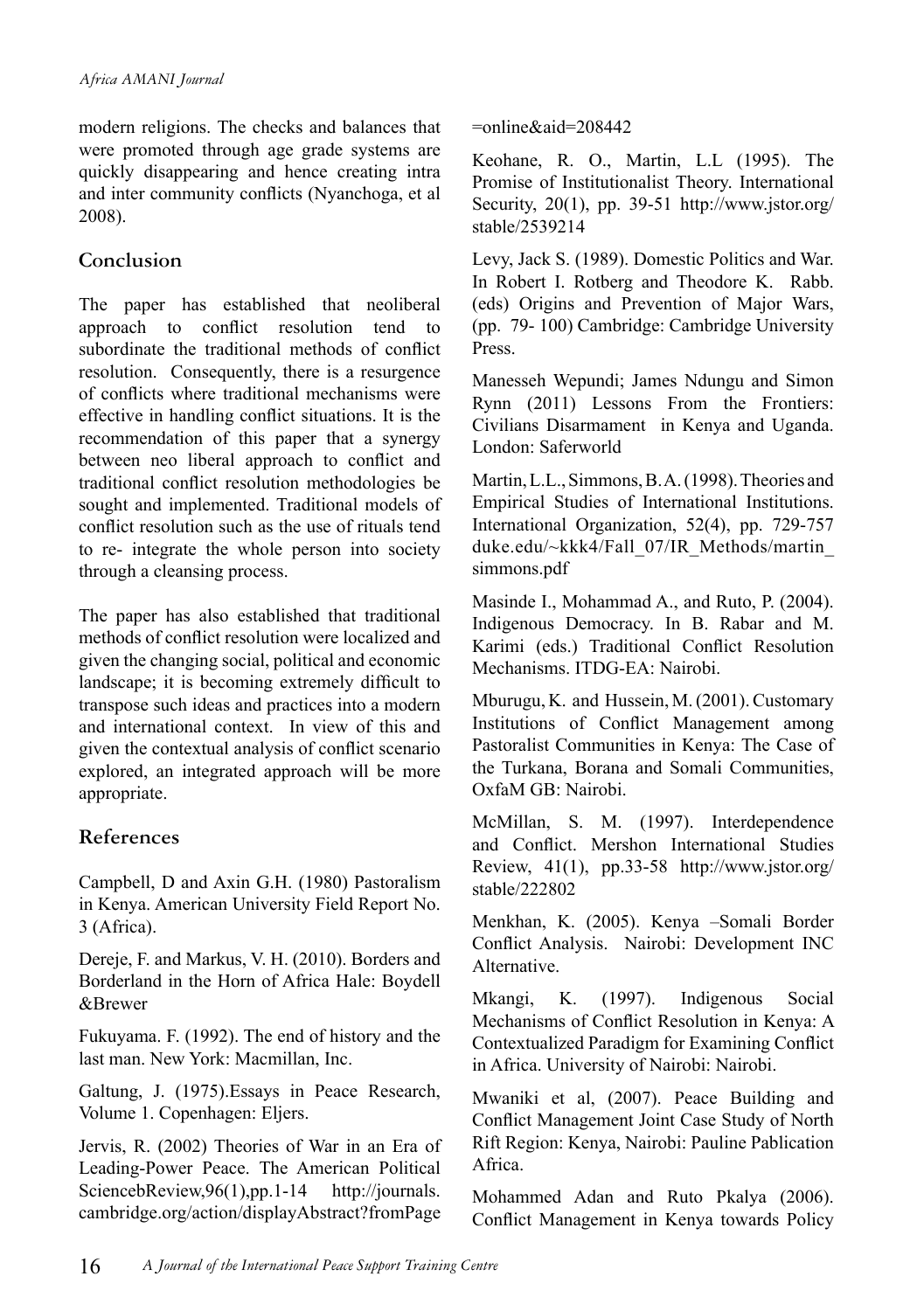modern religions. The checks and balances that were promoted through age grade systems are quickly disappearing and hence creating intra and inter community conflicts (Nyanchoga, et al 2008).

#### **Conclusion**

The paper has established that neoliberal approach to conflict resolution tend to subordinate the traditional methods of conflict resolution. Consequently, there is a resurgence of conflicts where traditional mechanisms were effective in handling conflict situations. It is the recommendation of this paper that a synergy between neo liberal approach to conflict and traditional conflict resolution methodologies be sought and implemented. Traditional models of conflict resolution such as the use of rituals tend to re- integrate the whole person into society through a cleansing process.

The paper has also established that traditional methods of conflict resolution were localized and given the changing social, political and economic landscape; it is becoming extremely difficult to transpose such ideas and practices into a modern and international context. In view of this and given the contextual analysis of conflict scenario explored, an integrated approach will be more appropriate.

#### **References**

Campbell, D and Axin G.H. (1980) Pastoralism in Kenya. American University Field Report No. 3 (Africa).

Dereje, F. and Markus, V. H. (2010). Borders and Borderland in the Horn of Africa Hale: Boydell &Brewer

Fukuyama. F. (1992). The end of history and the last man. New York: Macmillan, Inc.

Galtung, J. (1975).Essays in Peace Research, Volume 1. Copenhagen: Eljers.

Jervis, R. (2002) Theories of War in an Era of Leading-Power Peace. The American Political SciencebReview, 96(1), pp. 1-14 http://journals. cambridge.org/action/displayAbstract?fromPage

Keohane, R. O., Martin, L.L (1995). The Promise of Institutionalist Theory. International Security,  $20(1)$ , pp. 39-51 http://www.jstor.org/ stable/2539214

Levy, Jack S. (1989). Domestic Politics and War. In Robert I. Rotberg and Theodore K. Rabb. (eds) Origins and Prevention of Major Wars, (pp. 79- 100) Cambridge: Cambridge University Press.

Manesseh Wepundi; James Ndungu and Simon Rynn (2011) Lessons From the Frontiers: Civilians Disarmament in Kenya and Uganda. London: Saferworld

Martin, L.L., Simmons, B. A. (1998). Theories and Empirical Studies of International Institutions. International Organization, 52(4), pp. 729-757 duke.edu/~kkk4/Fall\_07/IR\_Methods/martin simmons.pdf

Masinde I., Mohammad A., and Ruto, P. (2004). Indigenous Democracy. In B. Rabar and M. Karimi (eds.) Traditional Conflict Resolution Mechanisms. ITDG-EA: Nairobi.

Mburugu, K. and Hussein, M. (2001). Customary Institutions of Conflict Management among Pastoralist Communities in Kenya: The Case of the Turkana, Borana and Somali Communities, OxfaM GB: Nairobi.

McMillan, S. M. (1997). Interdependence and Conflict. Mershon International Studies Review, 41(1), pp.33-58 http://www.jstor.org/ stable/222802

Menkhan, K. (2005). Kenya –Somali Border Conflict Analysis. Nairobi: Development INC Alternative.

Mkangi, K. (1997). Indigenous Social Mechanisms of Conflict Resolution in Kenya: A Contextualized Paradigm for Examining Conflict in Africa. University of Nairobi: Nairobi.

Mwaniki et al, (2007). Peace Building and Conflict Management Joint Case Study of North Rift Region: Kenya, Nairobi: Pauline Pablication Africa.

Mohammed Adan and Ruto Pkalya (2006). Conflict Management in Kenya towards Policy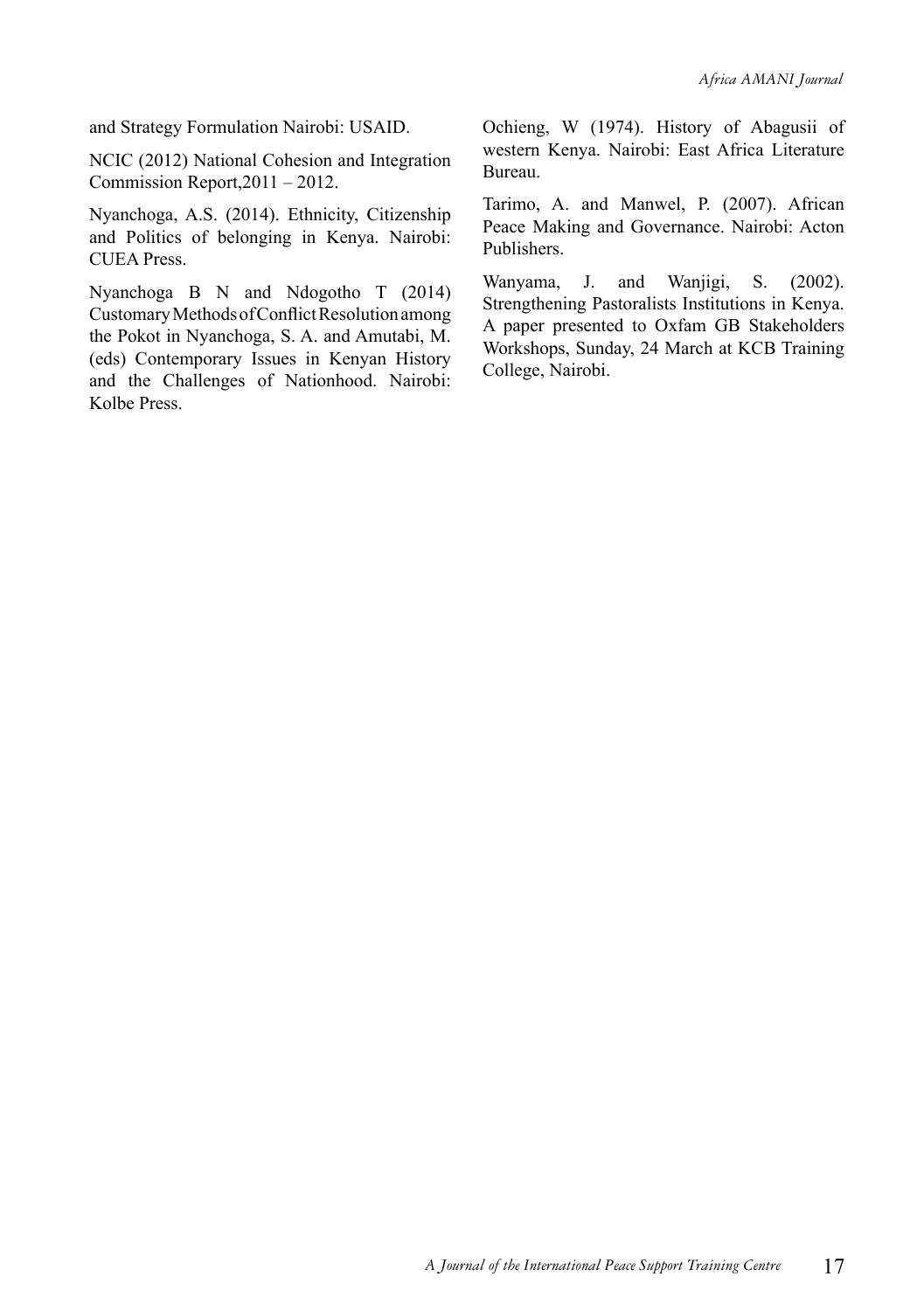and Strategy Formulation Nairobi: USAID.

NCIC (2012) National Cohesion and Integration Commission Report,2011 – 2012.

Nyanchoga, A.S. (2014). Ethnicity, Citizenship and Politics of belonging in Kenya. Nairobi: CUEA Press.

Nyanchoga B N and Ndogotho T (2014) Customary Methods of Conflict Resolution among the Pokot in Nyanchoga, S. A. and Amutabi, M. (eds) Contemporary Issues in Kenyan History and the Challenges of Nationhood. Nairobi: Kolbe Press.

Ochieng, W (1974). History of Abagusii of western Kenya. Nairobi: East Africa Literature Bureau.

Tarimo, A. and Manwel, P. (2007). African Peace Making and Governance. Nairobi: Acton Publishers.

Wanyama, J. and Wanjigi, S. (2002). Strengthening Pastoralists Institutions in Kenya. A paper presented to Oxfam GB Stakeholders Workshops, Sunday, 24 March at KCB Training College, Nairobi.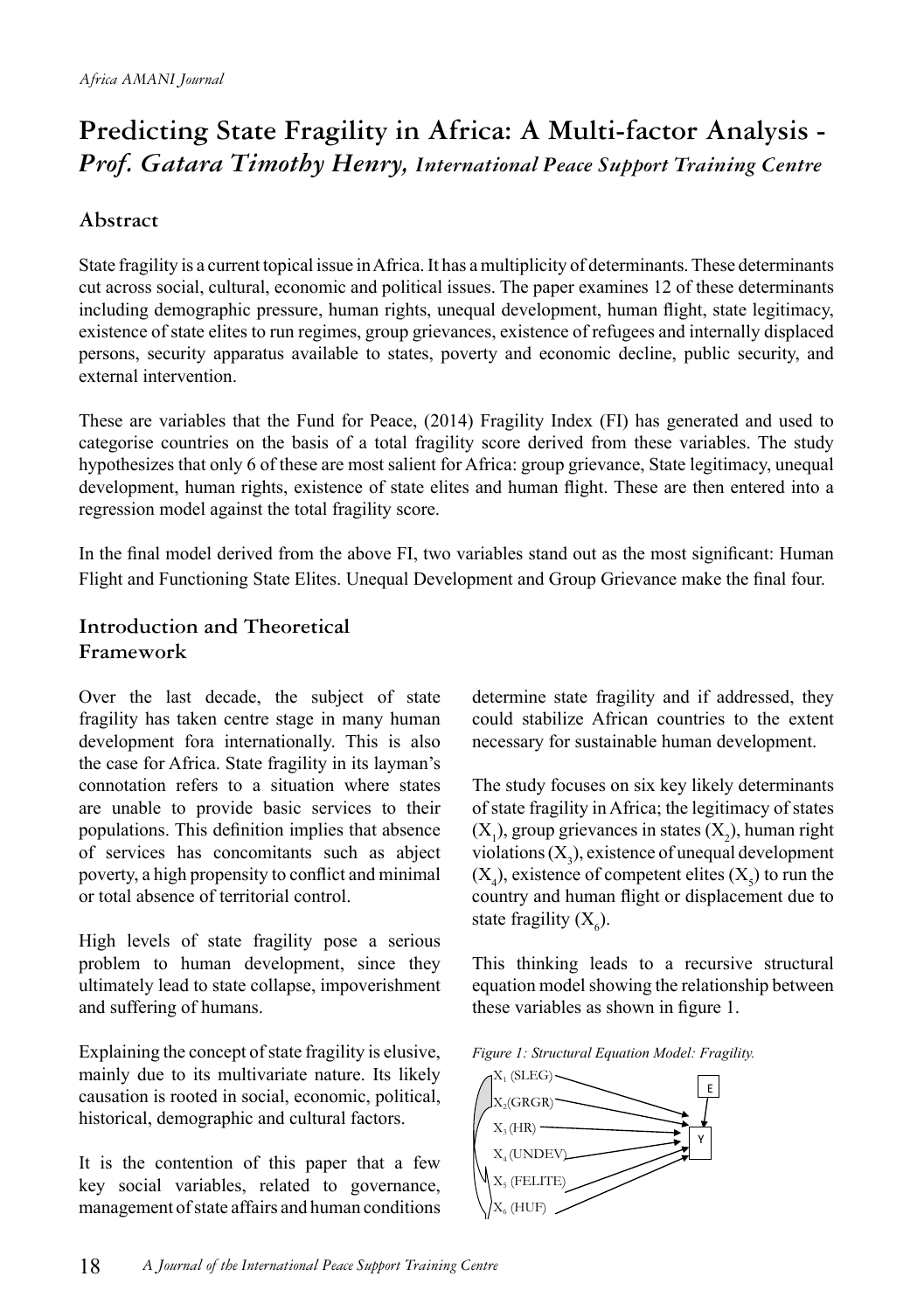# **Predicting State Fragility in Africa: A Multi-factor Analysis -**  *Prof. Gatara Timothy Henry, International Peace Support Training Centre*

#### **Abstract**

State fragility is a current topical issue in Africa. It has a multiplicity of determinants. These determinants cut across social, cultural, economic and political issues. The paper examines 12 of these determinants including demographic pressure, human rights, unequal development, human flight, state legitimacy, existence of state elites to run regimes, group grievances, existence of refugees and internally displaced persons, security apparatus available to states, poverty and economic decline, public security, and external intervention.

These are variables that the Fund for Peace, (2014) Fragility Index (FI) has generated and used to categorise countries on the basis of a total fragility score derived from these variables. The study hypothesizes that only 6 of these are most salient for Africa: group grievance, State legitimacy, unequal development, human rights, existence of state elites and human flight. These are then entered into a regression model against the total fragility score.

In the final model derived from the above FI, two variables stand out as the most significant: Human Flight and Functioning State Elites. Unequal Development and Group Grievance make the final four.

#### **Introduction and Theoretical Framework**

Over the last decade, the subject of state fragility has taken centre stage in many human development fora internationally. This is also the case for Africa. State fragility in its layman's connotation refers to a situation where states are unable to provide basic services to their populations. This definition implies that absence of services has concomitants such as abject poverty, a high propensity to conflict and minimal or total absence of territorial control.

High levels of state fragility pose a serious problem to human development, since they ultimately lead to state collapse, impoverishment and suffering of humans.

Explaining the concept of state fragility is elusive, mainly due to its multivariate nature. Its likely causation is rooted in social, economic, political, historical, demographic and cultural factors.

It is the contention of this paper that a few key social variables, related to governance, management of state affairs and human conditions determine state fragility and if addressed, they could stabilize African countries to the extent necessary for sustainable human development.

The study focuses on six key likely determinants of state fragility in Africa; the legitimacy of states  $(X_1)$ , group grievances in states  $(X_2)$ , human right violations  $(X_3)$ , existence of unequal development  $(X_4)$ , existence of competent elites  $(X_5)$  to run the country and human flight or displacement due to state fragility  $(X_6)$ .

This thinking leads to a recursive structural equation model showing the relationship between these variables as shown in figure 1.



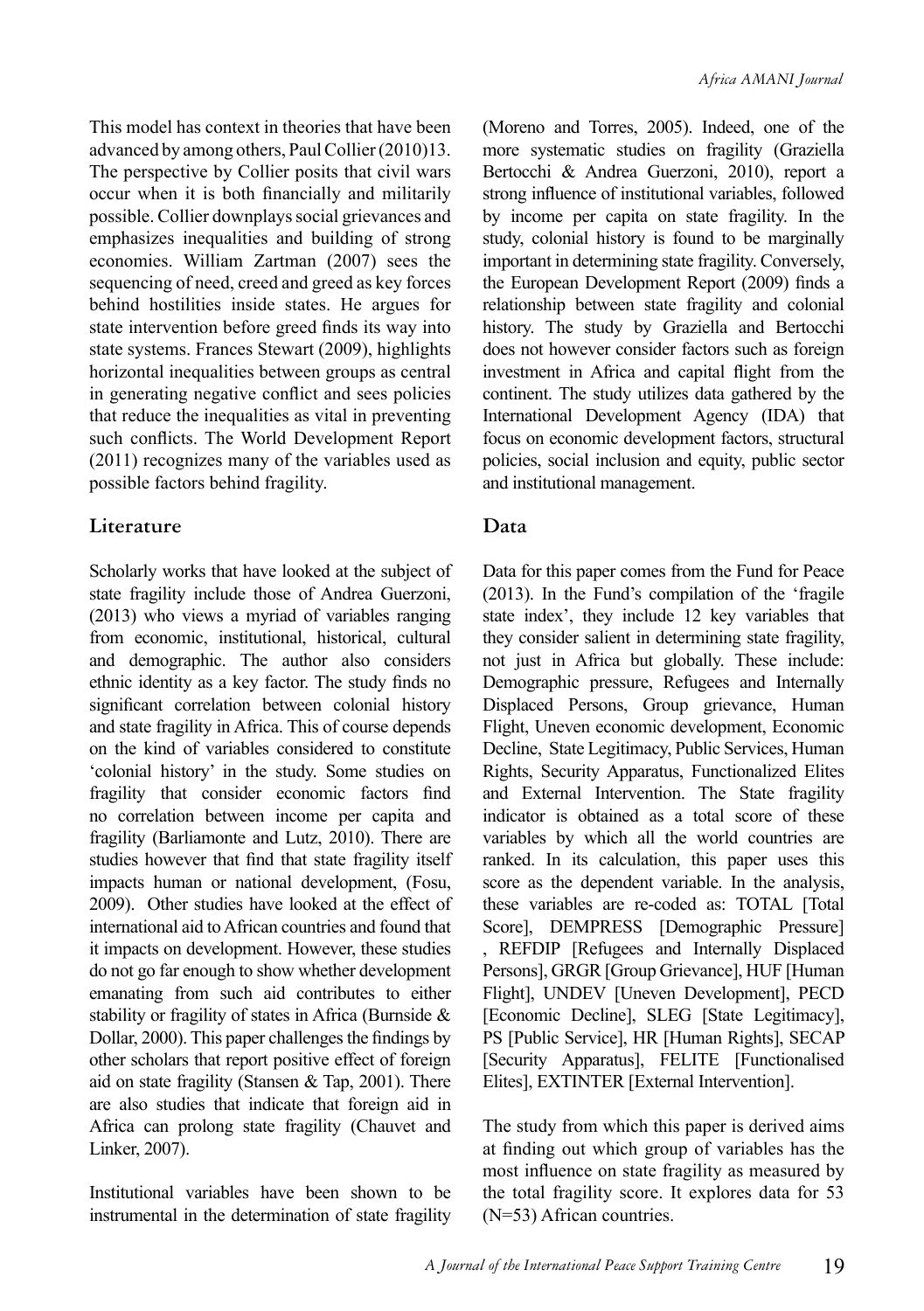This model has context in theories that have been advanced by among others, Paul Collier (2010)13. The perspective by Collier posits that civil wars occur when it is both financially and militarily possible. Collier downplays social grievances and emphasizes inequalities and building of strong economies. William Zartman (2007) sees the sequencing of need, creed and greed as key forces behind hostilities inside states. He argues for state intervention before greed finds its way into state systems. Frances Stewart (2009), highlights horizontal inequalities between groups as central in generating negative conflict and sees policies that reduce the inequalities as vital in preventing such conflicts. The World Development Report (2011) recognizes many of the variables used as possible factors behind fragility.

#### **Literature**

Scholarly works that have looked at the subject of state fragility include those of Andrea Guerzoni, (2013) who views a myriad of variables ranging from economic, institutional, historical, cultural and demographic. The author also considers ethnic identity as a key factor. The study finds no significant correlation between colonial history and state fragility in Africa. This of course depends on the kind of variables considered to constitute 'colonial history' in the study. Some studies on fragility that consider economic factors find no correlation between income per capita and fragility (Barliamonte and Lutz, 2010). There are studies however that find that state fragility itself impacts human or national development, (Fosu, 2009). Other studies have looked at the effect of international aid to African countries and found that it impacts on development. However, these studies do not go far enough to show whether development emanating from such aid contributes to either stability or fragility of states in Africa (Burnside & Dollar, 2000). This paper challenges the findings by other scholars that report positive effect of foreign aid on state fragility (Stansen & Tap, 2001). There are also studies that indicate that foreign aid in Africa can prolong state fragility (Chauvet and Linker, 2007).

Institutional variables have been shown to be instrumental in the determination of state fragility (Moreno and Torres, 2005). Indeed, one of the more systematic studies on fragility (Graziella Bertocchi & Andrea Guerzoni, 2010), report a strong influence of institutional variables, followed by income per capita on state fragility. In the study, colonial history is found to be marginally important in determining state fragility. Conversely, the European Development Report (2009) finds a relationship between state fragility and colonial history. The study by Graziella and Bertocchi does not however consider factors such as foreign investment in Africa and capital flight from the continent. The study utilizes data gathered by the International Development Agency (IDA) that focus on economic development factors, structural policies, social inclusion and equity, public sector and institutional management.

#### **Data**

Data for this paper comes from the Fund for Peace (2013). In the Fund's compilation of the 'fragile state index', they include 12 key variables that they consider salient in determining state fragility, not just in Africa but globally. These include: Demographic pressure, Refugees and Internally Displaced Persons, Group grievance, Human Flight, Uneven economic development, Economic Decline, State Legitimacy, Public Services, Human Rights, Security Apparatus, Functionalized Elites and External Intervention. The State fragility indicator is obtained as a total score of these variables by which all the world countries are ranked. In its calculation, this paper uses this score as the dependent variable. In the analysis, these variables are re-coded as: TOTAL [Total Score], DEMPRESS [Demographic Pressure] REFDIP [Refugees and Internally Displaced] Persons], GRGR [Group Grievance], HUF [Human Flight], UNDEV [Uneven Development], PECD [Economic Decline], SLEG [State Legitimacy], PS [Public Service], HR [Human Rights], SECAP [Security Apparatus], FELITE [Functionalised Elites], EXTINTER [External Intervention].

The study from which this paper is derived aims at finding out which group of variables has the most influence on state fragility as measured by the total fragility score. It explores data for 53 (N=53) African countries.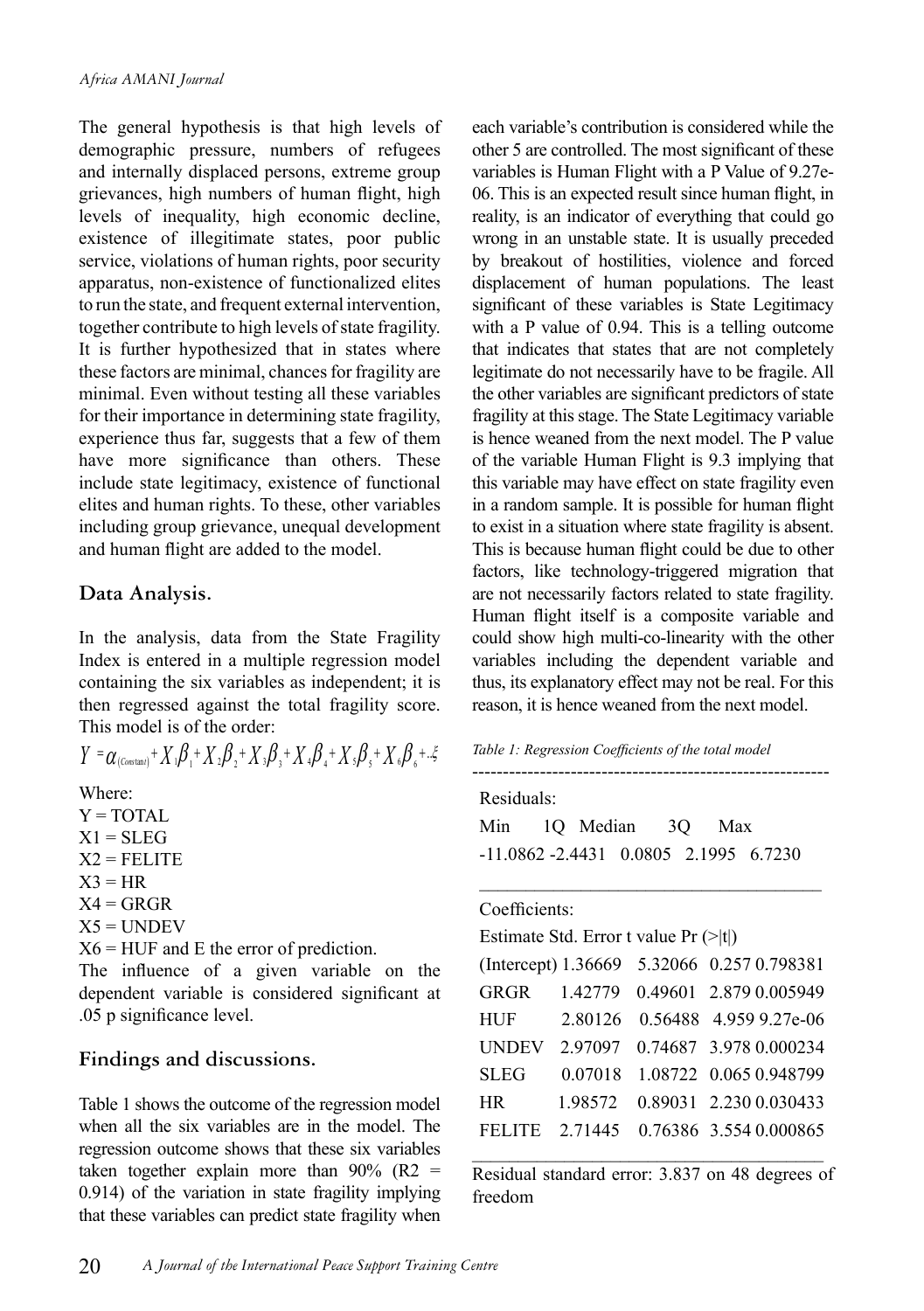The general hypothesis is that high levels of demographic pressure, numbers of refugees and internally displaced persons, extreme group grievances, high numbers of human flight, high levels of inequality, high economic decline, existence of illegitimate states, poor public service, violations of human rights, poor security apparatus, non-existence of functionalized elites to run the state, and frequent external intervention, together contribute to high levels of state fragility. It is further hypothesized that in states where these factors are minimal, chances for fragility are minimal. Even without testing all these variables for their importance in determining state fragility, experience thus far, suggests that a few of them have more significance than others. These include state legitimacy, existence of functional elites and human rights. To these, other variables including group grievance, unequal development and human flight are added to the model.

#### **Data Analysis.**

In the analysis, data from the State Fragility Index is entered in a multiple regression model containing the six variables as independent; it is then regressed against the total fragility score. This model is of the order:

 $Y = \alpha_{(Constant)} + X_1\beta_1 + X_2\beta_2 + X_3\beta_3 + X_4\beta_4 + X_5\beta_5 + X_6\beta_6 + X_7$ 

Where:

 $Y = TOTAL$  $X1 = SLEG$ 

 $X2 = FELITE$ 

 $X3 = HR$  $X4 = GRGR$ 

 $X5 =$  UNDEV

 $X6 = HUF$  and E the error of prediction.

The influence of a given variable on the dependent variable is considered significant at .05 p significance level.

#### **Findings and discussions.**

Table 1 shows the outcome of the regression model when all the six variables are in the model. The regression outcome shows that these six variables taken together explain more than  $90\%$  (R2 = 0.914) of the variation in state fragility implying that these variables can predict state fragility when each variable's contribution is considered while the other 5 are controlled. The most significant of these variables is Human Flight with a P Value of 9.27e-06. This is an expected result since human flight, in reality, is an indicator of everything that could go wrong in an unstable state. It is usually preceded by breakout of hostilities, violence and forced displacement of human populations. The least significant of these variables is State Legitimacy with a P value of 0.94. This is a telling outcome that indicates that states that are not completely legitimate do not necessarily have to be fragile. All the other variables are significant predictors of state fragility at this stage. The State Legitimacy variable is hence weaned from the next model. The P value of the variable Human Flight is 9.3 implying that this variable may have effect on state fragility even in a random sample. It is possible for human flight to exist in a situation where state fragility is absent. This is because human flight could be due to other factors, like technology-triggered migration that are not necessarily factors related to state fragility. Human flight itself is a composite variable and could show high multi-co-linearity with the other variables including the dependent variable and thus, its explanatory effect may not be real. For this reason, it is hence weaned from the next model.

| Table 1: Regression Coefficients of the total model |  |  |  |  |
|-----------------------------------------------------|--|--|--|--|
|-----------------------------------------------------|--|--|--|--|

| Residuals:       |  |  |     |                                          |
|------------------|--|--|-----|------------------------------------------|
| Min 1Q Median 3Q |  |  | Max |                                          |
|                  |  |  |     | $-11.0862 - 2.4431$ 0.0805 2.1995 6.7230 |
|                  |  |  |     |                                          |

#### Coefficients:

| Estimate Std. Error t value $Pr (>=  t )$ |             |  |                                            |  |  |  |
|-------------------------------------------|-------------|--|--------------------------------------------|--|--|--|
|                                           |             |  | (Intercept) 1.36669 5.32066 0.257 0.798381 |  |  |  |
| GRGR                                      | 1.42779     |  | 0.49601 2.879 0.005949                     |  |  |  |
| HUF                                       | 2 80126     |  | 0.56488 4.959 9.27e-06                     |  |  |  |
| UNDEV                                     | 2.97097     |  | 0.74687 3.978 0.000234                     |  |  |  |
| SLEG                                      | 0.07018     |  | 1.08722 0.065 0.948799                     |  |  |  |
| <b>HR</b>                                 | 1.98572     |  | 0.89031 2.230.0.030433                     |  |  |  |
| FEI ITE                                   | 2 7 1 4 4 5 |  | 0.76386 3.554 0.000865                     |  |  |  |
|                                           |             |  |                                            |  |  |  |

Residual standard error: 3.837 on 48 degrees of freedom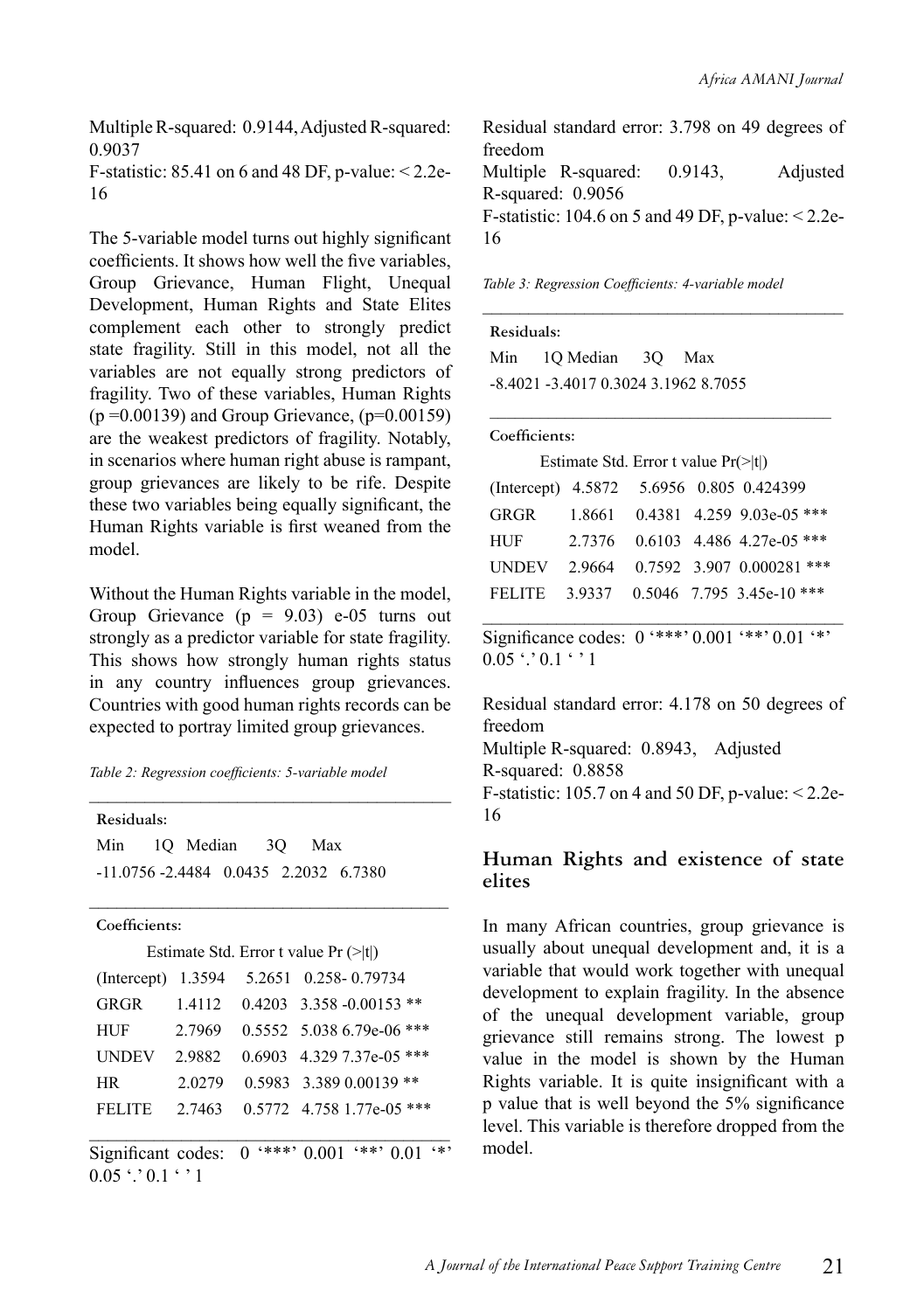Multiple R-squared: 0.9144, Adjusted R-squared: 0.9037

F-statistic:  $85.41$  on 6 and  $48$  DF, p-value:  $\leq 2.2e$ -16

The 5-variable model turns out highly significant coefficients. It shows how well the five variables, Group Grievance, Human Flight, Unequal Development, Human Rights and State Elites complement each other to strongly predict state fragility. Still in this model, not all the variables are not equally strong predictors of fragility. Two of these variables, Human Rights  $(p = 0.00139)$  and Group Grievance,  $(p=0.00159)$ are the weakest predictors of fragility. Notably, in scenarios where human right abuse is rampant, group grievances are likely to be rife. Despite these two variables being equally significant, the Human Rights variable is first weaned from the model.

Without the Human Rights variable in the model, Group Grievance  $(p = 9.03)$  e-05 turns out strongly as a predictor variable for state fragility. This shows how strongly human rights status in any country influences group grievances. Countries with good human rights records can be expected to portray limited group grievances.

*Table 2: Regression coefficients: 5-variable model*

| Residuals:    |              |                                          |
|---------------|--------------|------------------------------------------|
| Min           | 10 Median 30 | Max                                      |
|               |              | $-11.0756 - 2.4484$ 0.0435 2.2032 6.7380 |
|               |              |                                          |
| Coefficients: |              |                                          |
|               |              | Estimate Std. Error t value $Pr( t )$    |
|               |              | (Intercept) 1.3594 5.2651 0.258-0.79734  |
|               |              | GRGR 1.4112 0.4203 3.358 -0.00153 **     |
| HUF           | 2.7969       | $0.5552$ 5.038 6.79e-06 ***              |

|        |  | UNDEV 2.9882 0.6903 4.329 7.37e-05 *** |
|--------|--|----------------------------------------|
| HR.    |  | $2.0279$ 0.5983 3.389 0.00139 **       |
| FELITE |  | 2.7463 0.5772 4.758 1.77e-05 ***       |
|        |  |                                        |

Significant codes:  $0$  '\*\*\*'  $0.001$  '\*\*'  $0.01$  '\*'  $0.05$   $\cdot$   $\cdot$  0.1  $\cdot$   $\cdot$  1

Residual standard error: 3.798 on 49 degrees of freedom Multiple R-squared: 0.9143, Adjusted R-squared: 0.9056 F-statistic:  $104.6$  on 5 and 49 DF, p-value:  $\leq 2.2e$ -16

\_\_\_\_\_\_\_\_\_\_\_\_\_\_\_\_\_\_\_\_\_\_\_\_\_\_\_\_\_\_\_\_\_\_\_\_\_\_\_

\_\_\_\_\_\_\_\_\_\_\_\_\_\_\_\_\_\_\_\_\_\_\_\_\_\_\_\_\_\_\_\_\_\_\_\_\_\_\_\_\_

*Table 3: Regression Coefficients: 4-variable model*

| Residuals: |                                      |  |
|------------|--------------------------------------|--|
|            | Min 10 Median 30 Max                 |  |
|            | -8.4021 -3.4017 0.3024 3.1962 8.7055 |  |

#### **Coefficients:**

|  | Estimate Std. Error t value $Pr(\ge  t )$ |
|--|-------------------------------------------|
|--|-------------------------------------------|

| (Intercept) 4.5872 5.6956 0.805 0.424399 |  |                                  |
|------------------------------------------|--|----------------------------------|
| GRGR                                     |  | 1.8661 0.4381 4.259 9.03e-05 *** |
| <b>HUF</b>                               |  | 2.7376 0.6103 4.486 4.27e-05 *** |
| <b>UNDEV</b>                             |  | 2.9664 0.7592 3.907 0.000281 *** |
| FELITE                                   |  | 3.9337 0.5046 7.795 3.45e-10 *** |

\_\_\_\_\_\_\_\_\_\_\_\_\_\_\_\_\_\_\_\_\_\_\_\_\_\_\_\_\_\_\_\_\_\_\_\_\_\_\_ Significance codes:  $0$  '\*\*\*'  $0.001$  '\*\*'  $0.01$  '\*'  $0.05$   $\cdot$   $\cdot$  0.1  $\cdot$   $\cdot$  1

Residual standard error: 4.178 on 50 degrees of freedom Multiple R-squared: 0.8943, Adjusted R-squared: 0.8858 F-statistic: 105.7 on 4 and 50 DF, p-value: < 2.2e-16

#### **Human Rights and existence of state elites**

In many African countries, group grievance is usually about unequal development and, it is a variable that would work together with unequal development to explain fragility. In the absence of the unequal development variable, group grievance still remains strong. The lowest p value in the model is shown by the Human Rights variable. It is quite insignificant with a p value that is well beyond the 5% significance level. This variable is therefore dropped from the model.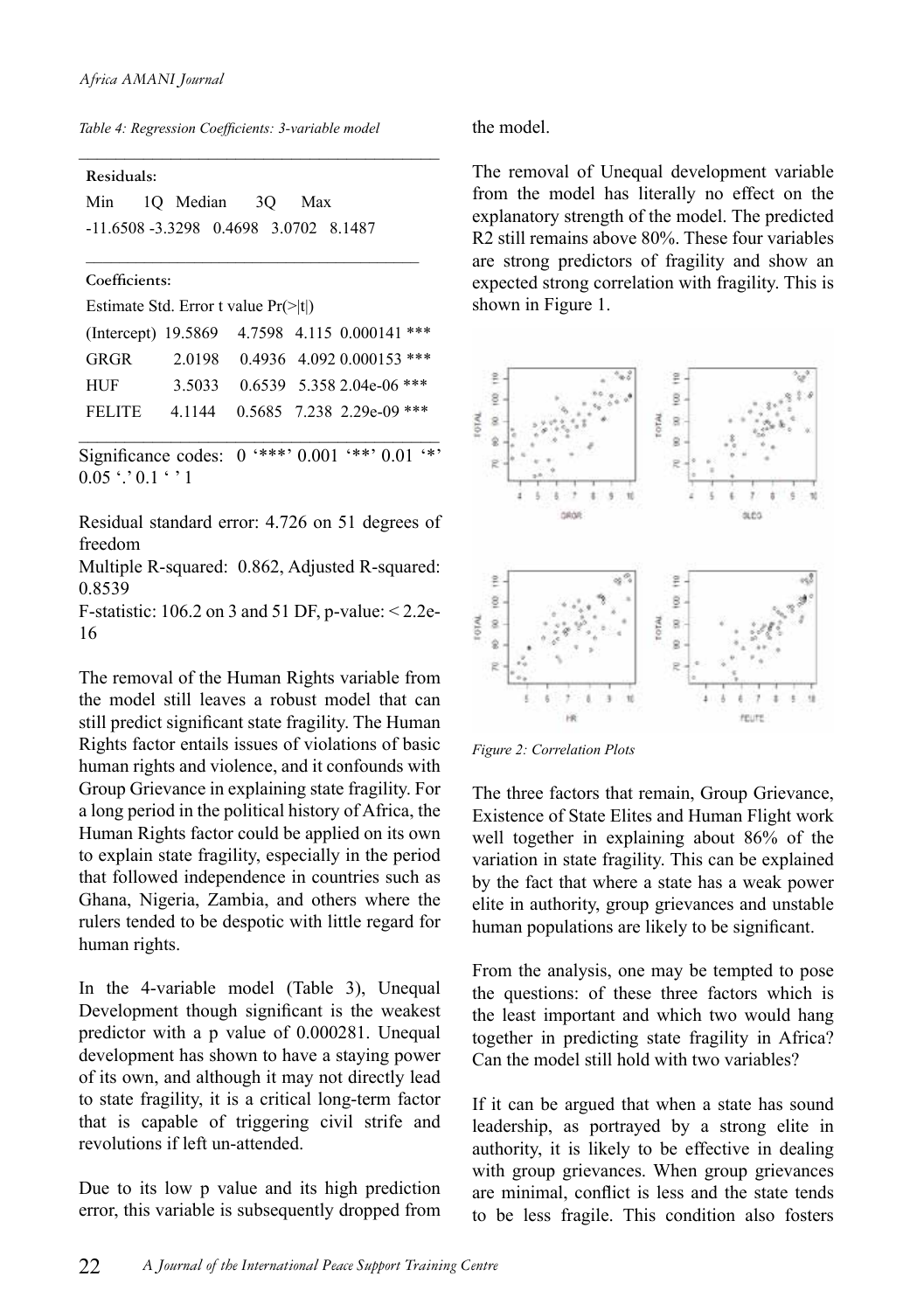*Table 4: Regression Coefficients: 3-variable model*

\_\_\_\_\_\_\_\_\_\_\_\_\_\_\_\_\_\_\_\_\_\_\_\_\_\_\_\_\_\_\_\_\_\_\_\_\_\_\_

\_\_\_\_\_\_\_\_\_\_\_\_\_\_\_\_\_\_\_\_\_\_\_\_\_\_\_\_\_\_\_\_\_\_\_\_\_\_\_\_

**Residuals:**

| Min                                      | 10 Median |  | 30 Max |  |
|------------------------------------------|-----------|--|--------|--|
| $-11.6508 - 3.3298$ 0.4698 3.0702 8.1487 |           |  |        |  |

#### **Coefficients:**

| Estimate Std. Error t value $Pr(\ge  t )$ |  |  |  |  |  |  |  |  |
|-------------------------------------------|--|--|--|--|--|--|--|--|
|-------------------------------------------|--|--|--|--|--|--|--|--|

|               |  | (Intercept) 19.5869 4.7598 4.115 0.000141 *** |
|---------------|--|-----------------------------------------------|
| GRGR          |  | 2.0198 0.4936 4.092 0.000153 ***              |
| <b>HUF</b>    |  | 3.5033 0.6539 5.358 2.04e-06 ***              |
| <b>FELITE</b> |  | 4.1144 0.5685 7.238 2.29e-09 ***              |
|               |  |                                               |

Significance codes:  $0$  '\*\*\*' 0.001 '\*\*' 0.01 '\*'  $0.05$  '.'  $0.1$  ' ' 1

Residual standard error: 4.726 on 51 degrees of freedom

Multiple R-squared: 0.862, Adjusted R-squared: 0.8539

F-statistic: 106.2 on 3 and 51 DF, p-value: < 2.2e-16

The removal of the Human Rights variable from the model still leaves a robust model that can still predict significant state fragility. The Human Rights factor entails issues of violations of basic human rights and violence, and it confounds with Group Grievance in explaining state fragility. For a long period in the political history of Africa, the Human Rights factor could be applied on its own to explain state fragility, especially in the period that followed independence in countries such as Ghana, Nigeria, Zambia, and others where the rulers tended to be despotic with little regard for human rights.

In the 4-variable model (Table 3), Unequal Development though significant is the weakest predictor with a p value of 0.000281. Unequal development has shown to have a staying power of its own, and although it may not directly lead to state fragility, it is a critical long-term factor that is capable of triggering civil strife and revolutions if left un-attended.

Due to its low p value and its high prediction error, this variable is subsequently dropped from the model.

The removal of Unequal development variable from the model has literally no effect on the explanatory strength of the model. The predicted R2 still remains above 80%. These four variables are strong predictors of fragility and show an expected strong correlation with fragility. This is shown in Figure 1.



*Figure 2: Correlation Plots*

The three factors that remain, Group Grievance, Existence of State Elites and Human Flight work well together in explaining about 86% of the variation in state fragility. This can be explained by the fact that where a state has a weak power elite in authority, group grievances and unstable human populations are likely to be significant.

From the analysis, one may be tempted to pose the questions: of these three factors which is the least important and which two would hang together in predicting state fragility in Africa? Can the model still hold with two variables?

If it can be argued that when a state has sound leadership, as portrayed by a strong elite in authority, it is likely to be effective in dealing with group grievances. When group grievances are minimal, conflict is less and the state tends to be less fragile. This condition also fosters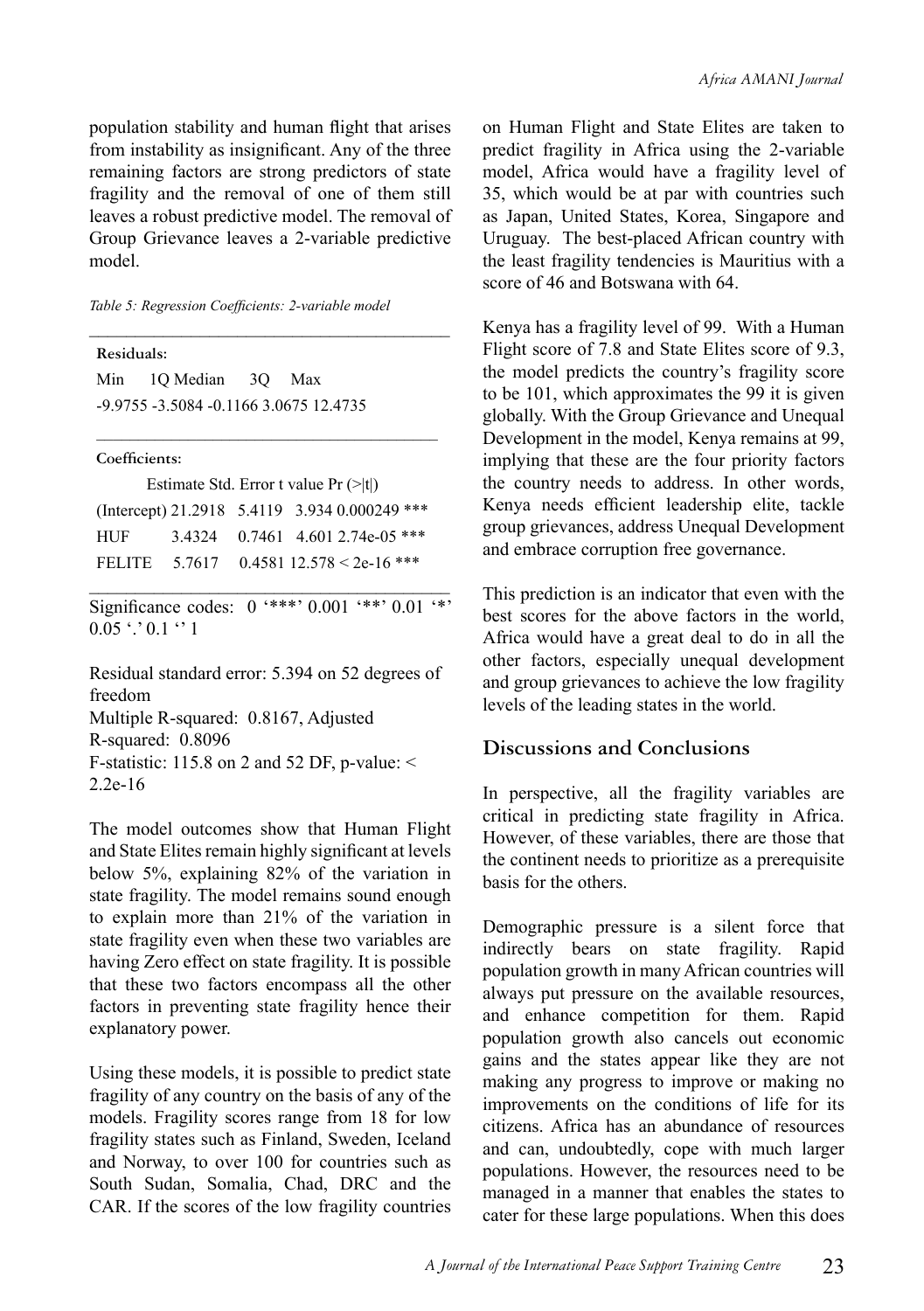population stability and human flight that arises from instability as insignificant. Any of the three remaining factors are strong predictors of state fragility and the removal of one of them still leaves a robust predictive model. The removal of Group Grievance leaves a 2-variable predictive model.

\_\_\_\_\_\_\_\_\_\_\_\_\_\_\_\_\_\_\_\_\_\_\_\_\_\_\_\_\_\_\_\_\_\_\_\_\_\_\_

*Table 5: Regression Coefficients: 2-variable model*

**Residuals:** Min 1Q Median 3Q Max -9.9755 -3.5084 -0.1166 3.0675 12.4735

**Coefficients:**

| Estimate Std. Error t value $Pr (>\vert t \vert)$ |  |  |                                               |
|---------------------------------------------------|--|--|-----------------------------------------------|
|                                                   |  |  | (Intercept) 21.2918 5.4119 3.934 0.000249 *** |
| HUF.                                              |  |  | 3.4324 0.7461 4.601 2.74e-05 ***              |
| <b>FELITE</b>                                     |  |  | 5.7617 0.4581 12.578 < 2e-16 ***              |

\_\_\_\_\_\_\_\_\_\_\_\_\_\_\_\_\_\_\_\_\_\_\_\_\_\_\_\_\_\_\_\_\_\_\_\_\_\_\_\_\_

\_\_\_\_\_\_\_\_\_\_\_\_\_\_\_\_\_\_\_\_\_\_\_\_\_\_\_\_\_\_\_\_\_\_\_\_\_\_\_ Significance codes:  $0$  '\*\*\*'  $0.001$  '\*\*'  $0.01$  '\*'  $0.05$   $\cdot$   $\cdot$  0.1  $\cdot$  1

Residual standard error: 5.394 on 52 degrees of freedom Multiple R-squared: 0.8167, Adjusted R-squared: 0.8096 F-statistic: 115.8 on 2 and 52 DF, p-value:  $\le$ 2.2e-16

The model outcomes show that Human Flight and State Elites remain highly significant at levels below 5%, explaining 82% of the variation in state fragility. The model remains sound enough to explain more than 21% of the variation in state fragility even when these two variables are having Zero effect on state fragility. It is possible that these two factors encompass all the other factors in preventing state fragility hence their explanatory power.

Using these models, it is possible to predict state fragility of any country on the basis of any of the models. Fragility scores range from 18 for low fragility states such as Finland, Sweden, Iceland and Norway, to over 100 for countries such as South Sudan, Somalia, Chad, DRC and the CAR. If the scores of the low fragility countries on Human Flight and State Elites are taken to predict fragility in Africa using the 2-variable model, Africa would have a fragility level of 35, which would be at par with countries such as Japan, United States, Korea, Singapore and Uruguay. The best-placed African country with the least fragility tendencies is Mauritius with a score of 46 and Botswana with 64.

Kenya has a fragility level of 99. With a Human Flight score of 7.8 and State Elites score of 9.3, the model predicts the country's fragility score to be 101, which approximates the 99 it is given globally. With the Group Grievance and Unequal Development in the model, Kenya remains at 99, implying that these are the four priority factors the country needs to address. In other words, Kenya needs efficient leadership elite, tackle group grievances, address Unequal Development and embrace corruption free governance.

This prediction is an indicator that even with the best scores for the above factors in the world, Africa would have a great deal to do in all the other factors, especially unequal development and group grievances to achieve the low fragility levels of the leading states in the world.

#### **Discussions and Conclusions**

In perspective, all the fragility variables are critical in predicting state fragility in Africa. However, of these variables, there are those that the continent needs to prioritize as a prerequisite basis for the others.

Demographic pressure is a silent force that indirectly bears on state fragility. Rapid population growth in many African countries will always put pressure on the available resources, and enhance competition for them. Rapid population growth also cancels out economic gains and the states appear like they are not making any progress to improve or making no improvements on the conditions of life for its citizens. Africa has an abundance of resources and can, undoubtedly, cope with much larger populations. However, the resources need to be managed in a manner that enables the states to cater for these large populations. When this does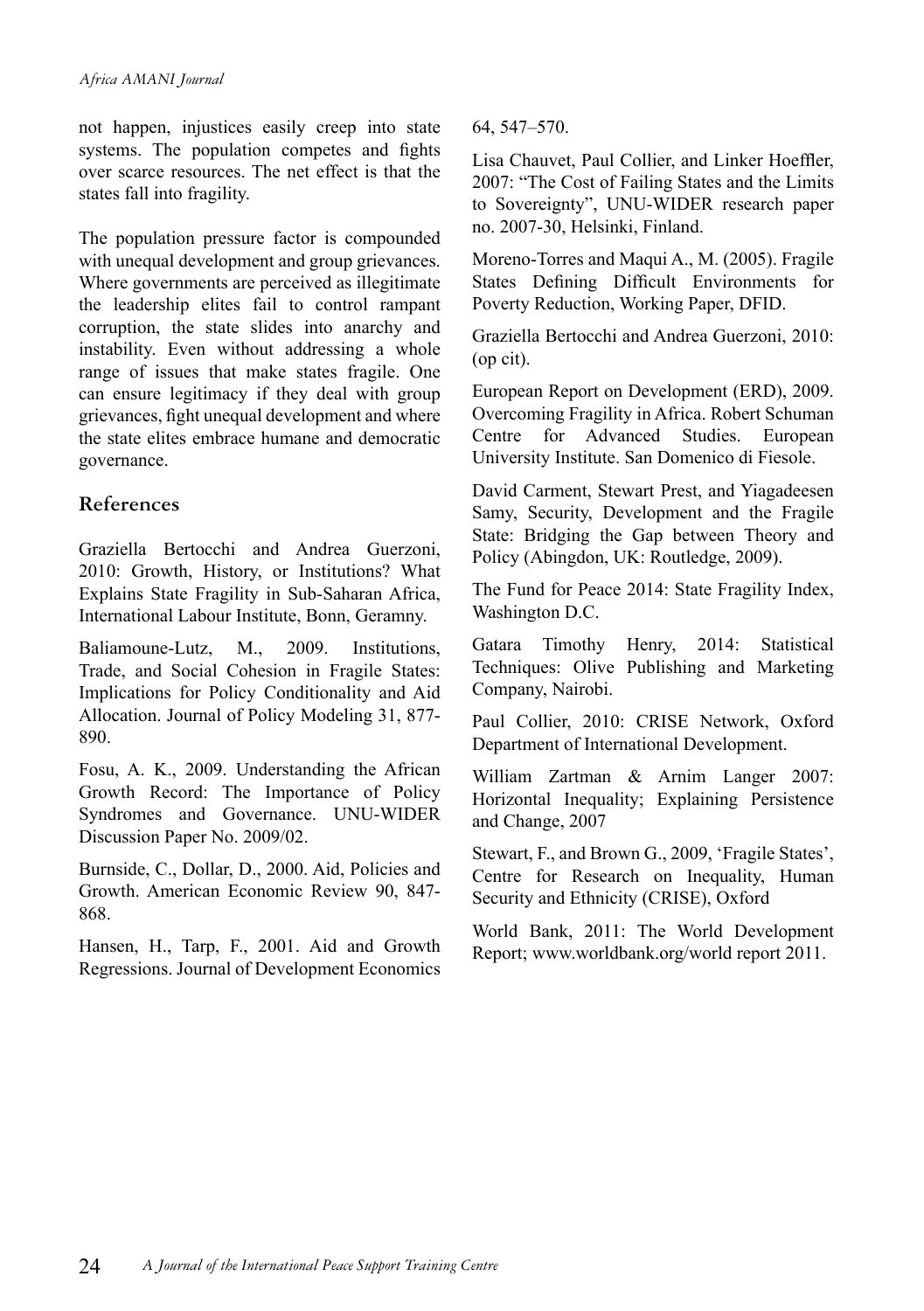not happen, injustices easily creep into state systems. The population competes and fights over scarce resources. The net effect is that the states fall into fragility.

The population pressure factor is compounded with unequal development and group grievances. Where governments are perceived as illegitimate the leadership elites fail to control rampant corruption, the state slides into anarchy and instability. Even without addressing a whole range of issues that make states fragile. One can ensure legitimacy if they deal with group grievances, fight unequal development and where the state elites embrace humane and democratic governance.

#### **References**

Graziella Bertocchi and Andrea Guerzoni, 2010: Growth, History, or Institutions? What Explains State Fragility in Sub-Saharan Africa, International Labour Institute, Bonn, Geramny.

Baliamoune-Lutz, M., 2009. Institutions, Trade, and Social Cohesion in Fragile States: Implications for Policy Conditionality and Aid Allocation. Journal of Policy Modeling 31, 877- 890.

Fosu, A. K., 2009. Understanding the African Growth Record: The Importance of Policy Syndromes and Governance. UNU-WIDER Discussion Paper No. 2009/02.

Burnside, C., Dollar, D., 2000. Aid, Policies and Growth. American Economic Review 90, 847- 868.

Hansen, H., Tarp, F., 2001. Aid and Growth Regressions. Journal of Development Economics 64, 547–570.

Lisa Chauvet, Paul Collier, and Linker Hoeffler, 2007: "The Cost of Failing States and the Limits to Sovereignty", UNU-WIDER research paper no. 2007-30, Helsinki, Finland.

Moreno-Torres and Maqui A., M. (2005). Fragile States Defining Difficult Environments for Poverty Reduction, Working Paper, DFID.

Graziella Bertocchi and Andrea Guerzoni, 2010: (op cit).

European Report on Development (ERD), 2009. Overcoming Fragility in Africa. Robert Schuman Centre for Advanced Studies. European University Institute. San Domenico di Fiesole.

David Carment, Stewart Prest, and Yiagadeesen Samy, Security, Development and the Fragile State: Bridging the Gap between Theory and Policy (Abingdon, UK: Routledge, 2009).

The Fund for Peace 2014: State Fragility Index, Washington D.C.

Gatara Timothy Henry, 2014: Statistical Techniques: Olive Publishing and Marketing Company, Nairobi.

Paul Collier, 2010: CRISE Network, Oxford Department of International Development.

William Zartman & Arnim Langer 2007: Horizontal Inequality; Explaining Persistence and Change, 2007

Stewart, F., and Brown G., 2009, 'Fragile States', Centre for Research on Inequality, Human Security and Ethnicity (CRISE), Oxford

World Bank, 2011: The World Development Report; www.worldbank.org/world report 2011.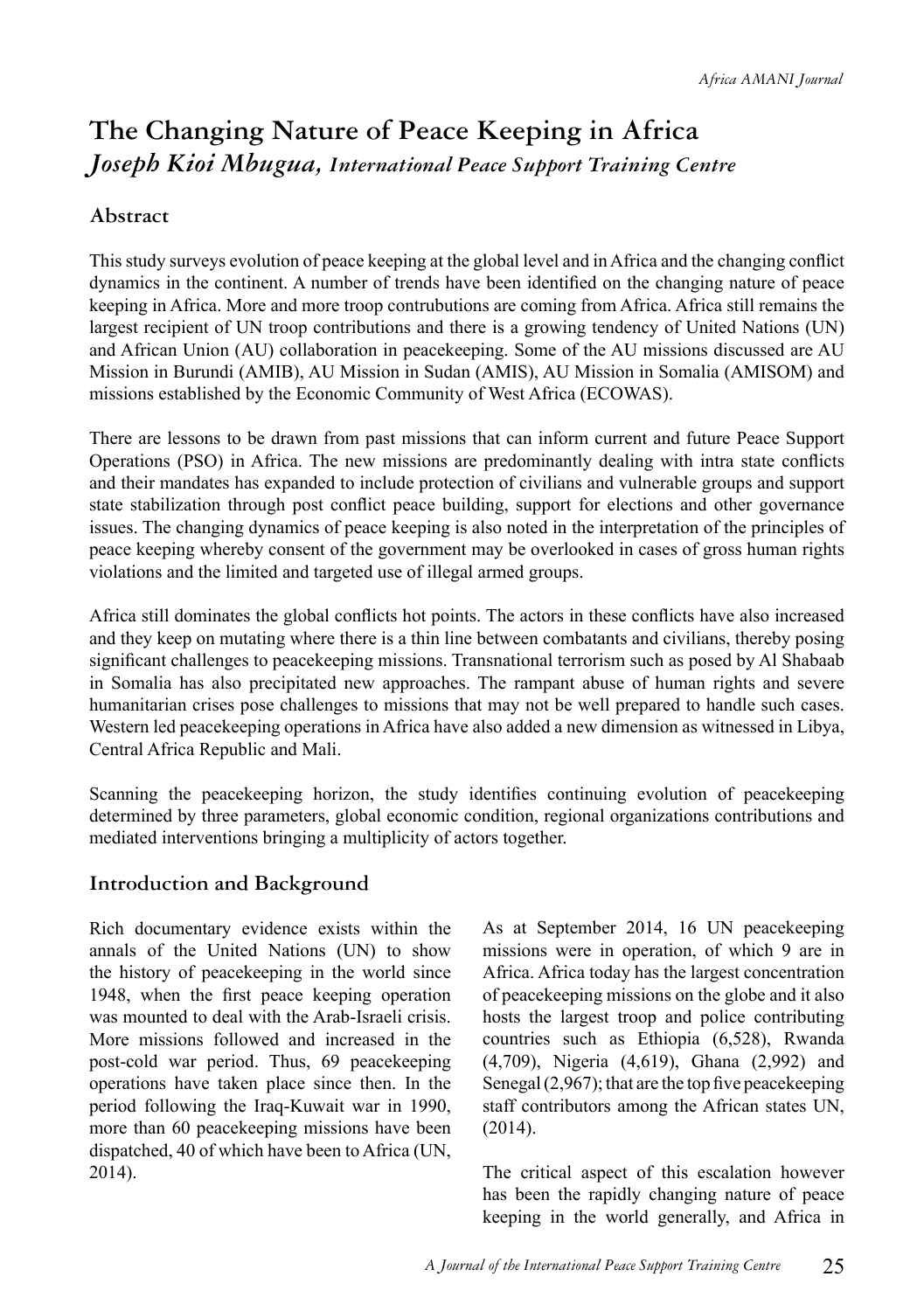# **The Changing Nature of Peace Keeping in Africa** *Joseph Kioi Mbugua, International Peace Support Training Centre*

#### **Abstract**

This study surveys evolution of peace keeping at the global level and in Africa and the changing conflict dynamics in the continent. A number of trends have been identified on the changing nature of peace keeping in Africa. More and more troop contrubutions are coming from Africa. Africa still remains the largest recipient of UN troop contributions and there is a growing tendency of United Nations (UN) and African Union (AU) collaboration in peacekeeping. Some of the AU missions discussed are AU Mission in Burundi (AMIB), AU Mission in Sudan (AMIS), AU Mission in Somalia (AMISOM) and missions established by the Economic Community of West Africa (ECOWAS).

There are lessons to be drawn from past missions that can inform current and future Peace Support Operations (PSO) in Africa. The new missions are predominantly dealing with intra state conflicts and their mandates has expanded to include protection of civilians and vulnerable groups and support state stabilization through post conflict peace building, support for elections and other governance issues. The changing dynamics of peace keeping is also noted in the interpretation of the principles of peace keeping whereby consent of the government may be overlooked in cases of gross human rights violations and the limited and targeted use of illegal armed groups.

Africa still dominates the global conflicts hot points. The actors in these conflicts have also increased and they keep on mutating where there is a thin line between combatants and civilians, thereby posing significant challenges to peacekeeping missions. Transnational terrorism such as posed by Al Shabaab in Somalia has also precipitated new approaches. The rampant abuse of human rights and severe humanitarian crises pose challenges to missions that may not be well prepared to handle such cases. Western led peacekeeping operations in Africa have also added a new dimension as witnessed in Libya, Central Africa Republic and Mali.

Scanning the peacekeeping horizon, the study identifies continuing evolution of peacekeeping determined by three parameters, global economic condition, regional organizations contributions and mediated interventions bringing a multiplicity of actors together.

#### **Introduction and Background**

Rich documentary evidence exists within the annals of the United Nations (UN) to show the history of peacekeeping in the world since 1948, when the first peace keeping operation was mounted to deal with the Arab-Israeli crisis. More missions followed and increased in the post-cold war period. Thus, 69 peacekeeping operations have taken place since then. In the period following the Iraq-Kuwait war in 1990, more than 60 peacekeeping missions have been dispatched, 40 of which have been to Africa (UN, 2014).

As at September 2014, 16 UN peacekeeping missions were in operation, of which 9 are in Africa. Africa today has the largest concentration of peacekeeping missions on the globe and it also hosts the largest troop and police contributing countries such as Ethiopia (6,528), Rwanda (4,709), Nigeria (4,619), Ghana (2,992) and Senegal (2,967); that are the top five peacekeeping staff contributors among the African states UN, (2014).

The critical aspect of this escalation however has been the rapidly changing nature of peace keeping in the world generally, and Africa in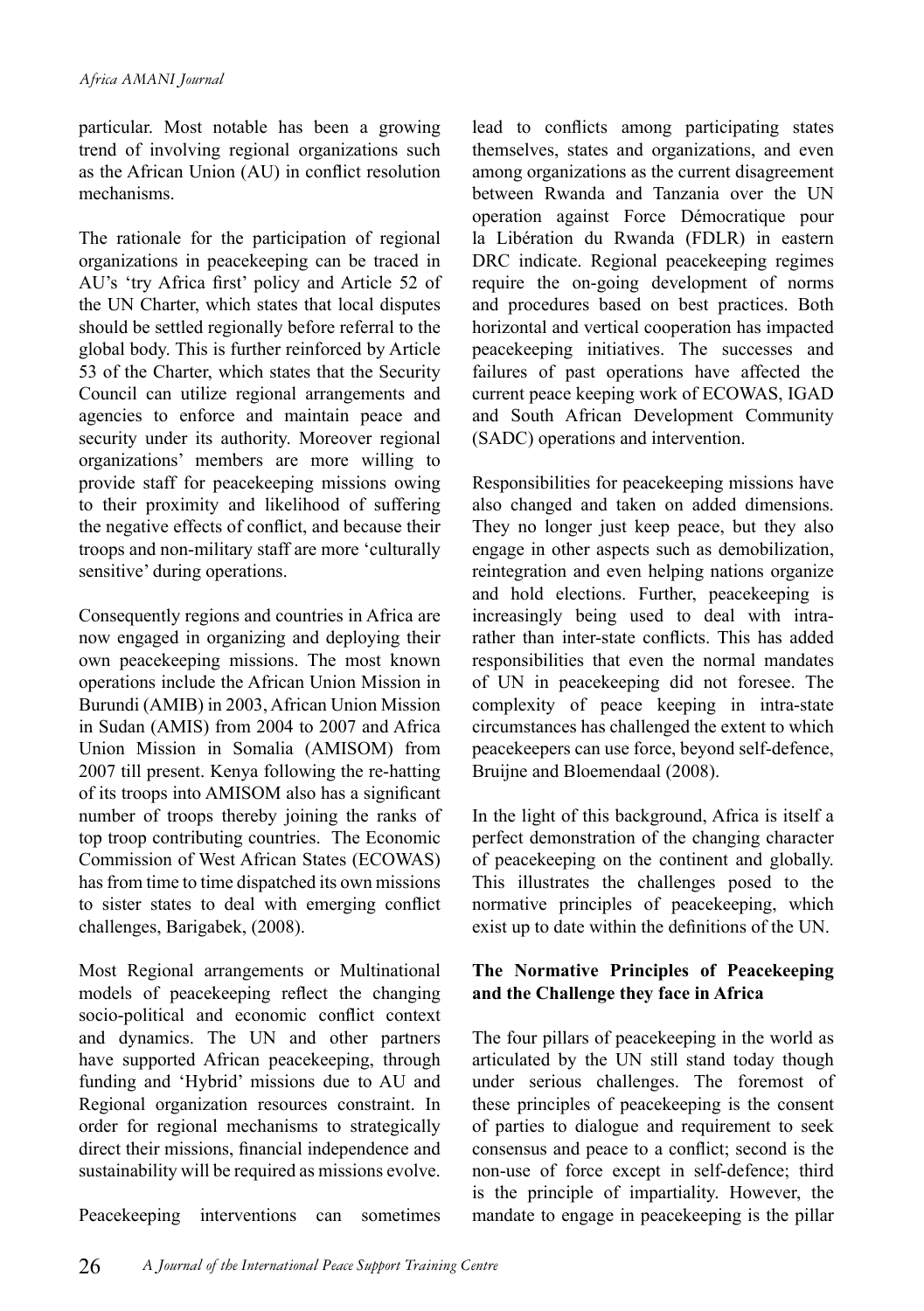particular. Most notable has been a growing trend of involving regional organizations such as the African Union (AU) in conflict resolution mechanisms.

The rationale for the participation of regional organizations in peacekeeping can be traced in AU's 'try Africa first' policy and Article 52 of the UN Charter, which states that local disputes should be settled regionally before referral to the global body. This is further reinforced by Article 53 of the Charter, which states that the Security Council can utilize regional arrangements and agencies to enforce and maintain peace and security under its authority. Moreover regional organizations' members are more willing to provide staff for peacekeeping missions owing to their proximity and likelihood of suffering the negative effects of conflict, and because their troops and non-military staff are more 'culturally sensitive' during operations.

Consequently regions and countries in Africa are now engaged in organizing and deploying their own peacekeeping missions. The most known operations include the African Union Mission in Burundi (AMIB) in 2003, African Union Mission in Sudan (AMIS) from 2004 to 2007 and Africa Union Mission in Somalia (AMISOM) from 2007 till present. Kenya following the re-hatting of its troops into AMISOM also has a significant number of troops thereby joining the ranks of top troop contributing countries. The Economic Commission of West African States (ECOWAS) has from time to time dispatched its own missions to sister states to deal with emerging conflict challenges, Barigabek, (2008).

Most Regional arrangements or Multinational models of peacekeeping reflect the changing socio-political and economic conflict context and dynamics. The UN and other partners have supported African peacekeeping, through funding and 'Hybrid' missions due to AU and Regional organization resources constraint. In order for regional mechanisms to strategically direct their missions, financial independence and sustainability will be required as missions evolve.

Peacekeeping interventions can sometimes

lead to conflicts among participating states themselves, states and organizations, and even among organizations as the current disagreement between Rwanda and Tanzania over the UN operation against Force Démocratique pour la Libération du Rwanda (FDLR) in eastern DRC indicate. Regional peacekeeping regimes require the on-going development of norms and procedures based on best practices. Both horizontal and vertical cooperation has impacted peacekeeping initiatives. The successes and failures of past operations have affected the current peace keeping work of ECOWAS, IGAD and South African Development Community (SADC) operations and intervention.

Responsibilities for peacekeeping missions have also changed and taken on added dimensions. They no longer just keep peace, but they also engage in other aspects such as demobilization, reintegration and even helping nations organize and hold elections. Further, peacekeeping is increasingly being used to deal with intrarather than inter-state conflicts. This has added responsibilities that even the normal mandates of UN in peacekeeping did not foresee. The complexity of peace keeping in intra-state circumstances has challenged the extent to which peacekeepers can use force, beyond self-defence, Bruijne and Bloemendaal (2008).

In the light of this background, Africa is itself a perfect demonstration of the changing character of peacekeeping on the continent and globally. This illustrates the challenges posed to the normative principles of peacekeeping, which exist up to date within the definitions of the UN.

#### **The Normative Principles of Peacekeeping and the Challenge they face in Africa**

The four pillars of peacekeeping in the world as articulated by the UN still stand today though under serious challenges. The foremost of these principles of peacekeeping is the consent of parties to dialogue and requirement to seek consensus and peace to a conflict; second is the non-use of force except in self-defence; third is the principle of impartiality. However, the mandate to engage in peacekeeping is the pillar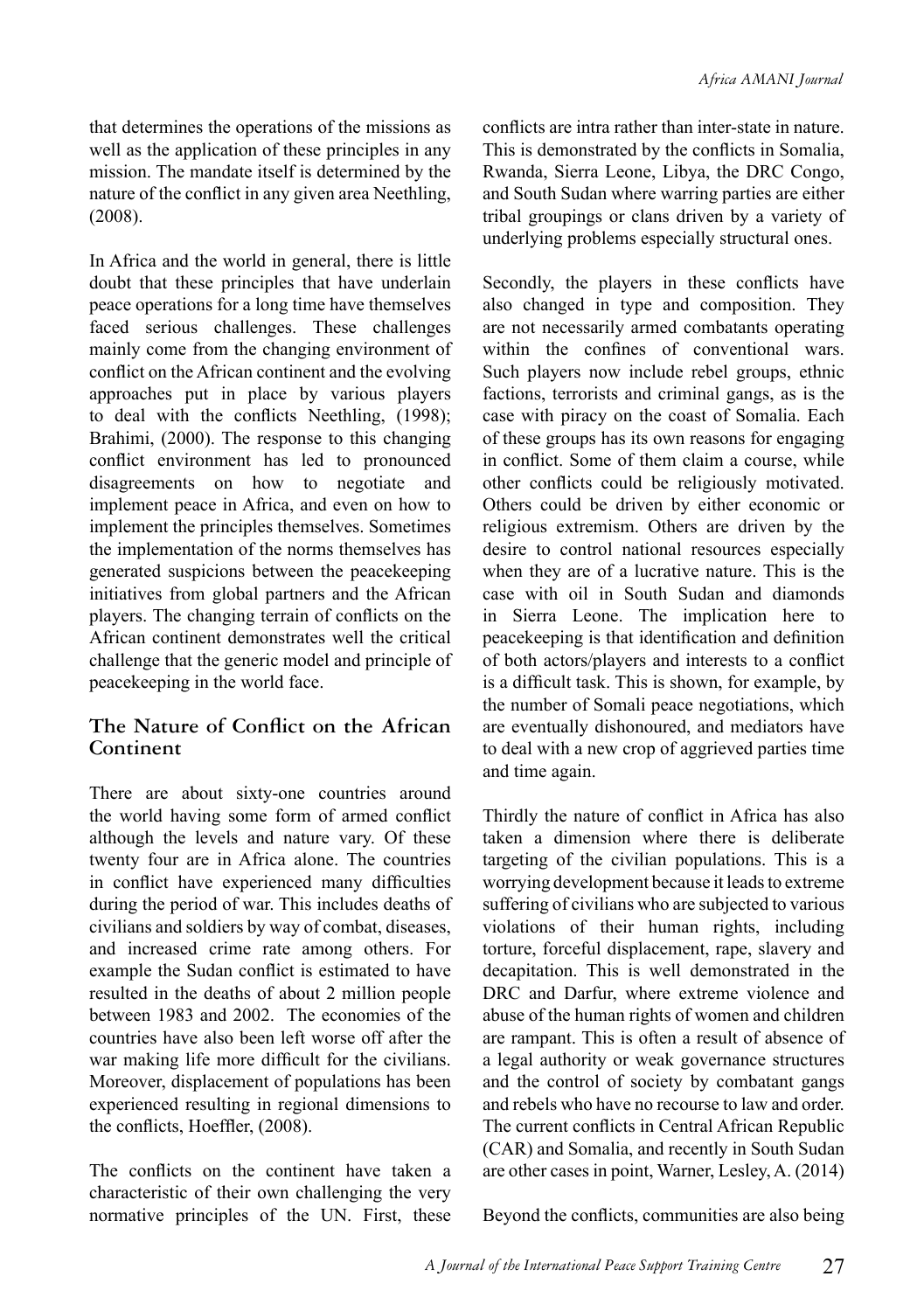that determines the operations of the missions as well as the application of these principles in any mission. The mandate itself is determined by the nature of the conflict in any given area Neethling, (2008).

In Africa and the world in general, there is little doubt that these principles that have underlain peace operations for a long time have themselves faced serious challenges. These challenges mainly come from the changing environment of conflict on the African continent and the evolving approaches put in place by various players to deal with the conflicts Neethling, (1998); Brahimi, (2000). The response to this changing conflict environment has led to pronounced disagreements on how to negotiate and implement peace in Africa, and even on how to implement the principles themselves. Sometimes the implementation of the norms themselves has generated suspicions between the peacekeeping initiatives from global partners and the African players. The changing terrain of conflicts on the African continent demonstrates well the critical challenge that the generic model and principle of peacekeeping in the world face.

#### **The Nature of Conflict on the African Continent**

There are about sixty-one countries around the world having some form of armed conflict although the levels and nature vary. Of these twenty four are in Africa alone. The countries in conflict have experienced many difficulties during the period of war. This includes deaths of civilians and soldiers by way of combat, diseases, and increased crime rate among others. For example the Sudan conflict is estimated to have resulted in the deaths of about 2 million people between 1983 and 2002. The economies of the countries have also been left worse off after the war making life more difficult for the civilians. Moreover, displacement of populations has been experienced resulting in regional dimensions to the conflicts, Hoeffler, (2008).

The conflicts on the continent have taken a characteristic of their own challenging the very normative principles of the UN. First, these

conflicts are intra rather than inter-state in nature. This is demonstrated by the conflicts in Somalia, Rwanda, Sierra Leone, Libya, the DRC Congo, and South Sudan where warring parties are either tribal groupings or clans driven by a variety of underlying problems especially structural ones.

Secondly, the players in these conflicts have also changed in type and composition. They are not necessarily armed combatants operating within the confines of conventional wars. Such players now include rebel groups, ethnic factions, terrorists and criminal gangs, as is the case with piracy on the coast of Somalia. Each of these groups has its own reasons for engaging in conflict. Some of them claim a course, while other conflicts could be religiously motivated. Others could be driven by either economic or religious extremism. Others are driven by the desire to control national resources especially when they are of a lucrative nature. This is the case with oil in South Sudan and diamonds in Sierra Leone. The implication here to peacekeeping is that identification and definition of both actors/players and interests to a conflict is a difficult task. This is shown, for example, by the number of Somali peace negotiations, which are eventually dishonoured, and mediators have to deal with a new crop of aggrieved parties time and time again.

Thirdly the nature of conflict in Africa has also taken a dimension where there is deliberate targeting of the civilian populations. This is a worrying development because it leads to extreme suffering of civilians who are subjected to various violations of their human rights, including torture, forceful displacement, rape, slavery and decapitation. This is well demonstrated in the DRC and Darfur, where extreme violence and abuse of the human rights of women and children are rampant. This is often a result of absence of a legal authority or weak governance structures and the control of society by combatant gangs and rebels who have no recourse to law and order. The current conflicts in Central African Republic (CAR) and Somalia, and recently in South Sudan are other cases in point, Warner, Lesley, A. (2014)

Beyond the conflicts, communities are also being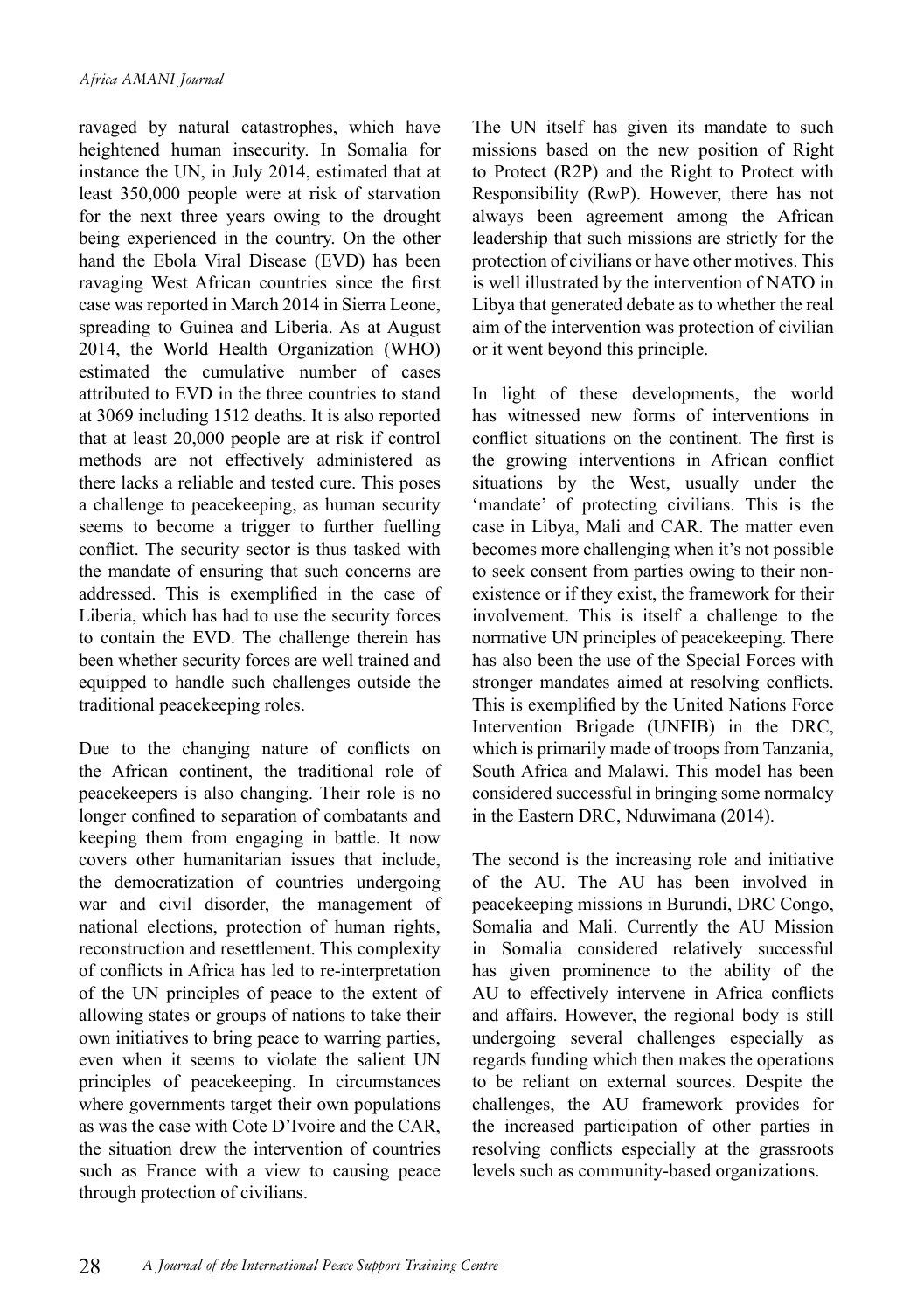ravaged by natural catastrophes, which have heightened human insecurity. In Somalia for instance the UN, in July 2014, estimated that at least 350,000 people were at risk of starvation for the next three years owing to the drought being experienced in the country. On the other hand the Ebola Viral Disease (EVD) has been ravaging West African countries since the first case was reported in March 2014 in Sierra Leone, spreading to Guinea and Liberia. As at August 2014, the World Health Organization (WHO) estimated the cumulative number of cases attributed to EVD in the three countries to stand at 3069 including 1512 deaths. It is also reported that at least 20,000 people are at risk if control methods are not effectively administered as there lacks a reliable and tested cure. This poses a challenge to peacekeeping, as human security seems to become a trigger to further fuelling conflict. The security sector is thus tasked with the mandate of ensuring that such concerns are addressed. This is exemplified in the case of Liberia, which has had to use the security forces to contain the EVD. The challenge therein has been whether security forces are well trained and equipped to handle such challenges outside the traditional peacekeeping roles.

Due to the changing nature of conflicts on the African continent, the traditional role of peacekeepers is also changing. Their role is no longer confined to separation of combatants and keeping them from engaging in battle. It now covers other humanitarian issues that include, the democratization of countries undergoing war and civil disorder, the management of national elections, protection of human rights, reconstruction and resettlement. This complexity of conflicts in Africa has led to re-interpretation of the UN principles of peace to the extent of allowing states or groups of nations to take their own initiatives to bring peace to warring parties, even when it seems to violate the salient UN principles of peacekeeping. In circumstances where governments target their own populations as was the case with Cote D'Ivoire and the CAR, the situation drew the intervention of countries such as France with a view to causing peace through protection of civilians.

The UN itself has given its mandate to such missions based on the new position of Right to Protect (R2P) and the Right to Protect with Responsibility (RwP). However, there has not always been agreement among the African leadership that such missions are strictly for the protection of civilians or have other motives. This is well illustrated by the intervention of NATO in Libya that generated debate as to whether the real aim of the intervention was protection of civilian or it went beyond this principle.

In light of these developments, the world has witnessed new forms of interventions in conflict situations on the continent. The first is the growing interventions in African conflict situations by the West, usually under the 'mandate' of protecting civilians. This is the case in Libya, Mali and CAR. The matter even becomes more challenging when it's not possible to seek consent from parties owing to their nonexistence or if they exist, the framework for their involvement. This is itself a challenge to the normative UN principles of peacekeeping. There has also been the use of the Special Forces with stronger mandates aimed at resolving conflicts. This is exemplified by the United Nations Force Intervention Brigade (UNFIB) in the DRC, which is primarily made of troops from Tanzania, South Africa and Malawi. This model has been considered successful in bringing some normalcy in the Eastern DRC, Nduwimana (2014).

The second is the increasing role and initiative of the AU. The AU has been involved in peacekeeping missions in Burundi, DRC Congo, Somalia and Mali. Currently the AU Mission in Somalia considered relatively successful has given prominence to the ability of the AU to effectively intervene in Africa conflicts and affairs. However, the regional body is still undergoing several challenges especially as regards funding which then makes the operations to be reliant on external sources. Despite the challenges, the AU framework provides for the increased participation of other parties in resolving conflicts especially at the grassroots levels such as community-based organizations.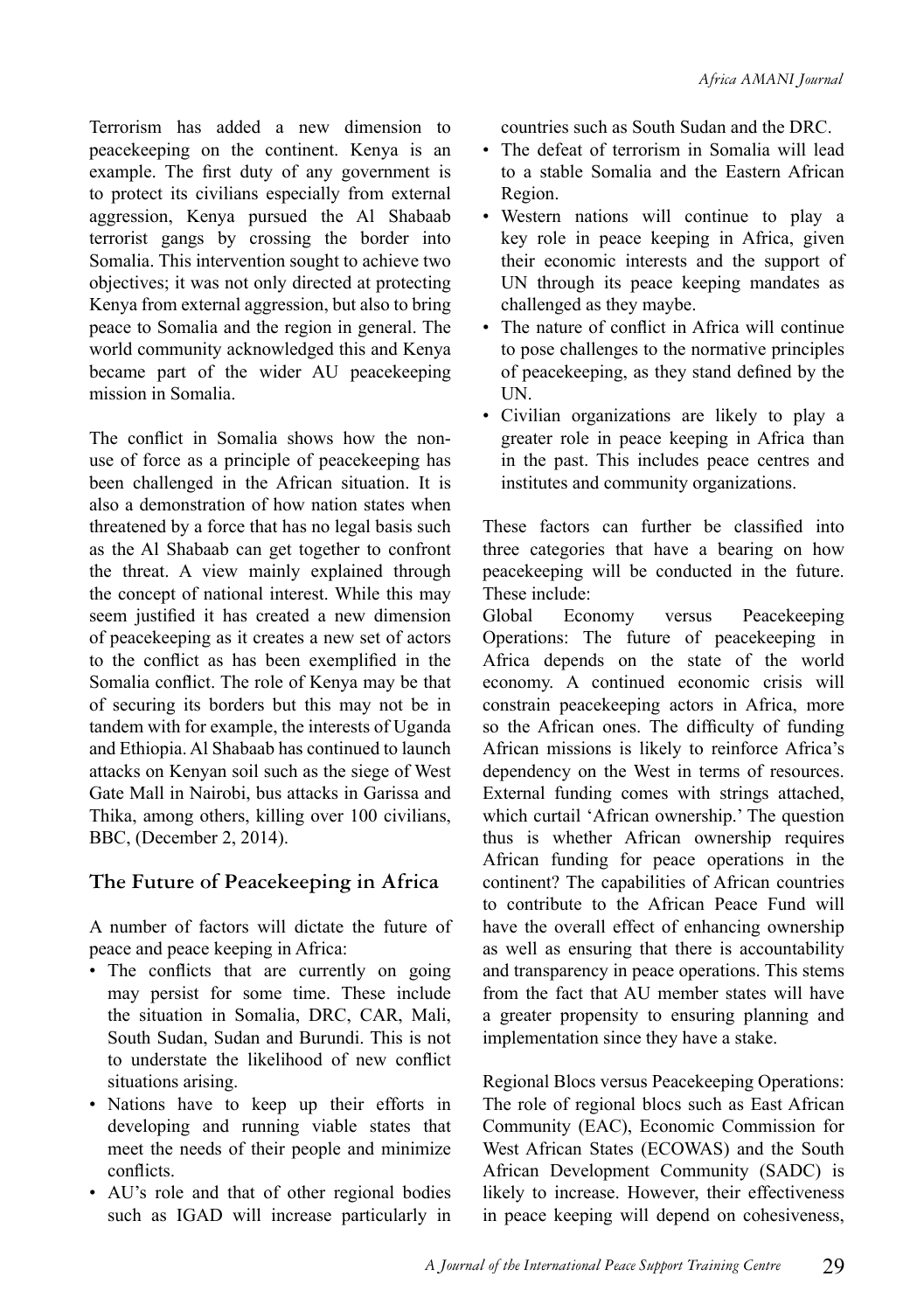Terrorism has added a new dimension to peacekeeping on the continent. Kenya is an example. The first duty of any government is to protect its civilians especially from external aggression, Kenya pursued the Al Shabaab terrorist gangs by crossing the border into Somalia. This intervention sought to achieve two objectives; it was not only directed at protecting Kenya from external aggression, but also to bring peace to Somalia and the region in general. The world community acknowledged this and Kenya became part of the wider AU peacekeeping mission in Somalia.

The conflict in Somalia shows how the nonuse of force as a principle of peacekeeping has been challenged in the African situation. It is also a demonstration of how nation states when threatened by a force that has no legal basis such as the Al Shabaab can get together to confront the threat. A view mainly explained through the concept of national interest. While this may seem justified it has created a new dimension of peacekeeping as it creates a new set of actors to the conflict as has been exemplified in the Somalia conflict. The role of Kenya may be that of securing its borders but this may not be in tandem with for example, the interests of Uganda and Ethiopia. Al Shabaab has continued to launch attacks on Kenyan soil such as the siege of West Gate Mall in Nairobi, bus attacks in Garissa and Thika, among others, killing over 100 civilians, BBC, (December 2, 2014).

#### **The Future of Peacekeeping in Africa**

A number of factors will dictate the future of peace and peace keeping in Africa:

- The conflicts that are currently on going may persist for some time. These include the situation in Somalia, DRC, CAR, Mali, South Sudan, Sudan and Burundi. This is not to understate the likelihood of new conflict situations arising.
- Nations have to keep up their efforts in developing and running viable states that meet the needs of their people and minimize conflicts.
- AU's role and that of other regional bodies such as IGAD will increase particularly in

countries such as South Sudan and the DRC.

- The defeat of terrorism in Somalia will lead to a stable Somalia and the Eastern African Region.
- Western nations will continue to play a key role in peace keeping in Africa, given their economic interests and the support of UN through its peace keeping mandates as challenged as they maybe.
- The nature of conflict in Africa will continue to pose challenges to the normative principles of peacekeeping, as they stand defined by the UN.
- Civilian organizations are likely to play a greater role in peace keeping in Africa than in the past. This includes peace centres and institutes and community organizations.

These factors can further be classified into three categories that have a bearing on how peacekeeping will be conducted in the future. These include:

Global Economy versus Peacekeeping Operations: The future of peacekeeping in Africa depends on the state of the world economy. A continued economic crisis will constrain peacekeeping actors in Africa, more so the African ones. The difficulty of funding African missions is likely to reinforce Africa's dependency on the West in terms of resources. External funding comes with strings attached, which curtail 'African ownership.' The question thus is whether African ownership requires African funding for peace operations in the continent? The capabilities of African countries to contribute to the African Peace Fund will have the overall effect of enhancing ownership as well as ensuring that there is accountability and transparency in peace operations. This stems from the fact that AU member states will have a greater propensity to ensuring planning and implementation since they have a stake.

Regional Blocs versus Peacekeeping Operations: The role of regional blocs such as East African Community (EAC), Economic Commission for West African States (ECOWAS) and the South African Development Community (SADC) is likely to increase. However, their effectiveness in peace keeping will depend on cohesiveness,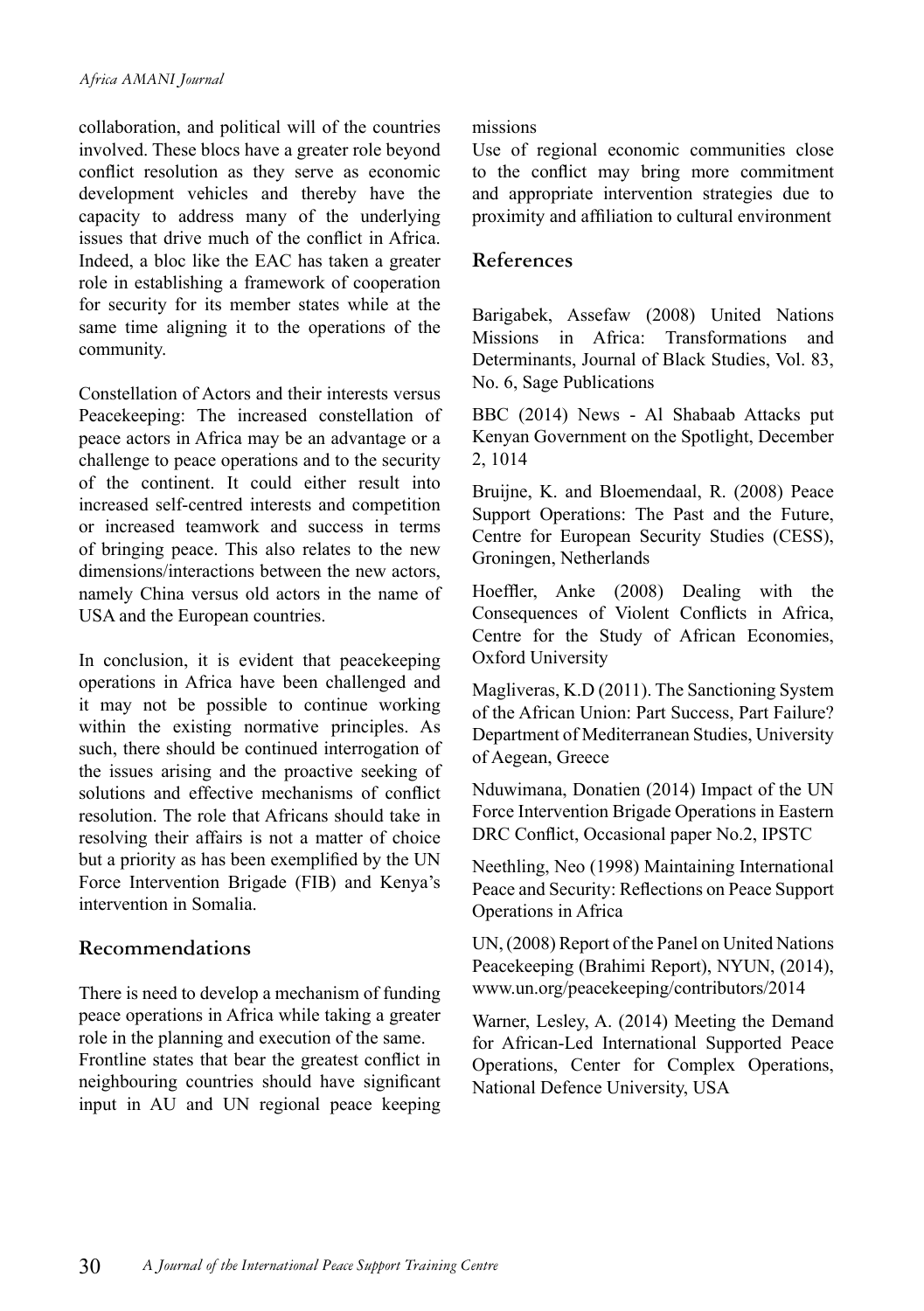collaboration, and political will of the countries involved. These blocs have a greater role beyond conflict resolution as they serve as economic development vehicles and thereby have the capacity to address many of the underlying issues that drive much of the conflict in Africa. Indeed, a bloc like the EAC has taken a greater role in establishing a framework of cooperation for security for its member states while at the same time aligning it to the operations of the community.

Constellation of Actors and their interests versus Peacekeeping: The increased constellation of peace actors in Africa may be an advantage or a challenge to peace operations and to the security of the continent. It could either result into increased self-centred interests and competition or increased teamwork and success in terms of bringing peace. This also relates to the new dimensions/interactions between the new actors, namely China versus old actors in the name of USA and the European countries.

In conclusion, it is evident that peacekeeping operations in Africa have been challenged and it may not be possible to continue working within the existing normative principles. As such, there should be continued interrogation of the issues arising and the proactive seeking of solutions and effective mechanisms of conflict resolution. The role that Africans should take in resolving their affairs is not a matter of choice but a priority as has been exemplified by the UN Force Intervention Brigade (FIB) and Kenya's intervention in Somalia.

#### **Recommendations**

There is need to develop a mechanism of funding peace operations in Africa while taking a greater role in the planning and execution of the same. Frontline states that bear the greatest conflict in neighbouring countries should have significant input in AU and UN regional peace keeping

#### missions

Use of regional economic communities close to the conflict may bring more commitment and appropriate intervention strategies due to proximity and affiliation to cultural environment

#### **References**

Barigabek, Assefaw (2008) United Nations Missions in Africa: Transformations and Determinants, Journal of Black Studies, Vol. 83, No. 6, Sage Publications

BBC (2014) News - Al Shabaab Attacks put Kenyan Government on the Spotlight, December 2, 1014

Bruijne, K. and Bloemendaal, R. (2008) Peace Support Operations: The Past and the Future, Centre for European Security Studies (CESS), Groningen, Netherlands

Hoeffler, Anke (2008) Dealing with the Consequences of Violent Conflicts in Africa, Centre for the Study of African Economies, Oxford University

Magliveras, K.D (2011). The Sanctioning System of the African Union: Part Success, Part Failure? Department of Mediterranean Studies, University of Aegean, Greece

Nduwimana, Donatien (2014) Impact of the UN Force Intervention Brigade Operations in Eastern DRC Conflict, Occasional paper No.2, IPSTC

Neethling, Neo (1998) Maintaining International Peace and Security: Reflections on Peace Support Operations in Africa

UN, (2008) Report of the Panel on United Nations Peacekeeping (Brahimi Report), NYUN, (2014), www.un.org/peacekeeping/contributors/2014

Warner, Lesley, A. (2014) Meeting the Demand for African-Led International Supported Peace Operations, Center for Complex Operations, National Defence University, USA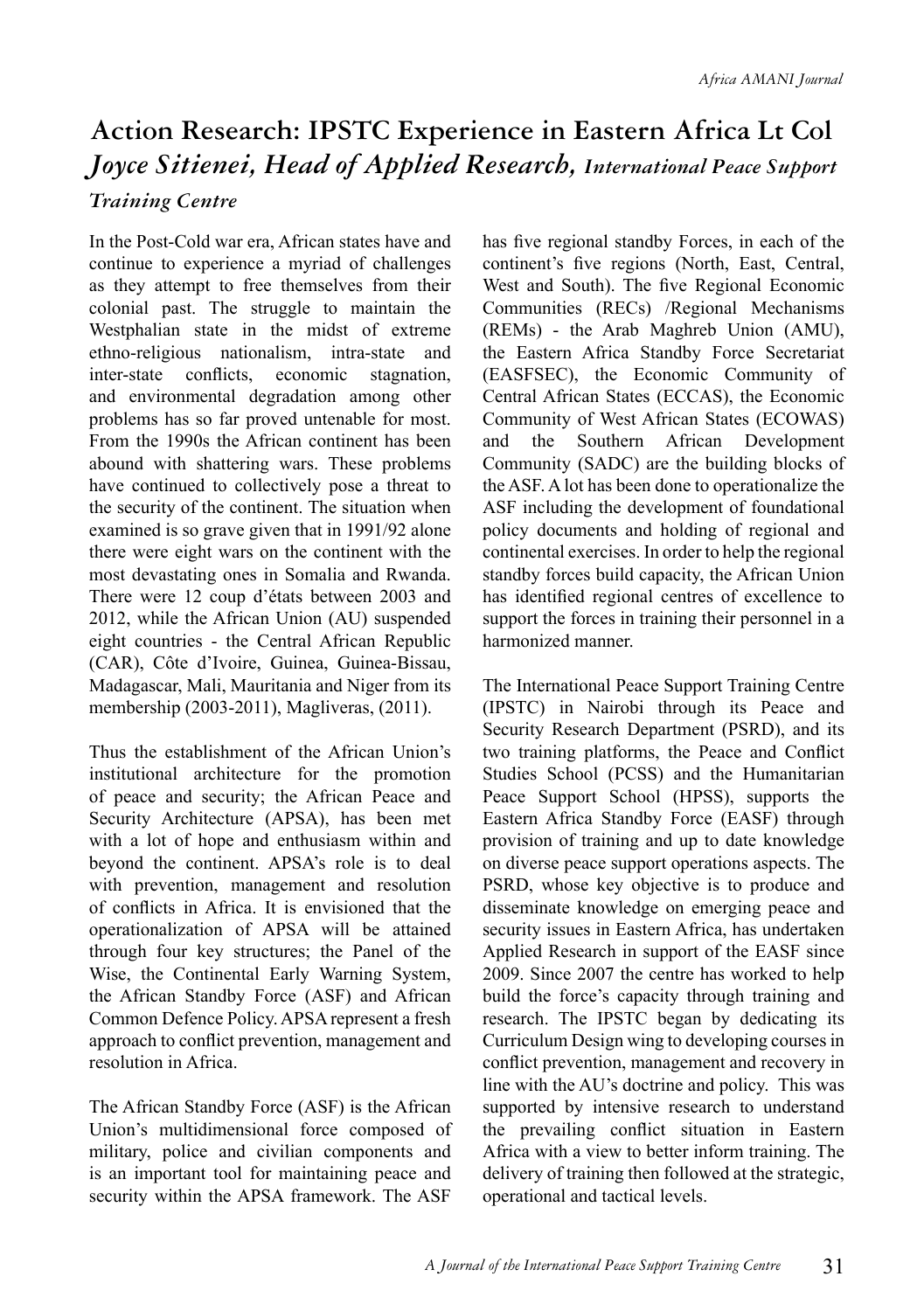# **Action Research: IPSTC Experience in Eastern Africa Lt Col**  *Joyce Sitienei, Head of Applied Research, International Peace Support*

#### *Training Centre*

In the Post-Cold war era, African states have and continue to experience a myriad of challenges as they attempt to free themselves from their colonial past. The struggle to maintain the Westphalian state in the midst of extreme ethno-religious nationalism, intra-state and inter-state conflicts, economic stagnation, and environmental degradation among other problems has so far proved untenable for most. From the 1990s the African continent has been abound with shattering wars. These problems have continued to collectively pose a threat to the security of the continent. The situation when examined is so grave given that in 1991/92 alone there were eight wars on the continent with the most devastating ones in Somalia and Rwanda. There were 12 coup d'états between 2003 and 2012, while the African Union (AU) suspended eight countries - the Central African Republic (CAR), Côte d'Ivoire, Guinea, Guinea-Bissau, Madagascar, Mali, Mauritania and Niger from its membership (2003-2011), Magliveras, (2011).

Thus the establishment of the African Union's institutional architecture for the promotion of peace and security; the African Peace and Security Architecture (APSA), has been met with a lot of hope and enthusiasm within and beyond the continent. APSA's role is to deal with prevention, management and resolution of conflicts in Africa. It is envisioned that the operationalization of APSA will be attained through four key structures; the Panel of the Wise, the Continental Early Warning System, the African Standby Force (ASF) and African Common Defence Policy. APSA represent a fresh approach to conflict prevention, management and resolution in Africa.

The African Standby Force (ASF) is the African Union's multidimensional force composed of military, police and civilian components and is an important tool for maintaining peace and security within the APSA framework. The ASF has five regional standby Forces, in each of the continent's five regions (North, East, Central, West and South). The five Regional Economic Communities (RECs) /Regional Mechanisms (REMs) - the Arab Maghreb Union (AMU), the Eastern Africa Standby Force Secretariat (EASFSEC), the Economic Community of Central African States (ECCAS), the Economic Community of West African States (ECOWAS) and the Southern African Development Community (SADC) are the building blocks of the ASF. A lot has been done to operationalize the ASF including the development of foundational policy documents and holding of regional and continental exercises. In order to help the regional standby forces build capacity, the African Union has identified regional centres of excellence to support the forces in training their personnel in a harmonized manner.

The International Peace Support Training Centre (IPSTC) in Nairobi through its Peace and Security Research Department (PSRD), and its two training platforms, the Peace and Conflict Studies School (PCSS) and the Humanitarian Peace Support School (HPSS), supports the Eastern Africa Standby Force (EASF) through provision of training and up to date knowledge on diverse peace support operations aspects. The PSRD, whose key objective is to produce and disseminate knowledge on emerging peace and security issues in Eastern Africa, has undertaken Applied Research in support of the EASF since 2009. Since 2007 the centre has worked to help build the force's capacity through training and research. The IPSTC began by dedicating its Curriculum Design wing to developing courses in conflict prevention, management and recovery in line with the AU's doctrine and policy. This was supported by intensive research to understand the prevailing conflict situation in Eastern Africa with a view to better inform training. The delivery of training then followed at the strategic, operational and tactical levels.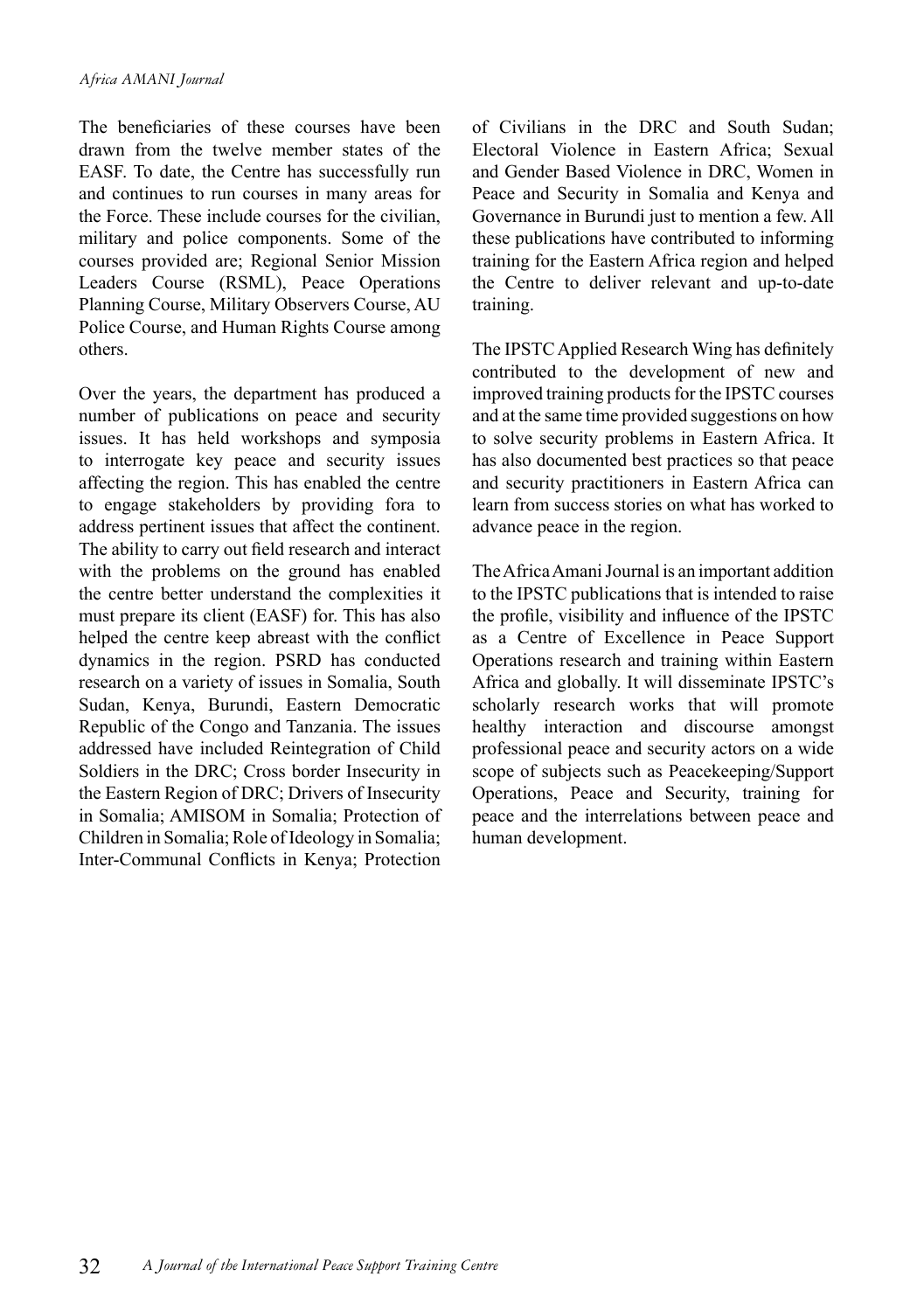The beneficiaries of these courses have been drawn from the twelve member states of the EASF. To date, the Centre has successfully run and continues to run courses in many areas for the Force. These include courses for the civilian, military and police components. Some of the courses provided are; Regional Senior Mission Leaders Course (RSML), Peace Operations Planning Course, Military Observers Course, AU Police Course, and Human Rights Course among others.

Over the years, the department has produced a number of publications on peace and security issues. It has held workshops and symposia to interrogate key peace and security issues affecting the region. This has enabled the centre to engage stakeholders by providing fora to address pertinent issues that affect the continent. The ability to carry out field research and interact with the problems on the ground has enabled the centre better understand the complexities it must prepare its client (EASF) for. This has also helped the centre keep abreast with the conflict dynamics in the region. PSRD has conducted research on a variety of issues in Somalia, South Sudan, Kenya, Burundi, Eastern Democratic Republic of the Congo and Tanzania. The issues addressed have included Reintegration of Child Soldiers in the DRC; Cross border Insecurity in the Eastern Region of DRC; Drivers of Insecurity in Somalia; AMISOM in Somalia; Protection of Children in Somalia; Role of Ideology in Somalia; Inter-Communal Conflicts in Kenya; Protection of Civilians in the DRC and South Sudan; Electoral Violence in Eastern Africa; Sexual and Gender Based Violence in DRC, Women in Peace and Security in Somalia and Kenya and Governance in Burundi just to mention a few. All these publications have contributed to informing training for the Eastern Africa region and helped the Centre to deliver relevant and up-to-date training.

The IPSTC Applied Research Wing has definitely contributed to the development of new and improved training products for the IPSTC courses and at the same time provided suggestions on how to solve security problems in Eastern Africa. It has also documented best practices so that peace and security practitioners in Eastern Africa can learn from success stories on what has worked to advance peace in the region.

The Africa Amani Journal is an important addition to the IPSTC publications that is intended to raise the profile, visibility and influence of the IPSTC as a Centre of Excellence in Peace Support Operations research and training within Eastern Africa and globally. It will disseminate IPSTC's scholarly research works that will promote healthy interaction and discourse amongst professional peace and security actors on a wide scope of subjects such as Peacekeeping/Support Operations, Peace and Security, training for peace and the interrelations between peace and human development.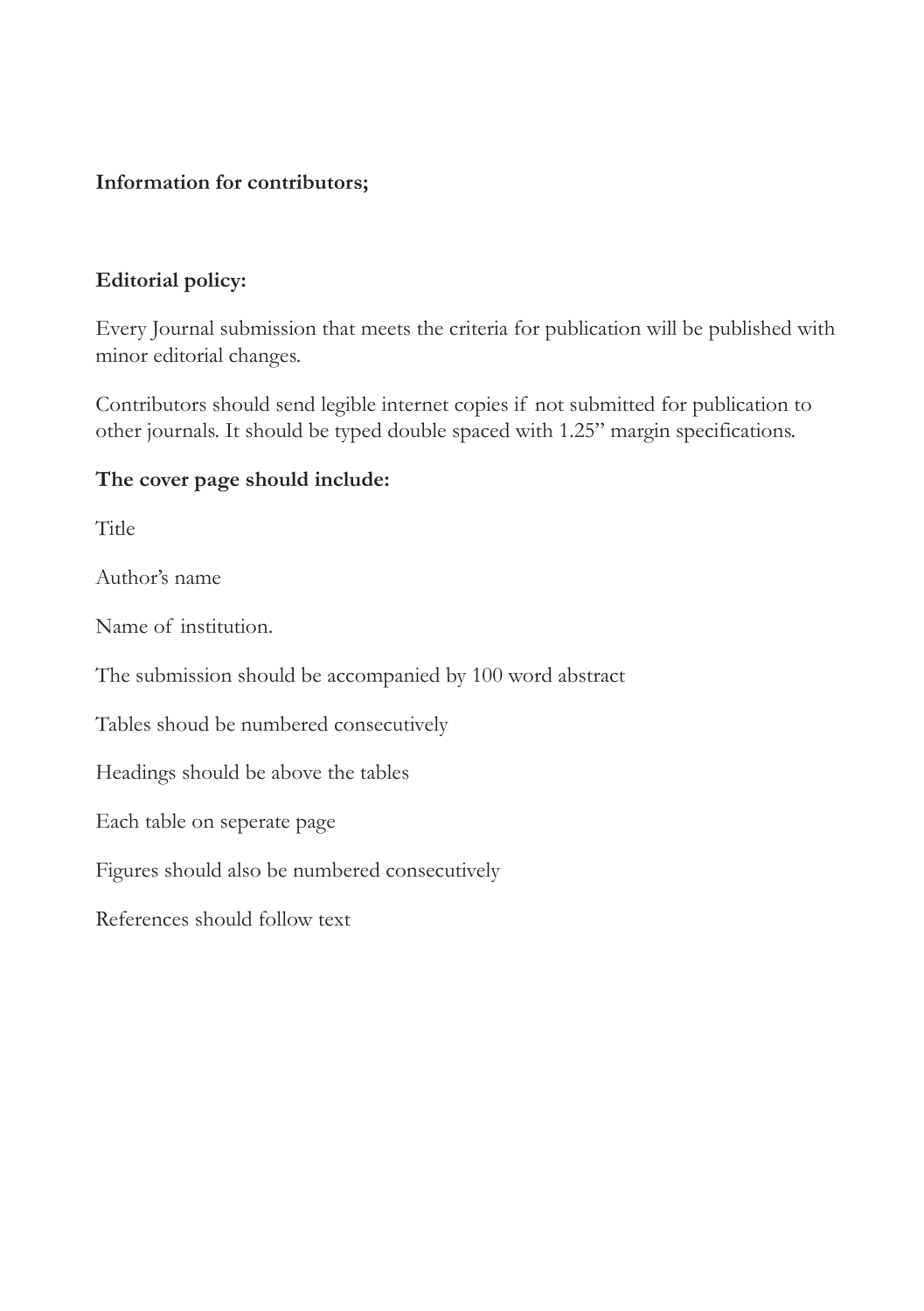#### **Information for contributors;**

#### **Editorial policy:**

Every Journal submission that meets the criteria for publication will be published with minor editorial changes.

Contributors should send legible internet copies if not submitted for publication to other journals. It should be typed double spaced with 1.25" margin specifications.

#### **The cover page should include:**

**Title** 

Author's name

Name of institution.

The submission should be accompanied by 100 word abstract

Tables shoud be numbered consecutively

Headings should be above the tables

Each table on seperate page

Figures should also be numbered consecutively

References should follow text